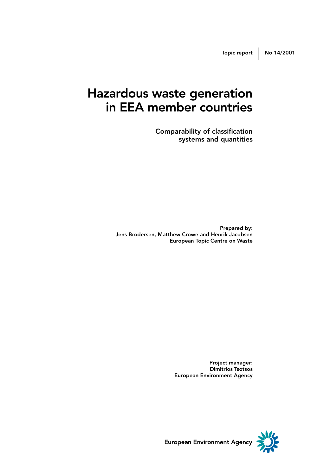### Hazardous waste generation in EEA member countries

Comparability of classification systems and quantities

Prepared by: Jens Brodersen, Matthew Crowe and Henrik Jacobsen European Topic Centre on Waste

> Project manager: Dimitrios Tsotsos European Environment Agency



European Environment Agency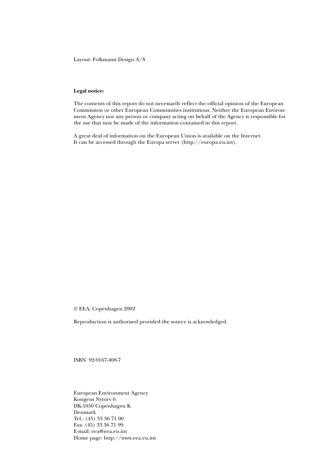Layout: Folkmann Design A/S

#### **Legal notice:**

The contents of this report do not necessarily reflect the official opinion of the European Commission or other European Communities institutions. Neither the European Environment Agency nor any person or company acting on behalf of the Agency is responsible for the use that may be made of the information contained in this report.

A great deal of information on the European Union is available on the Internet. It can be accessed through the Europa server (http://europa.eu.int).

© EEA, Copenhagen 2002

Reproduction is authorised provided the source is acknowledged.

ISBN 92-9167-408-7

European Environment Agency Kongens Nytorv 6 DK-1050 Copenhagen K Denmark Tel.: (45) 33 36 71 00 Fax: (45) 33 36 71 99 E-mail: eea@eea.eu.int Home page: http://www.eea.eu.int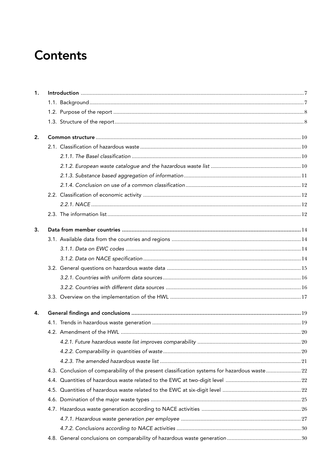## **Contents**

| 1. |                                                                                               |  |
|----|-----------------------------------------------------------------------------------------------|--|
|    |                                                                                               |  |
|    |                                                                                               |  |
|    |                                                                                               |  |
| 2. |                                                                                               |  |
|    |                                                                                               |  |
|    |                                                                                               |  |
|    |                                                                                               |  |
|    |                                                                                               |  |
|    |                                                                                               |  |
|    |                                                                                               |  |
|    |                                                                                               |  |
|    |                                                                                               |  |
| 3. |                                                                                               |  |
|    |                                                                                               |  |
|    |                                                                                               |  |
|    |                                                                                               |  |
|    |                                                                                               |  |
|    |                                                                                               |  |
|    |                                                                                               |  |
|    |                                                                                               |  |
| 4. |                                                                                               |  |
|    |                                                                                               |  |
|    |                                                                                               |  |
|    |                                                                                               |  |
|    |                                                                                               |  |
|    |                                                                                               |  |
|    | 4.3. Conclusion of comparability of the present classification systems for hazardous waste 22 |  |
|    |                                                                                               |  |
|    |                                                                                               |  |
|    |                                                                                               |  |
|    |                                                                                               |  |
|    |                                                                                               |  |
|    |                                                                                               |  |
|    |                                                                                               |  |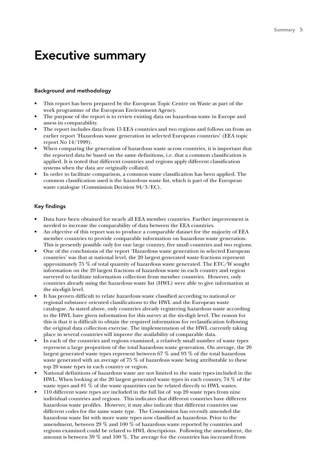### Executive summary

#### Background and methodology

- This report has been prepared by the European Topic Centre on Waste as part of the work programme of the European Environment Agency.
- The purpose of the report is to review existing data on hazardous waste in Europe and assess its comparability.
- The report includes data from 15 EEA countries and two regions and follows on from an earlier report 'Hazardous waste generation in selected European countries' (EEA topic report No 14/1999).
- When comparing the generation of hazardous waste across countries, it is important that the reported data be based on the same definitions, i.e. that a common classification is applied. It is noted that different countries and regions apply different classification systems when the data are originally collated.
- In order to facilitate comparison, a common waste classification has been applied. The common classification used is the hazardous waste list, which is part of the European waste catalogue (Commission Decision 94/3/EC).

#### Key findings

- Data have been obtained for nearly all EEA member countries. Further improvement is needed to increase the comparability of data between the EEA countries.
- An objective of this report was to produce a comparable dataset for the majority of EEA member countries to provide comparable information on hazardous waste generation. This is presently possible only for one large country, five small countries and two regions.
- One of the conclusions of the report 'Hazardous waste generation in selected European countries' was that at national level, the 20 largest generated waste fractions represent approximately 75 % of total quantity of hazardous waste generated. The ETC/W sought information on the 20 largest fractions of hazardous waste in each country and region surveyed to facilitate information collection from member countries. However, only countries already using the hazardous waste list (HWL) were able to give information at the six-digit level.
- It has proven difficult to relate hazardous waste classified according to national or regional substance oriented classifications to the HWL and the European waste catalogue. As stated above, only countries already registering hazardous waste according to the HWL have given information for this survey at the six-digit level. The reason for this is that it is difficult to obtain the required information for reclassification following the original data collection exercise. The implementation of the HWL currently taking place in several countries will improve the availability of comparable data.
- In each of the countries and regions examined, a relatively small number of waste types represent a large proportion of the total hazardous waste generation. On average, the 20 largest generated waste types represent between 67 % and 93 % of the total hazardous waste generated with an average of 75 % of hazardous waste being attributable to these top 20 waste types in each country or region.
- National definitions of hazardous waste are not limited to the waste types included in the HWL. When looking at the 20 largest generated waste types in each country, 74 % of the waste types and 81 % of the waste quantities can be related directly to HWL wastes.
- 110 different waste types are included in the full list of top 20 waste types from nine individual countries and regions. This indicates that different countries have different hazardous waste profiles. However, it may also indicate that different countries use different codes for the same waste type. The Commission has recently amended the hazardous waste list with more waste types now classified as hazardous. Prior to the amendment, between 29 % and 100 % of hazardous waste reported by countries and regions examined could be related to HWL descriptions. Following the amendment, the amount is between 39 % and 100 %. The average for the countries has increased from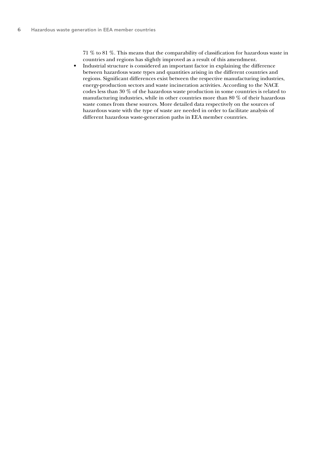71 % to 81 %. This means that the comparability of classification for hazardous waste in countries and regions has slightly improved as a result of this amendment.

• Industrial structure is considered an important factor in explaining the difference between hazardous waste types and quantities arising in the different countries and regions. Significant differences exist between the respective manufacturing industries, energy-production sectors and waste incineration activities. According to the NACE codes less than 30 % of the hazardous waste production in some countries is related to manufacturing industries, while in other countries more than 80 % of their hazardous waste comes from these sources. More detailed data respectively on the sources of hazardous waste with the type of waste are needed in order to facilitate analysis of different hazardous waste-generation paths in EEA member countries.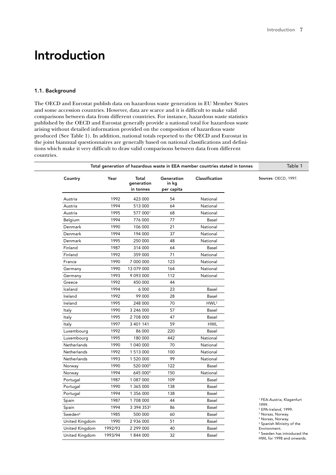### Introduction

### 1.1. Background

The OECD and Eurostat publish data on hazardous waste generation in EU Member States and some accession countries. However, data are scarce and it is difficult to make valid comparisons between data from different countries. For instance, hazardous waste statistics published by the OECD and Eurostat generally provide a national total for hazardous waste arising without detailed information provided on the composition of hazardous waste produced (See Table 1). In addition, national totals reported to the OECD and Eurostat in the joint biannual questionnaires are generally based on national classifications and definitions which make it very difficult to draw valid comparisons between data from different countries.

| Country             | Year    | Total<br>generation<br>in tonnes | Generation<br>in kg<br>per capita | Classification   | Sources: OECD, 1997.                                                 |
|---------------------|---------|----------------------------------|-----------------------------------|------------------|----------------------------------------------------------------------|
| Austria             | 1992    | 423 000                          | 54                                | National         |                                                                      |
| Austria             | 1994    | 513 000                          | 64                                | National         |                                                                      |
| Austria             | 1995    | 577 0001                         | 68                                | National         |                                                                      |
| Belgium             | 1994    | 776 000                          | 77                                | Basel            |                                                                      |
| Denmark             | 1990    | 106 000                          | 21                                | National         |                                                                      |
| Denmark             | 1994    | 194 000                          | 37                                | National         |                                                                      |
| Denmark             | 1995    | 250 000                          | 48                                | National         |                                                                      |
| Finland             | 1987    | 314 000                          | 64                                | Basel            |                                                                      |
| Finland             | 1992    | 359 000                          | 71                                | National         |                                                                      |
| France              | 1990    | 7 000 000                        | 123                               | National         |                                                                      |
| Germany             | 1990    | 13 079 000                       | 164                               | National         |                                                                      |
| Germany             | 1993    | 9 0 9 3 0 0 0                    | 112                               | National         |                                                                      |
| Greece              | 1992    | 450 000                          | 44                                |                  |                                                                      |
| Iceland             | 1994    | 6 0 0 0                          | 23                                | Basel            |                                                                      |
| Ireland             | 1992    | 99 000                           | 28                                | Basel            |                                                                      |
| Ireland             | 1995    | 248 000                          | 70                                | HWL <sup>2</sup> |                                                                      |
| Italy               | 1990    | 3 246 000                        | 57                                | Basel            |                                                                      |
| Italy               | 1995    | 2 708 000                        | 47                                | Basel            |                                                                      |
| Italy               | 1997    | 3 401 141                        | 59                                | <b>HWL</b>       |                                                                      |
| Luxembourg          | 1992    | 86 000                           | 220                               | Basel            |                                                                      |
| Luxembourg          | 1995    | 180 000                          | 442                               | National         |                                                                      |
| Netherlands         | 1990    | 1 040 000                        | 70                                | National         |                                                                      |
| Netherlands         | 1992    | 1 513 000                        | 100                               | National         |                                                                      |
| Netherlands         | 1993    | 1 520 000                        | 99                                | National         |                                                                      |
| Norway              | 1990    | 520 0003                         | 122                               | Basel            |                                                                      |
| Norway              | 1994    | 645 0004                         | 150                               | National         |                                                                      |
| Portugal            | 1987    | 1 087 000                        | 109                               | Basel            |                                                                      |
| Portugal            | 1990    | 1 365 000                        | 138                               | Basel            |                                                                      |
| Portugal            | 1994    | 1 356 000                        | 138                               | Basel            |                                                                      |
| Spain               | 1987    | 1708 000                         | 44                                | Basel            | <sup>1</sup> FEA-Austria, Klagenfurt                                 |
| Spain               | 1994    | 3 394 3535                       | 86                                | Basel            | 1999.<br><sup>2</sup> EPA-Ireland, 1999.                             |
| Sweden <sup>6</sup> | 1985    | 500 000                          | 60                                | Basel            | <sup>3</sup> Norsas, Norway.                                         |
| United Kingdom      | 1990    | 2 936 000                        | 51                                | Basel            | <sup>4</sup> Norsas, Norway.<br><sup>5</sup> Spanish Ministry of the |
| United Kingdom      | 1992/93 | 2 299 000                        | 40                                | Basel            | Environment.                                                         |
| United Kingdom      | 1993/94 | 1844000                          | 32                                | Basel            | <sup>6</sup> Sweden has introduced the                               |
|                     |         |                                  |                                   |                  | HWL for 1998 and onwards.                                            |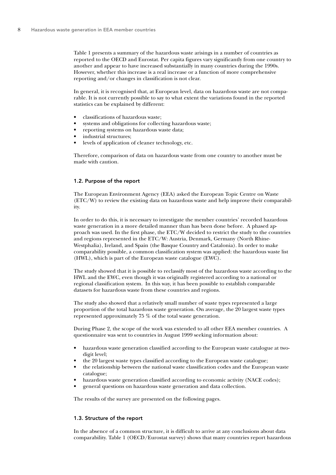Table 1 presents a summary of the hazardous waste arisings in a number of countries as reported to the OECD and Eurostat. Per capita figures vary significantly from one country to another and appear to have increased substantially in many countries during the 1990s. However, whether this increase is a real increase or a function of more comprehensive reporting and/or changes in classification is not clear.

In general, it is recognised that, at European level, data on hazardous waste are not comparable. It is not currently possible to say to what extent the variations found in the reported statistics can be explained by different:

- classifications of hazardous waste;
- systems and obligations for collecting hazardous waste;
- reporting systems on hazardous waste data;
- industrial structures:
- levels of application of cleaner technology, etc.

Therefore, comparison of data on hazardous waste from one country to another must be made with caution.

#### 1.2. Purpose of the report

The European Environment Agency (EEA) asked the European Topic Centre on Waste (ETC/W) to review the existing data on hazardous waste and help improve their comparability.

In order to do this, it is necessary to investigate the member countries' recorded hazardous waste generation in a more detailed manner than has been done before. A phased approach was used. In the first phase, the ETC/W decided to restrict the study to the countries and regions represented in the ETC/W: Austria, Denmark, Germany (North Rhine-Westphalia), Ireland, and Spain (the Basque Country and Catalonia). In order to make comparability possible, a common classification system was applied: the hazardous waste list (HWL), which is part of the European waste catalogue (EWC).

The study showed that it is possible to reclassify most of the hazardous waste according to the HWL and the EWC, even though it was originally registered according to a national or regional classification system. In this way, it has been possible to establish comparable datasets for hazardous waste from these countries and regions.

The study also showed that a relatively small number of waste types represented a large proportion of the total hazardous waste generation. On average, the 20 largest waste types represented approximately 75 % of the total waste generation.

During Phase 2, the scope of the work was extended to all other EEA member countries. A questionnaire was sent to countries in August 1999 seeking information about:

- hazardous waste generation classified according to the European waste catalogue at twodigit level;
- the 20 largest waste types classified according to the European waste catalogue;
- the relationship between the national waste classification codes and the European waste catalogue;
- hazardous waste generation classified according to economic activity (NACE codes);
- general questions on hazardous waste generation and data collection.

The results of the survey are presented on the following pages.

#### 1.3. Structure of the report

In the absence of a common structure, it is difficult to arrive at any conclusions about data comparability. Table 1 (OECD/Eurostat survey) shows that many countries report hazardous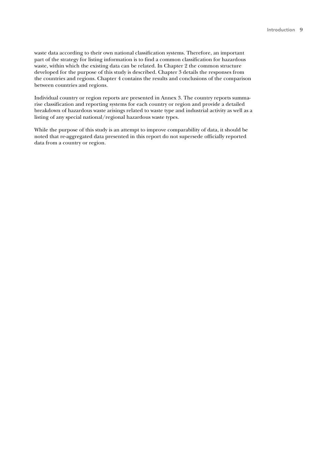waste data according to their own national classification systems. Therefore, an important part of the strategy for listing information is to find a common classification for hazardous waste, within which the existing data can be related. In Chapter 2 the common structure developed for the purpose of this study is described. Chapter 3 details the responses from the countries and regions. Chapter 4 contains the results and conclusions of the comparison between countries and regions.

Individual country or region reports are presented in Annex 3. The country reports summarise classification and reporting systems for each country or region and provide a detailed breakdown of hazardous waste arisings related to waste type and industrial activity as well as a listing of any special national/regional hazardous waste types.

While the purpose of this study is an attempt to improve comparability of data, it should be noted that re-aggregated data presented in this report do not supersede officially reported data from a country or region.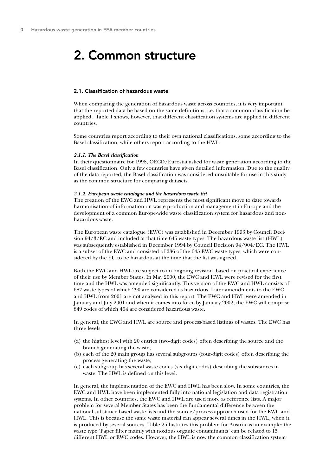### 2. Common structure

#### 2.1. Classification of hazardous waste

When comparing the generation of hazardous waste across countries, it is very important that the reported data be based on the same definitions, i.e. that a common classification be applied. Table 1 shows, however, that different classification systems are applied in different countries.

Some countries report according to their own national classifications, some according to the Basel classification, while others report according to the HWL.

#### *2.1.1. The Basel classification*

In their questionnaire for 1998, OECD/Eurostat asked for waste generation according to the Basel classification. Only a few countries have given detailed information. Due to the quality of the data reported, the Basel classification was considered unsuitable for use in this study as the common structure for comparing datasets.

#### *2.1.2. European waste catalogue and the hazardous waste list*

The creation of the EWC and HWL represents the most significant move to date towards harmonisation of information on waste production and management in Europe and the development of a common Europe-wide waste classification system for hazardous and nonhazardous waste.

The European waste catalogue (EWC) was established in December 1993 by Council Decision 94/3/EC and included at that time 645 waste types. The hazardous waste list (HWL) was subsequently established in December 1994 by Council Decision 94/904/EC. The HWL is a subset of the EWC and consisted of 236 of the 645 EWC waste types, which were considered by the EU to be hazardous at the time that the list was agreed.

Both the EWC and HWL are subject to an ongoing revision, based on practical experience of their use by Member States. In May 2000, the EWC and HWL were revised for the first time and the HWL was amended significantly. This version of the EWC and HWL consists of 687 waste types of which 290 are considered as hazardous. Later amendments to the EWC and HWL from 2001 are not analysed in this report. The EWC and HWL were amended in January and July 2001 and when it comes into force by January 2002, the EWC will comprise 849 codes of which 404 are considered hazardous waste.

In general, the EWC and HWL are source and process-based listings of wastes. The EWC has three levels:

- (a) the highest level with 20 entries (two-digit codes) often describing the source and the branch generating the waste;
- (b) each of the 20 main group has several subgroups (four-digit codes) often describing the process generating the waste;
- (c) each subgroup has several waste codes (six-digit codes) describing the substances in waste. The HWL is defined on this level.

In general, the implementation of the EWC and HWL has been slow. In some countries, the EWC and HWL have been implemented fully into national legislation and data registration systems. In other countries, the EWC and HWL are used more as reference lists. A major problem for several Member States has been the fundamental difference between the national substance-based waste lists and the source/process approach used for the EWC and HWL. This is because the same waste material can appear several times in the HWL, when it is produced by several sources. Table 2 illustrates this problem for Austria as an example: the waste type 'Paper filter mainly with noxious organic contaminants' can be related to 15 different HWL or EWC codes. However, the HWL is now the common classification system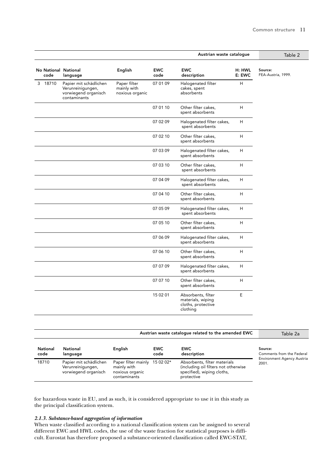|                              |                                                                                     |                                                |                    | Austrian waste catalogue                                                  |                  | Table 2                       |
|------------------------------|-------------------------------------------------------------------------------------|------------------------------------------------|--------------------|---------------------------------------------------------------------------|------------------|-------------------------------|
| No National National<br>code | language                                                                            | English                                        | <b>EWC</b><br>code | <b>EWC</b><br>description                                                 | H: HWL<br>E: EWC | Source:<br>FEA-Austria, 1999. |
| 3 18710                      | Papier mit schädlichen<br>Verunreinigungen,<br>vorwiegend organisch<br>contaminants | Paper filter<br>mainly with<br>noxious organic | 07 01 09           | Halogenated filter<br>cakes, spent<br>absorbents                          | H                |                               |
|                              |                                                                                     |                                                | 07 01 10           | Other filter cakes,<br>spent absorbents                                   | H                |                               |
|                              |                                                                                     |                                                | 07 02 09           | Halogenated filter cakes,<br>spent absorbents                             | Η                |                               |
|                              |                                                                                     |                                                | 07 02 10           | Other filter cakes,<br>spent absorbents                                   | H                |                               |
|                              |                                                                                     |                                                | 07 03 09           | Halogenated filter cakes,<br>spent absorbents                             | Η                |                               |
|                              |                                                                                     |                                                | 07 03 10           | Other filter cakes,<br>spent absorbents                                   | Η                |                               |
|                              |                                                                                     |                                                | 07 04 09           | Halogenated filter cakes,<br>spent absorbents                             | H                |                               |
|                              |                                                                                     |                                                | 07 04 10           | Other filter cakes,<br>spent absorbents                                   | Η                |                               |
|                              |                                                                                     |                                                | 07 05 09           | Halogenated filter cakes,<br>spent absorbents                             | H                |                               |
|                              |                                                                                     |                                                | 07 05 10           | Other filter cakes,<br>spent absorbents                                   | H                |                               |
|                              |                                                                                     |                                                | 07 06 09           | Halogenated filter cakes,<br>spent absorbents                             | H                |                               |
|                              |                                                                                     |                                                | 07 06 10           | Other filter cakes,<br>spent absorbents                                   | H                |                               |
|                              |                                                                                     |                                                | 07 07 09           | Halogenated filter cakes,<br>spent absorbents                             | Η                |                               |
|                              |                                                                                     |                                                | 07 07 10           | Other filter cakes,<br>spent absorbents                                   | H                |                               |
|                              |                                                                                     |                                                | 15 02 01           | Absorbents, filter<br>materials, wiping<br>cloths, protective<br>clothing | E                |                               |

|                         |                                                                     | Austrian waste catalogue related to the amended EWC                             | Table 2a           |                                                                                                                  |                                            |
|-------------------------|---------------------------------------------------------------------|---------------------------------------------------------------------------------|--------------------|------------------------------------------------------------------------------------------------------------------|--------------------------------------------|
| <b>National</b><br>code | National<br>language                                                | English                                                                         | <b>EWC</b><br>code | <b>EWC</b><br>description                                                                                        | Source:<br>Comments from the Federal       |
| 18710                   | Papier mit schädlichen<br>Verunreinigungen,<br>vorwiegend organisch | Paper filter mainly 15 02 02*<br>mainly with<br>noxious organic<br>contaminants |                    | Absorbents, filter materials<br>(including oil filters not otherwise<br>specified), wiping cloths,<br>protective | <b>Environment Agency Austria</b><br>2001. |

for hazardous waste in EU, and as such, it is considered appropriate to use it in this study as the principal classification system.

#### *2.1.3. Substance-based aggregation of information*

When waste classified according to a national classification system can be assigned to several different EWC and HWL codes, the use of the waste fraction for statistical purposes is difficult. Eurostat has therefore proposed a substance-oriented classification called EWC-STAT,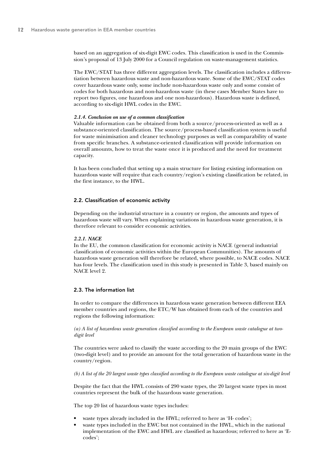based on an aggregation of six-digit EWC codes. This classification is used in the Commission's proposal of 13 July 2000 for a Council regulation on waste-management statistics.

The EWC/STAT has three different aggregation levels. The classification includes a differentiation between hazardous waste and non-hazardous waste. Some of the EWC/STAT codes cover hazardous waste only, some include non-hazardous waste only and some consist of codes for both hazardous and non-hazardous waste (in these cases Member States have to report two figures, one hazardous and one non-hazardous). Hazardous waste is defined, according to six-digit HWL codes in the EWC.

#### *2.1.4. Conclusion on use of a common classification*

Valuable information can be obtained from both a source/process-oriented as well as a substance-oriented classification. The source/process-based classification system is useful for waste minimisation and cleaner technology purposes as well as comparability of waste from specific branches. A substance-oriented classification will provide information on overall amounts, how to treat the waste once it is produced and the need for treatment capacity.

It has been concluded that setting up a main structure for listing existing information on hazardous waste will require that each country/region's existing classification be related, in the first instance, to the HWL.

#### 2.2. Classification of economic activity

Depending on the industrial structure in a country or region, the amounts and types of hazardous waste will vary. When explaining variations in hazardous waste generation, it is therefore relevant to consider economic activities.

#### *2.2.1. NACE*

In the EU, the common classification for economic activity is NACE (general industrial classification of economic activities within the European Communities). The amounts of hazardous waste generation will therefore be related, where possible, to NACE codes. NACE has four levels. The classification used in this study is presented in Table 3, based mainly on NACE level 2.

#### 2.3. The information list

In order to compare the differences in hazardous waste generation between different EEA member countries and regions, the ETC/W has obtained from each of the countries and regions the following information:

*(a) A list of hazardous waste generation classified according to the European waste catalogue at twodigit level*

The countries were asked to classify the waste according to the 20 main groups of the EWC (two-digit level) and to provide an amount for the total generation of hazardous waste in the country/region.

*(b) A list of the 20 largest waste types classified according to the European waste catalogue at six-digit level*

Despite the fact that the HWL consists of 290 waste types, the 20 largest waste types in most countries represent the bulk of the hazardous waste generation.

The top 20 list of hazardous waste types includes:

- waste types already included in the HWL; referred to here as 'H- codes';
- waste types included in the EWC but not contained in the HWL, which in the national implementation of the EWC and HWL are classified as hazardous; referred to here as 'Ecodes';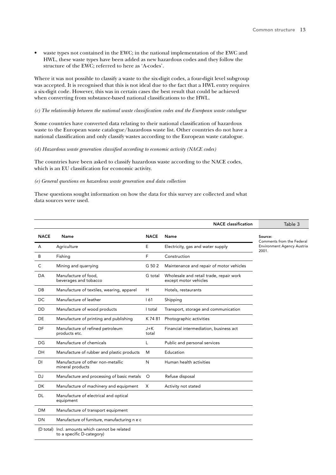• waste types not contained in the EWC; in the national implementation of the EWC and HWL, these waste types have been added as new hazardous codes and they follow the structure of the EWC; referred to here as 'A-codes'.

Where it was not possible to classify a waste to the six-digit codes, a four-digit level subgroup was accepted. It is recognised that this is not ideal due to the fact that a HWL entry requires a six-digit code. However, this was in certain cases the best result that could be achieved when converting from substance-based national classifications to the HWL.

#### *(c) The relationship between the national waste classification codes and the European waste catalogue*

Some countries have converted data relating to their national classification of hazardous waste to the European waste catalogue/hazardous waste list. Other countries do not have a national classification and only classify wastes according to the European waste catalogue.

#### *(d) Hazardous waste generation classified according to economic activity (NACE codes)*

The countries have been asked to classify hazardous waste according to the NACE codes, which is an EU classification for economic activity.

#### *(e) General questions on hazardous waste generation and data collection*

These questions sought information on how the data for this survey are collected and what data sources were used.

|             |                                                                              |                  | <b>NACE</b> classification                                       | Table 3                                    |
|-------------|------------------------------------------------------------------------------|------------------|------------------------------------------------------------------|--------------------------------------------|
| <b>NACE</b> | Name                                                                         | <b>NACE</b>      | Name                                                             | Source:<br>Comments from the Federal       |
| A           | Agriculture                                                                  | E                | Electricity, gas and water supply                                | <b>Environment Agency Austria</b><br>2001. |
| B           | Fishing                                                                      | F                | Construction                                                     |                                            |
| C           | Mining and quarrying                                                         | G 50 2           | Maintenance and repair of motor vehicles                         |                                            |
| DA          | Manufacture of food,<br>beverages and tobacco                                | G total          | Wholesale and retail trade, repair work<br>except motor vehicles |                                            |
| DB          | Manufacture of textiles, wearing, apparel                                    | H                | Hotels, restaurants                                              |                                            |
| DC          | Manufacture of leather                                                       | 161              | Shipping                                                         |                                            |
| DD          | Manufacture of wood products                                                 | I total          | Transport, storage and communication                             |                                            |
| <b>DE</b>   | Manufacture of printing and publishing                                       | K 74 81          | Photographic activities                                          |                                            |
| DF          | Manufacture of refined petroleum<br>products etc.                            | $J + K$<br>total | Financial intermediation, business act                           |                                            |
| DG          | Manufacture of chemicals                                                     | L                | Public and personal services                                     |                                            |
| DH          | Manufacture of rubber and plastic products                                   | M                | Education                                                        |                                            |
| DI          | Manufacture of other non-metallic<br>mineral products                        | N                | Human health activities                                          |                                            |
| <b>DJ</b>   | Manufacture and processing of basic metals                                   | $\circ$          | Refuse disposal                                                  |                                            |
| <b>DK</b>   | Manufacture of machinery and equipment                                       | X                | Activity not stated                                              |                                            |
| DL          | Manufacture of electrical and optical<br>equipment                           |                  |                                                                  |                                            |
| <b>DM</b>   | Manufacture of transport equipment                                           |                  |                                                                  |                                            |
| DN          | Manufacture of furniture, manufacturing n e c                                |                  |                                                                  |                                            |
|             | (D total) Incl. amounts which cannot be related<br>to a specific D-category) |                  |                                                                  |                                            |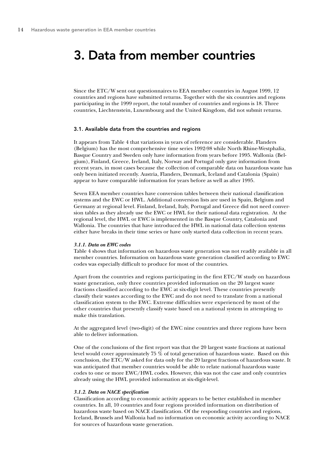### 3. Data from member countries

Since the ETC/W sent out questionnaires to EEA member countries in August 1999, 12 countries and regions have submitted returns. Together with the six countries and regions participating in the 1999 report, the total number of countries and regions is 18. Three countries, Liechtenstein, Luxembourg and the United Kingdom, did not submit returns.

#### 3.1. Available data from the countries and regions

It appears from Table 4 that variations in years of reference are considerable. Flanders (Belgium) has the most comprehensive time series 1992-98 while North Rhine-Westphalia, Basque Country and Sweden only have information from years before 1995. Wallonia (Belgium), Finland, Greece, Ireland, Italy, Norway and Portugal only gave information from recent years, in most cases because the collection of comparable data on hazardous waste has only been initiated recently. Austria, Flanders, Denmark, Iceland and Catalonia (Spain) appear to have comparable information for years before as well as after 1995.

Seven EEA member countries have conversion tables between their national classification systems and the EWC or HWL. Additional conversion lists are used in Spain, Belgium and Germany at regional level. Finland, Ireland, Italy, Portugal and Greece did not need conversion tables as they already use the EWC or HWL for their national data registration. At the regional level, the HWL or EWC is implemented in the Basque Country, Catalonia and Wallonia. The countries that have introduced the HWL in national data collection systems either have breaks in their time series or have only started data collection in recent years.

#### *3.1.1. Data on EWC codes*

Table 4 shows that information on hazardous waste generation was not readily available in all member countries. Information on hazardous waste generation classified according to EWC codes was especially difficult to produce for most of the countries.

Apart from the countries and regions participating in the first ETC/W study on hazardous waste generation, only three countries provided information on the 20 largest waste fractions classified according to the EWC at six-digit level. These countries presently classify their wastes according to the EWC and do not need to translate from a national classification system to the EWC. Extreme difficulties were experienced by most of the other countries that presently classify waste based on a national system in attempting to make this translation.

At the aggregated level (two-digit) of the EWC nine countries and three regions have been able to deliver information.

One of the conclusions of the first report was that the 20 largest waste fractions at national level would cover approximately 75 % of total generation of hazardous waste. Based on this conclusion, the ETC/W asked for data only for the 20 largest fractions of hazardous waste. It was anticipated that member countries would be able to relate national hazardous waste codes to one or more EWC/HWL codes. However, this was not the case and only countries already using the HWL provided information at six-digit-level.

#### *3.1.2. Data on NACE specification*

Classification according to economic activity appears to be better established in member countries. In all, 10 countries and four regions provided information on distribution of hazardous waste based on NACE classification. Of the responding countries and regions, Iceland, Brussels and Wallonia had no information on economic activity according to NACE for sources of hazardous waste generation.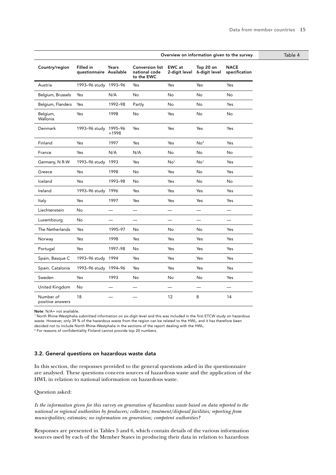|                               |                                      |          |                                                       |                                |                            | Overview on information given to the survey | Table 4 |
|-------------------------------|--------------------------------------|----------|-------------------------------------------------------|--------------------------------|----------------------------|---------------------------------------------|---------|
| Country/region                | Filled in<br>questionnaire Available | Years    | <b>Conversion list</b><br>national code<br>to the EWC | <b>EWC</b> at<br>2-digit level | Top 20 on<br>6-digit level | <b>NACE</b><br>specification                |         |
| Austria                       | 1993-96 study 1993-96                |          | Yes                                                   | Yes                            | Yes                        | Yes                                         |         |
| Belgium, Brussels             | Yes                                  | N/A      | No                                                    | No                             | No                         | <b>No</b>                                   |         |
| Belgium, Flanders             | Yes                                  | 1992-98  | Partly                                                | No                             | No                         | Yes                                         |         |
| Belgium,<br>Wallonia          | Yes                                  | 1998     | No                                                    | Yes                            | No                         | No                                          |         |
| Denmark                       | 1993-96 study 1995-96                | +1998    | Yes                                                   | Yes                            | Yes                        | Yes                                         |         |
| Finland                       | Yes                                  | 1997     | Yes                                                   | Yes                            | No <sup>2</sup>            | Yes                                         |         |
| France                        | Yes                                  | N/A      | N/A                                                   | No                             | No                         | No                                          |         |
| Germany, N R-W                | 1993-96 study 1993                   |          | Yes                                                   | No <sup>1</sup>                | No <sup>1</sup>            | Yes                                         |         |
| Greece                        | Yes                                  | 1998     | No                                                    | Yes                            | No                         | Yes                                         |         |
| Iceland                       | Yes                                  | 1993-98  | No                                                    | Yes                            | No                         | <b>No</b>                                   |         |
| Ireland                       | 1993-96 study 1996                   |          | Yes                                                   | Yes                            | Yes                        | Yes                                         |         |
| Italy                         | Yes                                  | 1997     | Yes                                                   | Yes                            | Yes                        | Yes                                         |         |
| Liechtenstein                 | No                                   | $\equiv$ | $\equiv$                                              | $\equiv$                       | $\equiv$                   | $\equiv$                                    |         |
| Luxembourg                    | No                                   |          | —                                                     |                                |                            |                                             |         |
| The Netherlands               | Yes                                  | 1995-97  | No                                                    | No                             | No                         | Yes                                         |         |
| Norway                        | Yes                                  | 1998     | Yes                                                   | Yes                            | Yes                        | Yes                                         |         |
| Portugal                      | Yes                                  | 1997-98  | No                                                    | Yes                            | Yes                        | Yes                                         |         |
| Spain, Basque C               | 1993-96 study 1994                   |          | Yes                                                   | Yes                            | Yes                        | Yes                                         |         |
| Spain, Catalonia              | 1993-96 study 1994-96                |          | Yes                                                   | Yes                            | Yes                        | Yes                                         |         |
| Sweden                        | Yes                                  | 1993     | No                                                    | No                             | No                         | Yes                                         |         |
| United Kingdom                | No                                   |          |                                                       |                                |                            |                                             |         |
| Number of<br>positive answers | 18                                   |          |                                                       | 12                             | 8                          | 14                                          |         |

Note: N/A= not available.

1 North Rhine-Westphalia submitted information on six-digit level and this was included in the first ETCW study on hazardous waste. However, only 39 % of the hazardous waste from the region can be related to the HWL, and it has therefore been decided not to include North Rhine-Westphalia in the sections of the report dealing with the HWL.

<sup>2</sup> For reasons of confidentiality Finland cannot provide top 20 numbers.

#### 3.2. General questions on hazardous waste data

In this section, the responses provided to the general questions asked in the questionnaire are analysed. These questions concern sources of hazardous waste and the application of the HWL in relation to national information on hazardous waste.

Question asked:

*Is the information given for this survey on generation of hazardous waste based on data reported to the national or regional authorities by producers; collectors; treatment/disposal facilities; reporting from municipalities; estimates; no information on generation; competent authorities?*

Responses are presented in Tables 5 and 6, which contain details of the various information sources used by each of the Member States in producing their data in relation to hazardous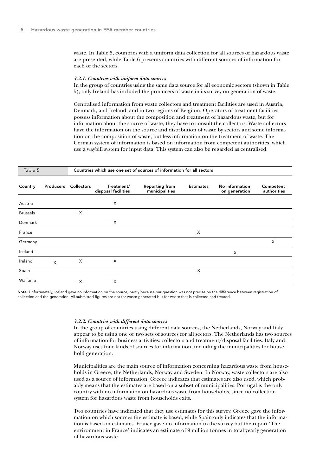waste. In Table 5, countries with a uniform data collection for all sources of hazardous waste are presented, while Table 6 presents countries with different sources of information for each of the sectors.

#### *3.2.1. Countries with uniform data sources*

In the group of countries using the same data source for all economic sectors (shown in Table 5), only Ireland has included the producers of waste in its survey on generation of waste.

Centralised information from waste collectors and treatment facilities are used in Austria, Denmark, and Ireland, and in two regions of Belgium. Operators of treatment facilities possess information about the composition and treatment of hazardous waste, but for information about the source of waste, they have to consult the collectors. Waste collectors have the information on the source and distribution of waste by sectors and some information on the composition of waste, but less information on the treatment of waste. The German system of information is based on information from competent authorities, which use a waybill system for input data. This system can also be regarded as centralised.

| Table 5         |           | Countries which use one set of sources of information for all sectors |                                   |                                         |                  |                                 |                          |  |  |  |
|-----------------|-----------|-----------------------------------------------------------------------|-----------------------------------|-----------------------------------------|------------------|---------------------------------|--------------------------|--|--|--|
| Country         | Producers | <b>Collectors</b>                                                     | Treatment/<br>disposal facilities | <b>Reporting from</b><br>municipalities | <b>Estimates</b> | No information<br>on generation | Competent<br>authorities |  |  |  |
| Austria         |           |                                                                       | X                                 |                                         |                  |                                 |                          |  |  |  |
| <b>Brussels</b> |           | X                                                                     |                                   |                                         |                  |                                 |                          |  |  |  |
| Denmark         |           |                                                                       | X                                 |                                         |                  |                                 |                          |  |  |  |
| France          |           |                                                                       |                                   |                                         | X                |                                 |                          |  |  |  |
| Germany         |           |                                                                       |                                   |                                         |                  |                                 | X                        |  |  |  |
| Iceland         |           |                                                                       |                                   |                                         |                  | Χ                               |                          |  |  |  |
| Ireland         | $\times$  | X                                                                     | X                                 |                                         |                  |                                 |                          |  |  |  |
| Spain           |           |                                                                       |                                   |                                         | X                |                                 |                          |  |  |  |
| Wallonia        |           | X                                                                     | X                                 |                                         |                  |                                 |                          |  |  |  |

Note: Unfortunately, Iceland gave no information on the source, partly because our question was not precise on the difference between registration of collection and the generation. All submitted figures are not for waste generated but for waste that is collected and treated.

#### *3.2.2. Countries with different data sources*

In the group of countries using different data sources, the Netherlands, Norway and Italy appear to be using one or two sets of sources for all sectors. The Netherlands has two sources of information for business activities: collectors and treatment/disposal facilities. Italy and Norway uses four kinds of sources for information, including the municipalities for household generation.

Municipalities are the main source of information concerning hazardous waste from households in Greece, the Netherlands, Norway and Sweden. In Norway, waste collectors are also used as a source of information. Greece indicates that estimates are also used, which probably means that the estimates are based on a subset of municipalities. Portugal is the only country with no information on hazardous waste from households, since no collection system for hazardous waste from households exits.

Two countries have indicated that they use estimates for this survey. Greece gave the information on which sources the estimate is based, while Spain only indicates that the information is based on estimates. France gave no information to the survey but the report 'The environment in France' indicates an estimate of 9 million tonnes in total yearly generation of hazardous waste.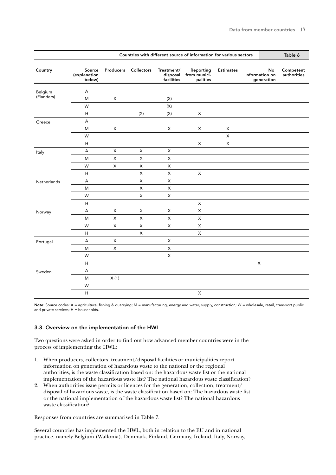|             | Countries with different source of information for various sectors |             |                |                                      |                                       |                           |  | Table 6                            |                          |
|-------------|--------------------------------------------------------------------|-------------|----------------|--------------------------------------|---------------------------------------|---------------------------|--|------------------------------------|--------------------------|
| Country     | Source<br>(explanation<br>below)                                   | Producers   | Collectors     | Treatment/<br>disposal<br>facilities | Reporting<br>from munici-<br>palities | <b>Estimates</b>          |  | No<br>information on<br>generation | Competent<br>authorities |
| Belgium     | Α                                                                  |             |                |                                      |                                       |                           |  |                                    |                          |
| (Flanders)  | ${\sf M}$                                                          | X           |                | $(\mathsf{X})$                       |                                       |                           |  |                                    |                          |
|             | W                                                                  |             |                | (X)                                  |                                       |                           |  |                                    |                          |
|             | H                                                                  |             | $(\mathsf{X})$ | $(\mathsf{X})$                       | $\mathsf X$                           |                           |  |                                    |                          |
| Greece      | A                                                                  |             |                |                                      |                                       |                           |  |                                    |                          |
|             | M                                                                  | X           |                | X                                    | X                                     | X                         |  |                                    |                          |
|             | W                                                                  |             |                |                                      |                                       | X                         |  |                                    |                          |
|             | H                                                                  |             |                |                                      | $\mathsf X$                           | $\boldsymbol{\mathsf{X}}$ |  |                                    |                          |
| Italy       | A                                                                  | X           | X              | X                                    |                                       |                           |  |                                    |                          |
|             | ${\sf M}$                                                          | $\mathsf X$ | X              | $\mathsf X$                          |                                       |                           |  |                                    |                          |
|             | W                                                                  | $\mathsf X$ | X              | $\mathsf X$                          |                                       |                           |  |                                    |                          |
|             | $\boldsymbol{\mathsf{H}}$                                          |             | X              | $\mathsf X$                          | $\mathsf X$                           |                           |  |                                    |                          |
| Netherlands | A                                                                  |             | X              | $\mathsf X$                          |                                       |                           |  |                                    |                          |
|             | M                                                                  |             | X              | X                                    |                                       |                           |  |                                    |                          |
|             | W                                                                  |             | X              | X                                    |                                       |                           |  |                                    |                          |
|             | H                                                                  |             |                |                                      | X                                     |                           |  |                                    |                          |
| Norway      | A                                                                  | X           | X              | X                                    | X                                     |                           |  |                                    |                          |
|             | ${\sf M}$                                                          | $\sf X$     | X              | $\mathsf X$                          | $\mathsf X$                           |                           |  |                                    |                          |
|             | W                                                                  | $\mathsf X$ | $\mathsf{X}$   | $\mathsf X$                          | $\mathsf X$                           |                           |  |                                    |                          |
|             | $\boldsymbol{\mathsf{H}}$                                          |             | X              |                                      | $\pmb{\times}$                        |                           |  |                                    |                          |
| Portugal    | A                                                                  | X           |                | $\mathsf X$                          |                                       |                           |  |                                    |                          |
|             | M                                                                  | X           |                | $\mathsf X$                          |                                       |                           |  |                                    |                          |
|             | W                                                                  |             |                | $\mathsf X$                          |                                       |                           |  |                                    |                          |
|             | $\boldsymbol{\mathsf{H}}$                                          |             |                |                                      |                                       |                           |  | X                                  |                          |
| Sweden      | A                                                                  |             |                |                                      |                                       |                           |  |                                    |                          |
|             | ${\sf M}$                                                          | X(1)        |                |                                      |                                       |                           |  |                                    |                          |
|             | W                                                                  |             |                |                                      |                                       |                           |  |                                    |                          |
|             | $\mathsf{H}%$                                                      |             |                |                                      | $\mathsf X$                           |                           |  |                                    |                          |

Note: Source codes: A = agriculture, fishing & quarrying; M = manufacturing, energy and water, supply, construction; W = wholesale, retail, transport public and private services; H = households.

#### 3.3. Overview on the implementation of the HWL

Two questions were asked in order to find out how advanced member countries were in the process of implementing the HWL:

- 1. When producers, collectors, treatment/disposal facilities or municipalities report information on generation of hazardous waste to the national or the regional authorities, is the waste classification based on: the hazardous waste list or the national implementation of the hazardous waste list? The national hazardous waste classification?
- 2. When authorities issue permits or licences for the generation, collection, treatment/ disposal of hazardous waste, is the waste classification based on: The hazardous waste list or the national implementation of the hazardous waste list? The national hazardous waste classification?

Responses from countries are summarised in Table 7.

Several countries has implemented the HWL, both in relation to the EU and in national practice, namely Belgium (Wallonia), Denmark, Finland, Germany, Ireland, Italy, Norway,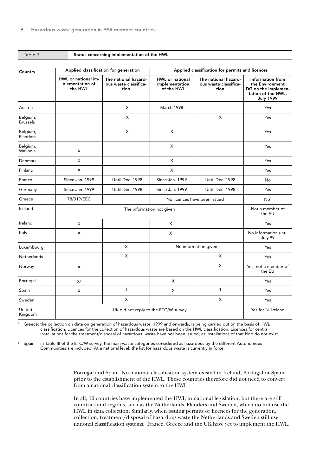| Table 7                     |                                                            | Status concerning implementation of the HWL           |                                                 |                                                       |                                                                                                      |  |  |  |  |  |  |
|-----------------------------|------------------------------------------------------------|-------------------------------------------------------|-------------------------------------------------|-------------------------------------------------------|------------------------------------------------------------------------------------------------------|--|--|--|--|--|--|
| Country                     |                                                            | Applied classification for generation                 | Applied classification for permits and licences |                                                       |                                                                                                      |  |  |  |  |  |  |
|                             | HWL or national im-<br>plementation of<br>the HWL          | The national hazard-<br>ous waste classifica-<br>tion | HWL or national<br>implementation<br>of the HWL | The national hazard-<br>ous waste classifica-<br>tion | Information from<br>the Environment<br>DG on the implemen-<br>tation of the HWL,<br><b>July 1999</b> |  |  |  |  |  |  |
| Austria                     |                                                            | X                                                     | March 1998                                      |                                                       | Yes                                                                                                  |  |  |  |  |  |  |
| Belgium,<br><b>Brussels</b> |                                                            | X                                                     |                                                 | X                                                     | Yes                                                                                                  |  |  |  |  |  |  |
| Belgium,<br><b>Flanders</b> |                                                            | $\pmb{\times}$                                        | X                                               |                                                       | Yes                                                                                                  |  |  |  |  |  |  |
| Belgium,<br>Wallonia        | X                                                          |                                                       | X                                               |                                                       | Yes                                                                                                  |  |  |  |  |  |  |
| Denmark                     | X                                                          |                                                       | X                                               |                                                       | Yes                                                                                                  |  |  |  |  |  |  |
| Finland                     | X                                                          |                                                       | X                                               |                                                       | Yes                                                                                                  |  |  |  |  |  |  |
| France                      | Since Jan. 1999                                            | Until Dec. 1998                                       | Since Jan. 1999                                 | Until Dec. 1998                                       | No                                                                                                   |  |  |  |  |  |  |
| Germany                     | Since Jan. 1999                                            | Until Dec. 1998                                       | Since Jan. 1999                                 | Until Dec. 1998                                       | Yes                                                                                                  |  |  |  |  |  |  |
| Greece                      | 78/319/EEC                                                 |                                                       |                                                 | No licences have been issued 1                        | No <sup>1</sup>                                                                                      |  |  |  |  |  |  |
| Iceland                     |                                                            | The information not given                             |                                                 |                                                       | Not a member of<br>the EU                                                                            |  |  |  |  |  |  |
| Ireland                     | X                                                          |                                                       | X                                               |                                                       | Yes                                                                                                  |  |  |  |  |  |  |
| Italy                       | X                                                          |                                                       | X                                               |                                                       | No information until<br>July 99                                                                      |  |  |  |  |  |  |
| Luxembourg                  |                                                            | X                                                     |                                                 | No information given                                  | Yes                                                                                                  |  |  |  |  |  |  |
| Netherlands                 |                                                            | X                                                     |                                                 | X                                                     | Yes                                                                                                  |  |  |  |  |  |  |
| Norway                      | X                                                          |                                                       |                                                 | X                                                     | Yes, not a member of<br>the EU                                                                       |  |  |  |  |  |  |
| Portugal                    | $\mathsf{X}^2$                                             |                                                       | X                                               |                                                       | Yes                                                                                                  |  |  |  |  |  |  |
| Spain                       | X                                                          | $\mathbf{1}$                                          | X                                               | $\mathbf{1}$                                          | Yes                                                                                                  |  |  |  |  |  |  |
| Sweden                      |                                                            | X                                                     |                                                 | X                                                     | Yes                                                                                                  |  |  |  |  |  |  |
| United<br>Kingdom           | Yes for N. Ireland<br>UK did not reply to the ETC/W survey |                                                       |                                                 |                                                       |                                                                                                      |  |  |  |  |  |  |

<sup>1</sup> Greece: the collection on data on generation of hazardous waste, 1999 and onwards, is being carried out on the basis of HWL classification. Licences for the collection of hazardous waste are based on the HWL classification. Licences for central installations for the treatment/disposal of hazardous waste have not been issued, as installations of that kind do not exist.

<sup>2</sup> Spain: in Table III of the ETC/W survey, the main waste categories considered as hazardous by the different Autonomous Communities are included. At a national level, the list for hazardous waste is currently in force.

> Portugal and Spain. No national classification system existed in Ireland, Portugal or Spain prior to the establishment of the HWL. These countries therefore did not need to convert from a national classification system to the HWL.

In all, 10 countries have implemented the HWL in national legislation, but there are still countries and regions, such as the Netherlands, Flanders and Sweden, which do not use the HWL in data collection. Similarly, when issuing permits or licences for the generation, collection, treatment/disposal of hazardous waste the Netherlands and Sweden still use national classification systems. France, Greece and the UK have yet to implement the HWL.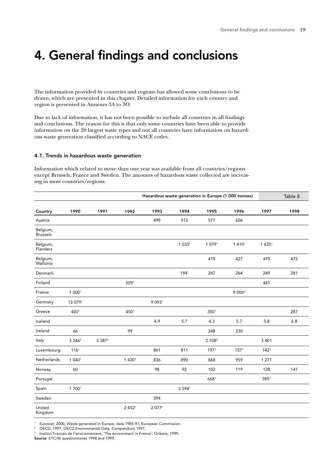### 4. General findings and conclusions

The information provided by countries and regions has allowed some conclusions to be drawn, which are presented in this chapter. Detailed information for each country and region is presented in Annexes 3A to 3O.

Due to lack of information, it has not been possible to include all countries in all findings and conclusions. The reason for this is that only some countries have been able to provide information on the 20 largest waste types and not all countries have information on hazardous waste generation classified according to NACE codes.

#### 4.1. Trends in hazardous waste generation

Information which related to more than one year was available from all countries/regions except Brussels, France and Sweden. The amounts of hazardous waste collected are increasing in most countries/regions.

|                             |                  |           |                   |                      |                      |                    | Hazardous waste generation in Europe (1 000 tonnes) |                   | Table 8 |
|-----------------------------|------------------|-----------|-------------------|----------------------|----------------------|--------------------|-----------------------------------------------------|-------------------|---------|
| Country                     | 1990             | 1991      | 1992              | 1993                 | 1994                 | 1995               | 1996                                                | 1997              | 1998    |
| Austria                     |                  |           |                   | 499                  | 513                  | 577                | 606                                                 |                   |         |
| Belgium,<br><b>Brussels</b> |                  |           |                   |                      |                      |                    |                                                     |                   |         |
| Belgium,<br>Flanders        |                  |           |                   |                      | 1 0 3 3 <sup>1</sup> | 1 0791             | 1 4 1 0 1                                           | 1625 <sup>1</sup> |         |
| Belgium,<br>Wallonia        |                  |           |                   |                      |                      | 419                | 427                                                 | 470               | 475     |
| Denmark                     |                  |           |                   |                      | 1941                 | 247                | 264                                                 | 249               | 281     |
| Finland                     |                  |           | 5591              |                      |                      |                    |                                                     | 481               |         |
| France                      | 7 0001           |           |                   |                      |                      |                    | 9 0003                                              |                   |         |
| Germany                     | 13 0791          |           |                   | 9 0 9 3 <sup>1</sup> |                      |                    |                                                     |                   |         |
| Greece                      | 4501             |           | 4501              |                      |                      | 350 <sup>1</sup>   |                                                     |                   | 287     |
| Iceland                     |                  |           |                   | 4.9                  | 5.7                  | 4.3                | 5.7                                                 | 5.8               | 6.8     |
| Ireland                     | 66               |           | 99                |                      |                      | 248                | 230                                                 |                   |         |
| Italy                       | 3 2 4 6 2        | 3 3 8 7 2 |                   |                      |                      | 2 708 <sup>2</sup> |                                                     | 3 4 0 1           |         |
| Luxembourg                  | 116 <sup>1</sup> |           |                   | 861                  | 811                  | 1971               | 157 <sup>1</sup>                                    | 142 <sup>1</sup>  |         |
| Netherlands                 | 1 0401           |           | 1 4 3 0 1         | 836                  | 890                  | 868                | 959                                                 | 1 2 7 1           |         |
| Norway                      | 60               |           |                   | 98                   | 92                   | 102                | 119                                                 | 128               | 141     |
| Portugal                    |                  |           |                   |                      |                      | 6681               |                                                     | 5951              |         |
| Spain                       | 1 7001           |           |                   |                      | 3 3 9 4 1            |                    |                                                     |                   |         |
| Sweden                      |                  |           |                   | 394                  |                      |                    |                                                     |                   |         |
| United<br>Kingdom           |                  |           | 2452 <sup>1</sup> | 2 0771               |                      |                    |                                                     |                   |         |

<sup>1</sup> Eurostat, 2000, Waste generated in Europe, data 1985-97, European Commission.<br>2 OECD 1997, OECD Environmental Data Compondium 1997.

OECD, 1997, OECD Environmental Data. Compendium 1997.

Institut Francais de l'environnement, 'The environment in France', Orléans, 1999. Source: ETC/W questionnaires 1998 and 1999.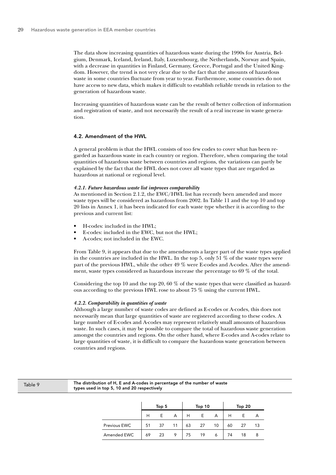The data show increasing quantities of hazardous waste during the 1990s for Austria, Belgium, Denmark, Iceland, Ireland, Italy, Luxembourg, the Netherlands, Norway and Spain, with a decrease in quantities in Finland, Germany, Greece, Portugal and the United Kingdom. However, the trend is not very clear due to the fact that the amounts of hazardous waste in some countries fluctuate from year to year. Furthermore, some countries do not have access to new data, which makes it difficult to establish reliable trends in relation to the generation of hazardous waste.

Increasing quantities of hazardous waste can be the result of better collection of information and registration of waste, and not necessarily the result of a real increase in waste generation.

#### 4.2. Amendment of the HWL

A general problem is that the HWL consists of too few codes to cover what has been regarded as hazardous waste in each country or region. Therefore, when comparing the total quantities of hazardous waste between countries and regions, the variations can partly be explained by the fact that the HWL does not cover all waste types that are regarded as hazardous at national or regional level.

#### *4.2.1. Future hazardous waste list improves comparability*

As mentioned in Section 2.1.2, the EWC/HWL list has recently been amended and more waste types will be considered as hazardous from 2002. In Table 11 and the top 10 and top 20 lists in Annex 1, it has been indicated for each waste type whether it is according to the previous and current list:

- H-codes: included in the HWL;
- E-codes: included in the EWC, but not the HWL;
- A-codes; not included in the EWC.

From Table 9, it appears that due to the amendments a larger part of the waste types applied in the countries are included in the HWL. In the top 5, only 51  $\%$  of the waste types were part of the previous HWL, while the other 49 % were E-codes and A-codes. After the amendment, waste types considered as hazardous increase the percentage to 69 % of the total.

Considering the top 10 and the top 20, 60  $\%$  of the waste types that were classified as hazardous according to the previous HWL rose to about 75 % using the current HWL.

#### *4.2.2. Comparability in quantities of waste*

Although a large number of waste codes are defined as E-codes or A-codes, this does not necessarily mean that large quantities of waste are registered according to these codes. A large number of E-codes and A-codes may represent relatively small amounts of hazardous waste. In such cases, it may be possible to compare the total of hazardous waste generation amongst the countries and regions. On the other hand, where E-codes and A-codes relate to large quantities of waste, it is difficult to compare the hazardous waste generation between countries and regions.

| Table 9 |  |  |  |
|---------|--|--|--|
|---------|--|--|--|

The distribution of H, E and A-codes in percentage of the number of waste types used in top 5, 10 and 20 respectively

|              |    | Top 5 |                |    | Top 10 |                | Top $20$ |     |    |  |  |
|--------------|----|-------|----------------|----|--------|----------------|----------|-----|----|--|--|
|              | н  | F.    | $\overline{A}$ | H  | $-E$   | $\overline{A}$ |          | F.  |    |  |  |
| Previous EWC | 51 |       | 37 11          | 63 | 27     | 10             | 60       | -27 | 13 |  |  |
| Amended EWC  | 69 |       | 23 9           | 75 |        | 19 6           | 74       | 18  |    |  |  |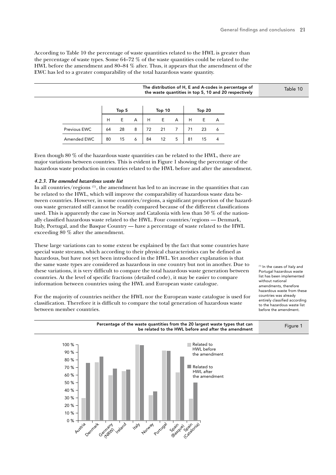According to Table 10 the percentage of waste quantities related to the HWL is greater than the percentage of waste types. Some 64–72 % of the waste quantities could be related to the HWL before the amendment and 80–84 % after. Thus, it appears that the amendment of the EWC has led to a greater comparability of the total hazardous waste quantity.

|              |    |       |   |    |        |   |    |        |   | The distribution of H, E and A-codes in percentage of<br>the waste quantities in top 5, 10 and 20 respectively |  | Table 10 |
|--------------|----|-------|---|----|--------|---|----|--------|---|----------------------------------------------------------------------------------------------------------------|--|----------|
|              |    | Top 5 |   |    | Top 10 |   |    | Top 20 |   |                                                                                                                |  |          |
|              | H  | E     | A | H  | E      | A | H  | Е      | A |                                                                                                                |  |          |
| Previous EWC | 64 | 28    | 8 | 72 | 21     |   | 71 | 23     | 6 |                                                                                                                |  |          |
| Amended EWC  | 80 | 15    | 6 | 84 | 12     | 5 | 81 | 15     | 4 |                                                                                                                |  |          |
|              |    |       |   |    |        |   |    |        |   |                                                                                                                |  |          |

Even though 80 % of the hazardous waste quantities can be related to the HWL, there are major variations between countries. This is evident in Figure 1 showing the percentage of the hazardous waste production in countries related to the HWL before and after the amendment.

#### *4.2.3. The amended hazardous waste list*

between member countries.

In all countries/regions<sup>(1)</sup>, the amendment has led to an increase in the quantities that can be related to the HWL, which will improve the comparability of hazardous waste data between countries. However, in some countries/regions, a significant proportion of the hazardous waste generated still cannot be readily compared because of the different classifications used. This is apparently the case in Norway and Catalonia with less than 50 % of the nationally classified hazardous waste related to the HWL. Four countries/regions — Denmark, Italy, Portugal, and the Basque Country — have a percentage of waste related to the HWL exceeding 80 % after the amendment.

These large variations can to some extent be explained by the fact that some countries have special waste streams, which according to their physical characteristics can be defined as hazardous, but have not yet been introduced in the HWL. Yet another explanation is that the same waste types are considered as hazardous in one country but not in another. Due to these variations, it is very difficult to compare the total hazardous waste generation between countries. At the level of specific fractions (detailed code), it may be easier to compare information between countries using the HWL and European waste catalogue.

For the majority of countries neither the HWL nor the European waste catalogue is used for classification. Therefore it is difficult to compare the total generation of hazardous waste

Portugal hazardous waste list has been implemented without national amendments, therefore hazardous waste from these countries was already entirely classified according to the hazardous waste list before the amendment.

(1) In the cases of Italy and

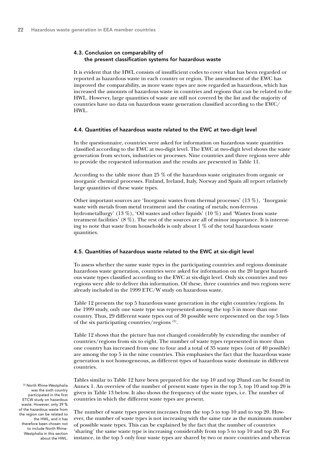#### 4.3. Conclusion on comparability of the present classification systems for hazardous waste

It is evident that the HWL consists of insufficient codes to cover what has been regarded or reported as hazardous waste in each country or region. The amendment of the EWC has improved the comparability, as more waste types are now regarded as hazardous, which has increased the amounts of hazardous waste in countries and regions that can be related to the HWL. However, large quantities of waste are still not covered by the list and the majority of countries have no data on hazardous waste generation classified according to the EWC/ HWL.

#### 4.4. Quantities of hazardous waste related to the EWC at two-digit level

In the questionnaire, countries were asked for information on hazardous waste quantities classified according to the EWC at two-digit level. The EWC at two-digit level shows the waste generation from sectors, industries or processes. Nine countries and three regions were able to provide the requested information and the results are presented in Table 11.

According to the table more than 25 % of the hazardous waste originates from organic or inorganic chemical processes. Finland, Ireland, Italy, Norway and Spain all report relatively large quantities of these waste types.

Other important sources are 'Inorganic wastes from thermal processes' (13 %), 'Inorganic waste with metals from metal treatment and the coating of metals; non-ferrous hydrometallurgy' (13 %), 'Oil wastes and other liquids' (10 %) and 'Wastes from waste treatment facilities' (8 %). The rest of the sources are all of minor importance. It is interesting to note that waste from households is only about  $1\%$  of the total hazardous waste quantities.

#### 4.5. Quantities of hazardous waste related to the EWC at six-digit level

To assess whether the same waste types in the participating countries and regions dominate hazardous waste generation, countries were asked for information on the 20 largest hazardous waste types classified according to the EWC at six-digit level. Only six countries and two regions were able to deliver this information. Of these, three countries and two regions were already included in the 1999 ETC/W study on hazardous waste.

Table 12 presents the top 5 hazardous waste generation in the eight countries/regions. In the 1999 study, only one waste type was represented among the top 5 in more than one country. Thus, 29 different waste types out of 30 possible were represented on the top 5 lists of the six participating countries/regions (2).

Table 12 shows that the picture has not changed considerably by extending the number of countries/regions from six to eight. The number of waste types represented in more than one country has increased from one to four and a total of 35 waste types (out of 40 possible) are among the top 5 in the nine countries. This emphasises the fact that the hazardous waste generation is not homogeneous, as different types of hazardous waste dominate in different countries.

Tables similar to Table 12 have been prepared for the top 10 and top 20and can be found in Annex 1. An overview of the number of present waste types in the top 5, top 10 and top 20 is given in Table 13 below. It also shows the frequency of the waste types, i.e. The number of countries in which the different waste types are present.

The number of waste types present increases from the top 5 to top 10 and to top 20. However, the number of waste types is not increasing with the same rate as the maximum number of possible waste types. This can be explained by the fact that the number of countries 'sharing' the same waste type is increasing considerably from top 5 to top 10 and top 20. For instance, in the top 5 only four waste types are shared by two or more countries and whereas

(2) North Rhine-Westphalia was the sixth country participated in the first ETCW study on hazardous waste. However, only 39 % of the hazardous waste from the region can be related to the HWL, and it has therefore been chosen not to include North Rhine-Westphalia in this section about the HWL.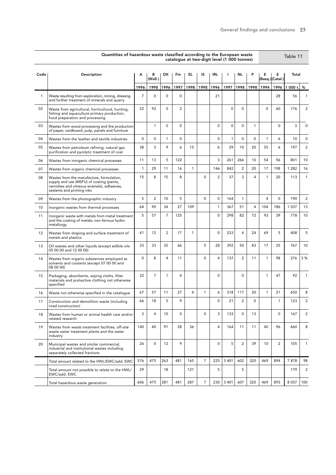|              | Quantities of hazardous waste classified according to the European waste                                                                                            |                |                |                |                |                |                |                | catalogue at two-digit level (1 000 tonnes) |                |             |              |                       | Table 11        |                |
|--------------|---------------------------------------------------------------------------------------------------------------------------------------------------------------------|----------------|----------------|----------------|----------------|----------------|----------------|----------------|---------------------------------------------|----------------|-------------|--------------|-----------------------|-----------------|----------------|
| Code         | Description                                                                                                                                                         | А              | в<br>(Wall.)   | DK.            | Fin            | EL.            | IS             | IRL.           |                                             | NL.            | P           | Е            | Е<br>(Basq.) (Catal.) | Total           |                |
|              |                                                                                                                                                                     | 1996           | 1998           | 1996           | 1997           | 1998           | 1998           | 1996           | 1997                                        | 1998           | 1998        | 1994         | 1996                  | 000 t. $%$<br>1 |                |
| $\mathbf{1}$ | Waste resulting from exploration, mining, dressing<br>and further treatment of minerals and quarry                                                                  | $\overline{7}$ | 0              | $\mathbf 0$    | $\mathbf 0$    |                |                | 21             |                                             |                |             |              | 28                    | 56              | 1              |
| 02           | Waste from agricultural, horticultural, hunting,<br>fishing and aquaculture primary production,<br>food preparation and processing                                  | 22             | 92             | $\mathbf 0$    | $\overline{2}$ |                |                |                | 0                                           | $\mathbf 0$    |             | 0            | 60                    | 176             | 2              |
| 03           | Wastes from wood processing and the production<br>of paper, cardboard, pulp, panels and furniture                                                                   |                | 1              | $\mathbf 0$    | $\Omega$       |                |                | $\mathbf 0$    | $\mathbf 0$                                 | $\Omega$       | 1           |              | $\Omega$              | 3               | 0              |
| 04           | Wastes from the leather and textile industries                                                                                                                      | 0              | 0              | $\mathbf{1}$   | $\mathbf 0$    |                |                | 0              | $\mathbf{1}$                                | $\Omega$       | $\mathbf 0$ | $\mathbf{1}$ | 6                     | 10              | 0              |
| 05           | Wastes from petroleum refining, natural gas<br>purification and pyrolytic treatment of coal                                                                         | 38             | 3              | 9              | 6              | 15             |                | 6              | 29                                          | 10             | 20          | 55           | 6                     | 197             | $\overline{c}$ |
| 06           | Wastes from inorganic chemical processes                                                                                                                            | 11             | 13             | 5              | 122            |                |                | 3              | 261                                         | 266            | 10          | 54           | 56                    | 801             | 10             |
| 07           | Wastes from organic chemical processes                                                                                                                              | $\mathbf{1}$   | 29             | 11             | 16             | $\mathbf{1}$   |                | 146            | 842                                         | $\overline{c}$ | 20          | 17           | 198                   | 1 2 8 2         | 16             |
| 08           | Wastes from the manufacture, formulation,<br>supply and use (MSFU) of coating (paints,<br>varnishes and vitreous enamels), adhesives,<br>sealants and printing inks | 15             | 8              | 15             | 8              |                | $\mathbf 0$    | $\overline{2}$ | 37                                          | 3              | 4           | $\mathbf{1}$ | 20                    | 113             | 1              |
| 09           | Wastes from the photographic industry                                                                                                                               | 5              | $\overline{c}$ | 10             | 5              |                | $\Omega$       | 0              | 164                                         | $\mathbf{1}$   |             | 4            | $\Omega$              | 190             | $\overline{c}$ |
| 10           | Inorganic wastes from thermal processes                                                                                                                             | 64             | 90             | 34             | 27             | 109            |                | $\mathbf{1}$   | 367                                         | 51             | 4           | 104          | 186                   | 1 0 3 7         | 13             |
| 11           | Inorganic waste with metals from metal treatment<br>and the coating of metals; non-ferrous hydro-<br>metallurgy                                                     | 5              | 57             | $\overline{7}$ | 125            |                |                | 0              | 298                                         | 82             | 72          | 93           | 39                    | 778             | 10             |
| 12           | Wastes from shaping and surface treatment of<br>metals and plastics                                                                                                 | 41             | 12             | $\overline{2}$ | 17             | $\mathbf{1}$   |                | 0              | 233                                         | $\overline{4}$ | 24          | 69           | 5                     | 408             | 5              |
| 13           | Oil wastes and other liquids (except edible oils<br>05 00 00 and 12 00 00)                                                                                          | 33             | 33             | 35             | 66             |                | 5              | 28             | 392                                         | 50             | 83          | 17           | 25                    | 767             | 10             |
| 14           | Wastes from organic substances employed as<br>solvents and coolants (except 07 00 00 and<br>08 00 00)                                                               | $\mathbf 0$    | 8              | $\overline{4}$ | 11             |                | $\mathbf 0$    | $\overline{4}$ | 137                                         | 2              | 11          | $\mathbf{1}$ | 98                    | 276             | 3%             |
| 15           | Packaging, absorbents, wiping cloths, filter<br>materials and protective clothing not otherwise<br>specified                                                        | 32             | $\overline{7}$ | $\mathbf{1}$   | 4              |                |                | 0              |                                             | $\mathbf 0$    |             | $\mathbf{1}$ | 47                    | 92              | 1              |
| 16           | Waste not otherwise specified in the catalogue                                                                                                                      | 67             | 57             | 11             | 27             | $\overline{4}$ | $\mathbf{1}$   | 6              | 318                                         | 117            | 20          | $\mathbf{1}$ | 21                    | 650             | 8              |
| 17           | Construction and demolition waste (including<br>road construction)                                                                                                  | 66             | 18             | 5              | 9              |                |                | 0              | 21                                          | $\overline{2}$ | 0           |              | 1                     | 123             | 2              |
| 18           | Wastes from human or animal health care and/or<br>related research                                                                                                  | 3              | 4              | 10             | 0              |                | $\Omega$       | 3              | 133                                         | $\Omega$       | 13          |              | $\Omega$              | 167             | $\overline{2}$ |
| 19           | Wastes from waste treatment facilities, off-site<br>waste water treatment plants and the water<br>industry                                                          | 140            | 40             | 91             | 28             | 36             |                | 4              | 164                                         | 11             | 11          | 40           | 96                    | 660             | 8              |
| 20           | Municipal wastes and similar commercial,<br>industrial and institutional wastes including<br>separately collected fractions                                         | 26             | 0              | 12             | 9              |                |                | 0              | 5                                           | $\overline{2}$ | 39          | 10           | $\overline{2}$        | 105             | 1              |
|              | Total amount related to the HWL/EWC/add. EWC                                                                                                                        | 576            | 475            | 263            | 481            | 165            | $\overline{7}$ | 225            | 3 4 0 1                                     | 602            | 320         | 469          | 894                   | 7878            | 98             |
|              | Total amount not possible to relate to the HWL/<br>EWC/add. EWC                                                                                                     | 29             |                | 18             |                | 121            |                | 5              |                                             | 5              |             |              |                       | 179             | 2              |
|              | Total hazardous waste generation                                                                                                                                    | 606            | 475            | 281            | 481            | 287            | $\overline{7}$ | 230            | 3 4 0 1                                     | 607            | 320         | 469          | 893                   | 8 0 5 7         | 100            |

 $\overline{\phantom{0}}$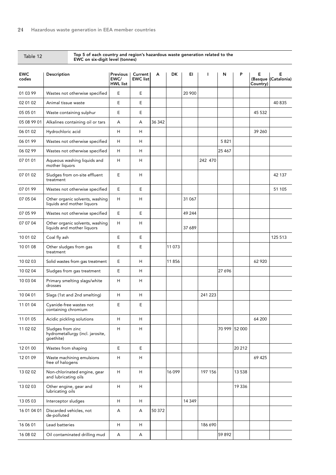| Table TZ            | EWC on six-digit level (tonnes)                                    |                                            |                            |        |       |        |         |         |               |               |                          |
|---------------------|--------------------------------------------------------------------|--------------------------------------------|----------------------------|--------|-------|--------|---------|---------|---------------|---------------|--------------------------|
| <b>EWC</b><br>codes | Description                                                        | <b>Previous</b><br>EWC/<br><b>HWL list</b> | Current<br><b>EWC list</b> | A      | DK    | EI.    | L       | N       | P             | Е<br>Country) | Е<br>(Basque (Catalonia) |
| 01 03 99            | Wastes not otherwise specified                                     | E                                          | E                          |        |       | 20 900 |         |         |               |               |                          |
| 02 01 02            | Animal tissue waste                                                | E                                          | E                          |        |       |        |         |         |               |               | 40 835                   |
| 05 05 01            | Waste containing sulphur                                           | E                                          | $\mathsf E$                |        |       |        |         |         |               | 45 532        |                          |
| 05 08 99 01         | Alkalines containing oil or tars                                   | А                                          | А                          | 36 342 |       |        |         |         |               |               |                          |
| 06 01 02            | Hydrochloric acid                                                  | Н                                          | н                          |        |       |        |         |         |               | 39 260        |                          |
| 06 01 99            | Wastes not otherwise specified                                     | Н                                          | H                          |        |       |        |         | 5821    |               |               |                          |
| 06 02 99            | Wastes not otherwise specified                                     | H                                          | H                          |        |       |        |         | 25 4 67 |               |               |                          |
| 07 01 01            | Aqueous washing liquids and<br>mother liquors                      | Н                                          | н                          |        |       |        | 242 470 |         |               |               |                          |
| 07 01 02            | Sludges from on-site effluent<br>treatment                         | E                                          | н                          |        |       |        |         |         |               |               | 42 137                   |
| 07 01 99            | Wastes not otherwise specified                                     | Е                                          | E                          |        |       |        |         |         |               |               | 51 105                   |
| 07 05 04            | Other organic solvents, washing<br>liquids and mother liquors      | Н                                          | н                          |        |       | 31 067 |         |         |               |               |                          |
| 07 05 99            | Wastes not otherwise specified                                     | E                                          | E                          |        |       | 49 244 |         |         |               |               |                          |
| 07 07 04            | Other organic solvents, washing<br>liquids and mother liquors      | Н                                          | н                          |        |       | 37 689 |         |         |               |               |                          |
| 10 01 02            | Coal fly ash                                                       | Е                                          | E                          |        |       |        |         |         |               |               | 125 513                  |
| 10 01 08            | Other sludges from gas<br>treatment                                | Е                                          | E                          |        | 11073 |        |         |         |               |               |                          |
| 10 02 03            | Solid wastes from gas treatment                                    | E                                          | H                          |        | 11856 |        |         |         |               | 62 9 20       |                          |
| 10 02 04            | Sludges from gas treatment                                         | E                                          | н                          |        |       |        |         | 27 696  |               |               |                          |
| 10 03 04            | Primary smelting slags/white<br>drosses                            | Н                                          | н                          |        |       |        |         |         |               |               |                          |
| 10 04 01            | Slags (1st and 2nd smelting)                                       | Н                                          | H                          |        |       |        | 241 223 |         |               |               |                          |
| 11 01 04            | Cyanide-free wastes not<br>containing chromium                     | E                                          | E                          |        |       |        |         |         |               |               |                          |
| 11 01 05            | Acidic pickling solutions                                          | H                                          | H                          |        |       |        |         |         |               | 64 200        |                          |
| 11 02 02            | Sludges from zinc<br>hydrometallurgy (incl. jarosite,<br>goethite) | H                                          | H                          |        |       |        |         |         | 70 999 52 000 |               |                          |
| 12 01 00            | Wastes from shaping                                                | E                                          | E                          |        |       |        |         |         | 20 21 2       |               |                          |
| 12 01 09            | Waste machining emulsions<br>free of halogens                      | H                                          | н                          |        |       |        |         |         |               | 69 4 25       |                          |
| 13 02 02            | Non-chlorinated engine, gear<br>and lubricating oils               | Н                                          | н                          |        | 16099 |        | 197 156 |         | 13 538        |               |                          |
| 13 02 03            | Other engine, gear and<br>lubricating oils                         | H                                          | H                          |        |       |        |         |         | 19 3 36       |               |                          |
| 13 05 03            | Interceptor sludges                                                | H                                          | H                          |        |       | 14 349 |         |         |               |               |                          |
| 16 01 04 01         | Discarded vehicles, not<br>de-polluted                             | A                                          | A                          | 50 372 |       |        |         |         |               |               |                          |
| 16 06 01            | Lead batteries                                                     | H                                          | H                          |        |       |        | 186 690 |         |               |               |                          |
| 16 08 02            | Oil contaminated drilling mud                                      | A                                          | Α                          |        |       |        |         | 59 892  |               |               |                          |

### Table 12 Top 5 of each country and region's hazardous waste generation related to the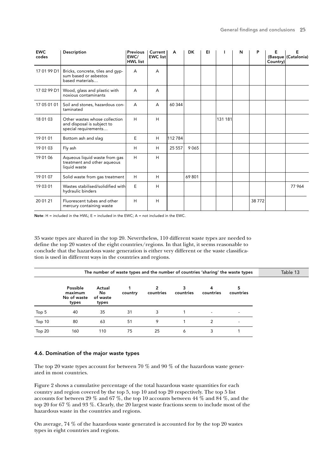| <b>EWC</b><br>codes | Description                                                                         | <b>Previous</b><br>EWC/<br><b>HWL</b> list | Current<br><b>EWC</b> list | A        | <b>DK</b> | EI |         | N | P     | Е<br>Country) | Е<br>(Basque (Catalonia) |
|---------------------|-------------------------------------------------------------------------------------|--------------------------------------------|----------------------------|----------|-----------|----|---------|---|-------|---------------|--------------------------|
| 17 01 99 D1         | Bricks, concrete, tiles and gyp-<br>sum based or asbestos<br>based materials        | A                                          | A                          |          |           |    |         |   |       |               |                          |
| 17 02 99 D1         | Wood, glass and plastic with<br>noxious contaminants                                | A                                          | A                          |          |           |    |         |   |       |               |                          |
| 17 05 01 01         | Soil and stones, hazardous con-<br>taminated                                        | A                                          | A                          | 60 344   |           |    |         |   |       |               |                          |
| 18 01 03            | Other wastes whose collection<br>and disposal is subject to<br>special requirements | H                                          | H                          |          |           |    | 131 181 |   |       |               |                          |
| 19 01 01            | Bottom ash and slag                                                                 | E                                          | H                          | 112784   |           |    |         |   |       |               |                          |
| 19 01 03            | Fly ash                                                                             | H                                          | H                          | 25 5 5 7 | 9065      |    |         |   |       |               |                          |
| 19 01 06            | Aqueous liquid waste from gas<br>treatment and other aqueous<br>liquid waste        | H                                          | H                          |          |           |    |         |   |       |               |                          |
| 19 01 07            | Solid waste from gas treatment                                                      | H                                          | H                          |          | 69801     |    |         |   |       |               |                          |
| 19 03 01            | Wastes stabilised/solidified with<br>hydraulic binders                              | E                                          | H                          |          |           |    |         |   |       |               | 77964                    |
| 20 01 21            | Fluorescent tubes and other<br>mercury containing waste                             | H                                          | H                          |          |           |    |         |   | 38772 |               |                          |

Note:  $H =$  included in the HWL;  $E =$  included in the EWC;  $A =$  not included in the EWC.

35 waste types are shared in the top 20. Nevertheless, 110 different waste types are needed to define the top 20 wastes of the eight countries/regions. In that light, it seems reasonable to conclude that the hazardous waste generation is either very different or the waste classification is used in different ways in the countries and regions.

|        |                                             |                                    |         |                |           |                          | The number of waste types and the number of countries 'sharing' the waste types | Table 13 |
|--------|---------------------------------------------|------------------------------------|---------|----------------|-----------|--------------------------|---------------------------------------------------------------------------------|----------|
|        | Possible<br>maximum<br>No of waste<br>types | Actual<br>No.<br>of waste<br>types | country | 2<br>countries | countries | 4<br>countries           | 5<br>countries                                                                  |          |
| Top 5  | 40                                          | 35                                 | 31      | 3              |           | $\overline{\phantom{a}}$ |                                                                                 |          |
| Top 10 | 80                                          | 63                                 | 51      | 9              |           | $\mathcal{P}$            |                                                                                 |          |
| Top 20 | 160                                         | 110                                | 75      | 25             | 6         | 3                        |                                                                                 |          |

#### 4.6. Domination of the major waste types

The top 20 waste types account for between 70 % and 90 % of the hazardous waste generated in most countries.

Figure 2 shows a cumulative percentage of the total hazardous waste quantities for each country and region covered by the top 5, top 10 and top 20 respectively. The top 5 list accounts for between 29 % and 67 %, the top 10 accounts between 44 % and 84 %, and the top 20 for 67 % and 93 %. Clearly, the 20 largest waste fractions seem to include most of the hazardous waste in the countries and regions.

On average, 74 % of the hazardous waste generated is accounted for by the top 20 wastes types in eight countries and regions.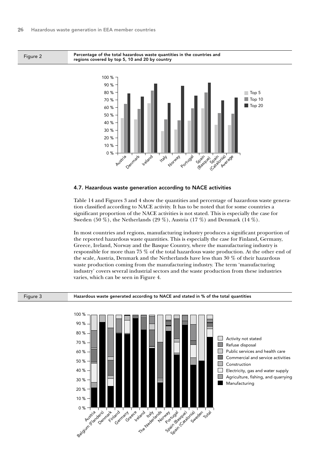

Figure 2 **Percentage of the total hazardous waste quantities in the countries and** regions covered by top 5, 10 and 20 by country



#### 4.7. Hazardous waste generation according to NACE activities

Table 14 and Figures 3 and 4 show the quantities and percentage of hazardous waste generation classified according to NACE activity. It has to be noted that for some countries a significant proportion of the NACE activities is not stated. This is especially the case for Sweden (50 %), the Netherlands (29 %), Austria (17 %) and Denmark (14 %).

In most countries and regions, manufacturing industry produces a significant proportion of the reported hazardous waste quantities. This is especially the case for Finland, Germany, Greece, Ireland, Norway and the Basque Country, where the manufacturing industry is responsible for more than 75 % of the total hazardous waste production. At the other end of the scale, Austria, Denmark and the Netherlands have less than 30 % of their hazardous waste production coming from the manufacturing industry. The term 'manufacturing industry' covers several industrial sectors and the waste production from these industries varies, which can be seen in Figure 4.

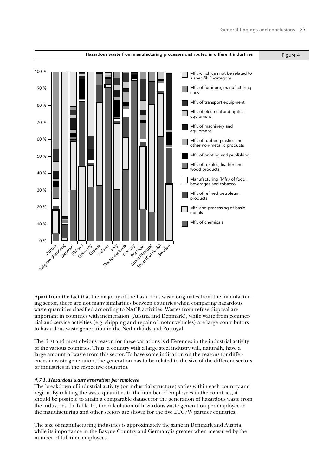

Apart from the fact that the majority of the hazardous waste originates from the manufacturing sector, there are not many similarities between countries when comparing hazardous waste quantities classified according to NACE activities. Wastes from refuse disposal are important in countries with incineration (Austria and Denmark), while waste from commercial and service activities (e.g. shipping and repair of motor vehicles) are large contributors to hazardous waste generation in the Netherlands and Portugal.

The first and most obvious reason for these variations is differences in the industrial activity of the various countries. Thus, a country with a large steel industry will, naturally, have a large amount of waste from this sector. To have some indication on the reasons for differences in waste generation, the generation has to be related to the size of the different sectors or industries in the respective countries.

#### *4.7.1. Hazardous waste generation per employee*

The breakdown of industrial activity (or industrial structure) varies within each country and region. By relating the waste quantities to the number of employees in the countries, it should be possible to attain a comparable dataset for the generation of hazardous waste from the industries. In Table 15, the calculation of hazardous waste generation per employee in the manufacturing and other sectors are shown for the five ETC/W partner countries.

The size of manufacturing industries is approximately the same in Denmark and Austria, while its importance in the Basque Country and Germany is greater when measured by the number of full-time employees.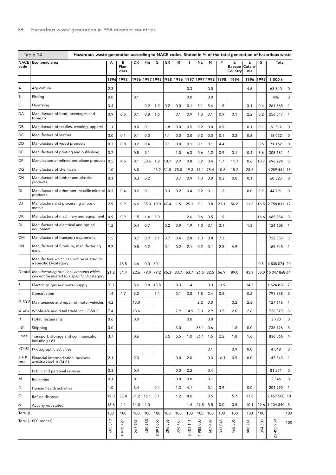|                     | Table 14<br>Hazardous waste generation according to NACE codes. Stated in % of the total generation of hazardous waste |            |                    |            |            |                 |            |                          |                     |                     |            |            |                               |                     |            |                    |                |
|---------------------|------------------------------------------------------------------------------------------------------------------------|------------|--------------------|------------|------------|-----------------|------------|--------------------------|---------------------|---------------------|------------|------------|-------------------------------|---------------------|------------|--------------------|----------------|
| <b>NACE</b><br>code | Economic area                                                                                                          | А          | в<br>Flan-<br>ders | DK         | Fin        | G               | GR         | IR                       |                     | NL                  | N          |            | Е<br><b>Basque</b><br>Country | Е<br>Catalo-<br>nia | s          | Total              |                |
|                     |                                                                                                                        | 1996       | 1998               |            |            |                 |            | 1996 1997 1993 1998 1996 |                     | 1997 1997 1998 1998 |            |            | 1994                          | 1996                | 1993       | 1000t              |                |
| A                   | Agriculture                                                                                                            | 2.3        |                    |            |            |                 |            |                          | 0.3                 |                     | 0.0        |            |                               | 4.6                 |            | 63 840             | 0              |
| В                   | Fishing                                                                                                                | 0.0        |                    | 0.1        |            |                 |            |                          | 0.0                 |                     | 0.0        |            |                               |                     |            | 496                | $\mathbf 0$    |
| С                   | Quarrying                                                                                                              | 3.4        |                    |            | 0.2        | 1.2             | 0.2        | 0.0                      | 0.1                 | 3.1                 | 5.4        | 1.9        |                               | 3.1                 | 0.4        | 261 365            | 1              |
| DA                  | Manufacture of food, beverages and<br>tobacco                                                                          | 0.9        | 0.5                | 0.1        | 0.8        | 1.6             |            | 0.1                      | 0.9                 | 1.3                 | 0.1        | 0.9        | 0.1                           | 2.2                 | 0.2        | 256 347            | 1              |
| DB                  | Manufacture of textiles, wearing, apparel                                                                              | 1.1        |                    | 0.0        | 0.1        |                 | 1.8        | 0.0                      | 0.5                 | 0.2                 | 0.0        | 0.9        |                               | 0.1                 | 0.1        | 36 512             | 0              |
| DC                  | Manufacture of leather                                                                                                 | 0.0        | 0.1                | 0.1        | 0.0        |                 | 1.1        | 0.0                      | 0.0                 | 0.2                 | 0.0        | 0.1        | 0.2                           | 0.6                 |            | 18 0 22            | $\mathbf 0$    |
| DD                  | Manufacture of wood products                                                                                           | 0.3        | 0.8                | 0.2        | 0.4        |                 | 3.1        | 0.0                      | 0.1                 | 0.1                 | 0.1        | 4.4        |                               |                     | 0.6        | 71 162             | $\mathbf 0$    |
| DE                  | Manufacture of printing and publishing                                                                                 | 0.7        |                    | 0.5        | 9.1        |                 |            | 1.0                      | 6.3                 | 0.6                 | 1.2        | 0.9        | 0.1                           | 0.4                 | 3.6        | 305 181            | $\mathbf{1}$   |
| DF                  | Manufacture of refined petroleum products                                                                              | 0.5        | 4.5                | 0.1        | 30.6       | 1.2             | 10.1       | 2.9                      | 0.8                 | 3.2                 | 0.4        | 1.7        | 11.7                          | 0.6                 | 10.7       | 696 224            | 3              |
| DG                  | Manufacture of chemicals                                                                                               | 1.0        |                    | 6.8        |            | 25.2            | 31.5       | 75.8                     | 19.3                | 11.1                | 78.4       | 10.6       | 15.2                          | 28.3                |            | 4 289 441          | 18             |
| DH                  | Manufacture of rubber and plastics<br>products                                                                         | 0.1        |                    | 0.3        | 0.2        |                 |            | 0.7                      | 0.9                 | 1.3                 | 0.0        | 0.3        | 0.0                           | 0.1                 |            | 60 823             | $\mathbf 0$    |
| DI                  | Manufacture of other non-metallic mineral<br>products                                                                  | 0.3        | 0.4                | 0.2        | 0.1        |                 | 0.3        | 0.2                      | 0.4                 | 0.2                 | 0.1        | 1.3        |                               | 0.0                 | 0.9        | 44 791             | $\mathbf 0$    |
| DJ                  | Manufacture and processing of basic<br>metals                                                                          | 2.9        | 0.9                | 6.6        | 35.3       | 10.0            | 47.4       | 1.5                      | 25.1                | 5.1                 | 0.8        | 21.1       | 56.8                          | 11.8                | 16.8       | 2758831            | 12             |
| DK                  | Manufacture of machinery and equipment                                                                                 | 0.9        | 0.9                | 1.5        | 1.4        | 5.0             |            |                          | 2.6                 | 0.6                 | 0.5        | 1.9        |                               |                     | 16.6       | 685 954            | 3              |
| DL                  | Manufacture of electrical and optical<br>equipment                                                                     | 1.2        |                    | 0.4        | 0.7        |                 | 0.2        | 0.9                      | 1.9                 | 1.0                 | 0.1        | 3.1        |                               | 1.8                 |            | 124 608            | 1              |
| DM                  | Manufacture of transport equipment                                                                                     | 1.5        |                    | 0.7        | 0.9        | 6.1             | 0.7        | 0.4                      | 2.8                 | 1.3                 | 0.8        | 7.3        |                               |                     |            | 722 353            | 3              |
| DN                  | Manufacture of furniture, manufacturing<br>n.e.c.                                                                      | 9.7        |                    | 0.5        | 0.2        |                 | 0.1        | 0.2                      | 2.1                 | 0.2                 | 0.1        | 2.3        | 4.9                           |                     |            | 169 545            | 1              |
|                     | Manufacture which can not be related to<br>a specific D-category                                                       |            | 46.5               | 4.6        | 0.0        | 30.1            |            |                          |                     |                     |            |            |                               |                     | 0.5        | 4 808 074 20       |                |
| D total             | Manufacturing total incl. amounts which<br>can not be related to a specific D-category                                 | 21.2       | 54.4               | 22.6       | 79.9       | 79.2            | 96.3       | 83.7                     | 63.7                | $26.5$ 82.5         |            | 56.9       | 89.0                          | 45.9                |            | 50.0 15 047 868 64 |                |
| Ε                   | Electricity, gas and water supply                                                                                      | 20.7       |                    | 8.6        | 0.8        | 13.8            |            | 0.3                      | 1.4                 |                     | 0.3        | 11.9       |                               | 14.2                |            | 16248267           |                |
| F                   | Construction                                                                                                           | 1.4        | 4.7                | 3.2        |            | 5.4             |            | 0.1                      | 0.8                 | 1.8                 | 0.4        | 3.5        |                               | 0.2                 |            | 791 838            | 3              |
|                     | G-50.2 Maintenance and repair of motor vehicles                                                                        | 4.2        |                    | 13.0       |            |                 |            |                          |                     | 2.2                 | 0.0        |            | 0.2                           | 2.6                 |            | 127 616            | 1              |
|                     | G total Wholesale and retail trade incl. G-50.2                                                                        | 7.4        |                    | 13.6       |            |                 |            | 7.9                      | 14.9                | 3.0                 | 2.9        | 3.5        | 2.0                           | 2.6                 |            | 726 879            | 3              |
| Н                   | Hotel, restaurants                                                                                                     | 0.6        |                    | 0.0        |            |                 |            |                          | 0.0                 |                     | 0.0        |            |                               |                     |            | 3793               | 0              |
| $I-61$              | Shipping                                                                                                               | 0.0        |                    |            |            |                 |            | 3.0                      |                     | 36.1                | 0.6        |            | 1.8                           | 0.0                 |            | 736 176            | 3              |
| I total             | Transport, storage and communication<br>including I-61                                                                 | 3.7        |                    | 0.6        |            |                 | 3.5        | 5.5                      | 1.0                 | 36.1                | 1.5        | 2.2        | 1.8                           | 1.6                 |            | 836 566            | $\overline{4}$ |
| K74.81              | Photographic activities                                                                                                |            |                    |            |            |                 |            |                          |                     |                     | 0.1        |            | 0.9                           | 0.0                 |            | 4 8 4 8            | $\mathsf 0$    |
| $J + K$<br>total    | Financial intermediation, business<br>activities incl. K-74.81                                                         | 2.1        |                    | 2.3        |            |                 |            | 0.0                      | 2.0                 |                     | 0.3        | 16.1       | 0.9                           | 0.0                 |            | 147 543            | $\mathbf{1}$   |
| L                   | Public and personal services                                                                                           | 0.3        |                    | 0.4        |            |                 |            | 0.0                      | 2.2                 |                     | 0.4        |            |                               |                     |            | 81 271             | 0              |
| Μ                   | Education                                                                                                              | 0.1        |                    | 0.1        |            |                 |            | 0.0                      | 0.0                 |                     | 0.1        |            |                               |                     |            | 2 3 4 6            | $\mathsf 0$    |
| N                   | Human health activities                                                                                                | 1.0        |                    | 3.4        |            | 0.4             |            | 1.3                      | 4.1                 |                     | 0.1        | 3.9        |                               | 0.0                 |            | 204 990            | $\mathbf{1}$   |
| O                   | Refuse disposal                                                                                                        | 19.0       | 38.8               | 31.2       | 15.1       | 0.1             |            | 1.2                      | 8.0                 |                     | 0.5        |            | 5.7                           | 17.6                |            | 2 457 500 10       |                |
| Х                   | Activity not stated                                                                                                    | 16.6       | 2.1                | 14.0       | 4.0        |                 |            |                          | 1.4                 | 29.5                | 5.5        | 0.0        | 0.5                           | 10.1                | 49.6       | 1 204 840 5        |                |
| Total ()            |                                                                                                                        | 100        | 100                | 100        | 100        | 100             | 100        | 100                      | 100                 | 100                 | 100        | 100        | 100                           | 100                 | 100        |                    | 100            |
|                     | Total (1 000 tonnes)                                                                                                   | 819<br>605 | 729<br>418<br>4    | 987<br>263 | 985<br>480 | 000<br>091<br>ò | 856<br>286 | 561<br>229               | 401 141<br>$\infty$ | 988000              | 489<br>607 | 045<br>333 | 806<br>468                    | 241<br>886          | 300<br>394 | 455 959<br>23      | 100            |
|                     |                                                                                                                        |            |                    |            |            |                 |            |                          |                     |                     |            |            |                               |                     |            |                    |                |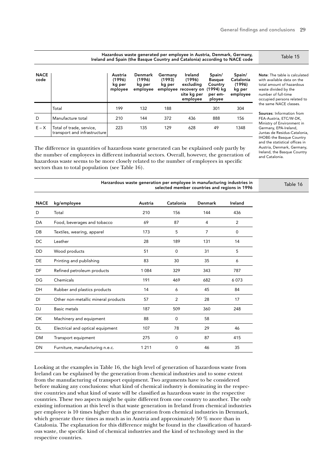| <b>NACE</b><br>code |                                                          | Austria<br>(1996)<br>kg per<br>mployee | Denmark<br>(1996)<br>kg per<br>employee | Germany<br>(1993)<br>kg per | Ireland<br>(1996)<br>excluding<br>employee recovery on<br>site kg per<br>employee | Spain/<br><b>Basque</b><br>Country<br>(1994) ka<br>per em-<br>ployee | Spain/<br>Catalonia<br>(1996)<br>kg per<br>employee | Note: The table is calculated<br>with available data on the<br>total amount of hazardous<br>waste divided by the<br>number of full-time<br>occupied persons related to |
|---------------------|----------------------------------------------------------|----------------------------------------|-----------------------------------------|-----------------------------|-----------------------------------------------------------------------------------|----------------------------------------------------------------------|-----------------------------------------------------|------------------------------------------------------------------------------------------------------------------------------------------------------------------------|
|                     | Total                                                    | 199                                    | 132                                     | 188                         |                                                                                   | 301                                                                  | 304                                                 | the same NACE classes.                                                                                                                                                 |
| D                   | Manufacture total                                        | 210                                    | 144                                     | 372                         | 436                                                                               | 888                                                                  | 156                                                 | Sources: Information from<br>FEA-Austria, ETC/W-DK,                                                                                                                    |
| $E - X$             | Total of trade, service,<br>transport and infrastructure | 223                                    | 135                                     | 129                         | 628                                                                               | 49                                                                   | 1348                                                | Ministry of Environment in<br>Germany, EPA-Ireland,<br>Juntas de Residus-Catalonia,<br><b>IHOBE-the Basque Country</b>                                                 |

The difference in quantities of hazardous waste generated can be explained only partly by the number of employees in different industrial sectors. Overall, however, the generation of hazardous waste seems to be more closely related to the number of employees in specific sectors than to total population (see Table 16).

Table 15

ources: Information from FEA-Austria, ETC/W-DK, Ministry of Environment in Germany, EPA-Ireland, Juntas de Residus-Catalonia, **IOBE-the Basque Country** and the statistical offices in Austria, Denmark, Germany, Ireland, the Basque Country and Catalonia.

|             |                                     |         | Harzardous waste generation per employee in manufacturing industries in<br>selected member countries and regions in 1996 |                |             | Table 16 |
|-------------|-------------------------------------|---------|--------------------------------------------------------------------------------------------------------------------------|----------------|-------------|----------|
| <b>NACE</b> | kg/employee                         | Austria | Catalonia                                                                                                                | <b>Denmark</b> | Ireland     |          |
| D           | Total                               | 210     | 156                                                                                                                      | 144            | 436         |          |
| DA          | Food, beverages and tobacco         | 69      | 87                                                                                                                       | 4              | 2           |          |
| DB          | Textiles, wearing, apparel          | 173     | 5                                                                                                                        | $\overline{7}$ | $\mathbf 0$ |          |
| DC          | Leather                             | 28      | 189                                                                                                                      | 131            | 14          |          |
| <b>DD</b>   | Wood products                       | 51      | $\mathbf 0$                                                                                                              | 31             | 5           |          |
| <b>DE</b>   | Printing and publishing             | 83      | 30                                                                                                                       | 35             | 6           |          |
| <b>DF</b>   | Refined petroleum products          | 1 0 8 4 | 329                                                                                                                      | 343            | 787         |          |
| DG          | Chemicals                           | 191     | 469                                                                                                                      | 682            | 6073        |          |
| DH          | Rubber and plastics products        | 14      | 6                                                                                                                        | 45             | 84          |          |
| <b>DI</b>   | Other non-metallic mineral products | 57      | $\overline{2}$                                                                                                           | 28             | 17          |          |
| <b>DJ</b>   | <b>Basic metals</b>                 | 187     | 509                                                                                                                      | 360            | 248         |          |
| DK          | Machinery and equipment             | 88      | $\mathbf 0$                                                                                                              | 58             |             |          |
| <b>DL</b>   | Electrical and optical equipment    | 107     | 78                                                                                                                       | 29             | 46          |          |
| <b>DM</b>   | Transport equipment                 | 275     | $\mathbf 0$                                                                                                              | 87             | 415         |          |
| <b>DN</b>   | Furniture, manufacturing n.e.c.     | 1 2 1 1 | $\mathbf 0$                                                                                                              | 46             | 35          |          |

Looking at the examples in Table 16, the high level of generation of hazardous waste from Ireland can be explained by the generation from chemical industries and to some extent from the manufacturing of transport equipment. Two arguments have to be considered before making any conclusions: what kind of chemical industry is dominating in the respective countries and what kind of waste will be classified as hazardous waste in the respective countries. These two aspects might be quite different from one country to another. The only existing information at this level is that waste generation in Ireland from chemical industries per employee is 10 times higher than the generation from chemical industries in Denmark, which generate three times as much as in Austria and approximately 50 % more than in Catalonia. The explanation for this difference might be found in the classification of hazardous waste, the specific kind of chemical industries and the kind of technology used in the respective countries.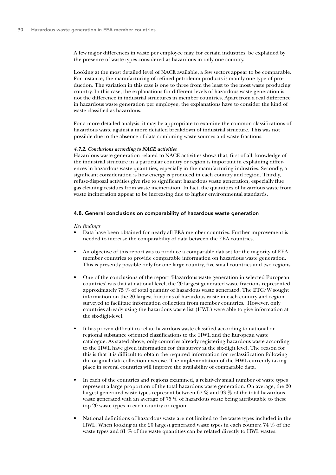A few major differences in waste per employee may, for certain industries, be explained by the presence of waste types considered as hazardous in only one country.

Looking at the most detailed level of NACE available, a few sectors appear to be comparable. For instance, the manufacturing of refined petroleum products is mainly one type of production. The variation in this case is one to three from the least to the most waste producing country. In this case, the explanations for different levels of hazardous waste generation is not the difference in industrial structures in member countries. Apart from a real difference in hazardous waste generation per employee, the explanations have to consider the kind of waste classified as hazardous.

For a more detailed analysis, it may be appropriate to examine the common classifications of hazardous waste against a more detailed breakdown of industrial structure. This was not possible due to the absence of data combining waste sources and waste fractions.

#### *4.7.2. Conclusions according to NACE activities*

Hazardous waste generation related to NACE activities shows that, first of all, knowledge of the industrial structure in a particular country or region is important in explaining differences in hazardous waste quantities, especially in the manufacturing industries. Secondly, a significant consideration is how energy is produced in each country and region. Thirdly, refuse-disposal activities give rise to significant hazardous waste generation, especially flue gas cleaning residues from waste incineration. In fact, the quantities of hazardous waste from waste incineration appear to be increasing due to higher environmental standards.

#### 4.8. General conclusions on comparability of hazardous waste generation

#### *Key findings*

- Data have been obtained for nearly all EEA member countries. Further improvement is needed to increase the comparability of data between the EEA countries.
- An objective of this report was to produce a comparable dataset for the majority of EEA member countries to provide comparable information on hazardous waste generation. This is presently possible only for one large country, five small countries and two regions.
- One of the conclusions of the report 'Hazardous waste generation in selected European countries' was that at national level, the 20 largest generated waste fractions represented approximately 75 % of total quantity of hazardous waste generated. The ETC/W sought information on the 20 largest fractions of hazardous waste in each country and region surveyed to facilitate information collection from member countries. However, only countries already using the hazardous waste list (HWL) were able to give information at the six-digit-level.
- It has proven difficult to relate hazardous waste classified according to national or regional substance oriented classifications to the HWL and the European waste catalogue. As stated above, only countries already registering hazardous waste according to the HWL have given information for this survey at the six-digit level. The reason for this is that it is difficult to obtain the required information for reclassification following the original data-collection exercise. The implementation of the HWL currently taking place in several countries will improve the availability of comparable data.
- In each of the countries and regions examined, a relatively small number of waste types represent a large proportion of the total hazardous waste generation. On average, the 20 largest generated waste types represent between 67 % and 93 % of the total hazardous waste generated with an average of 75 % of hazardous waste being attributable to these top 20 waste types in each country or region.
- National definitions of hazardous waste are not limited to the waste types included in the HWL. When looking at the 20 largest generated waste types in each country, 74 % of the waste types and 81 % of the waste quantities can be related directly to HWL wastes.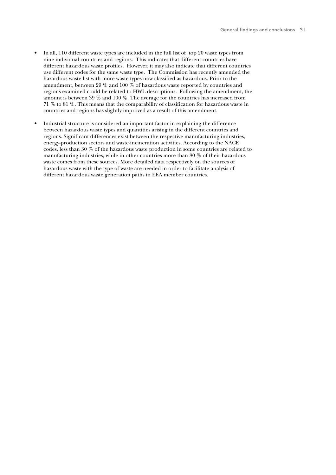- In all, 110 different waste types are included in the full list of top 20 waste types from nine individual countries and regions. This indicates that different countries have different hazardous waste profiles. However, it may also indicate that different countries use different codes for the same waste type. The Commission has recently amended the hazardous waste list with more waste types now classified as hazardous. Prior to the amendment, between 29 % and 100 % of hazardous waste reported by countries and regions examined could be related to HWL descriptions. Following the amendment, the amount is between 39 % and 100 %. The average for the countries has increased from 71 % to 81 %. This means that the comparability of classification for hazardous waste in countries and regions has slightly improved as a result of this amendment.
- Industrial structure is considered an important factor in explaining the difference between hazardous waste types and quantities arising in the different countries and regions. Significant differences exist between the respective manufacturing industries, energy-production sectors and waste-incineration activities. According to the NACE codes, less than 30 % of the hazardous waste production in some countries are related to manufacturing industries, while in other countries more than 80 % of their hazardous waste comes from these sources. More detailed data respectively on the sources of hazardous waste with the type of waste are needed in order to facilitate analysis of different hazardous waste generation paths in EEA member countries.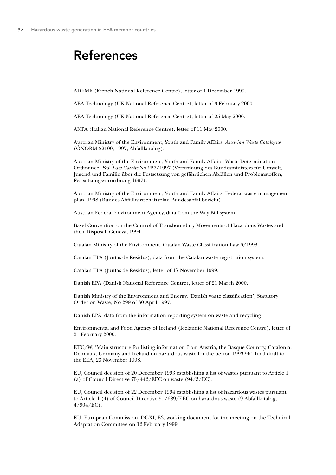### References

ADEME (French National Reference Centre), letter of 1 December 1999.

AEA Technology (UK National Reference Centre), letter of 3 February 2000.

AEA Technology (UK National Reference Centre), letter of 25 May 2000.

ANPA (Italian National Reference Centre), letter of 11 May 2000.

Austrian Ministry of the Environment, Youth and Family Affairs, *Austrian Waste Catalogue* (ÖNORM S2100, 1997, Abfallkatalog).

Austrian Ministry of the Environment, Youth and Family Affairs, Waste Determination Ordinance, *Fed. Law Gazette* No 227/1997 (Verordnung des Bundesministers für Umwelt, Jugend und Familie über die Festsetzung von gefährlichen Abfällen und Problemstoffen, Festsetzungsverordnung 1997).

Austrian Ministry of the Environment, Youth and Family Affairs, Federal waste management plan, 1998 (Bundes-Abfallwirtschaftsplan Bundesabfallbericht).

Austrian Federal Environment Agency, data from the Way-Bill system.

Basel Convention on the Control of Transboundary Movements of Hazardous Wastes and their Disposal, Geneva, 1994.

Catalan Ministry of the Environment, Catalan Waste Classification Law 6/1993.

Catalan EPA (Juntas de Residus), data from the Catalan waste registration system.

Catalan EPA (Juntas de Residus), letter of 17 November 1999.

Danish EPA (Danish National Reference Centre), letter of 21 March 2000.

Danish Ministry of the Environment and Energy, 'Danish waste classification', Statutory Order on Waste, No 299 of 30 April 1997.

Danish EPA, data from the information reporting system on waste and recycling.

Environmental and Food Agency of Iceland (Icelandic National Reference Centre), letter of 21 February 2000.

ETC/W, 'Main structure for listing information from Austria, the Basque Country, Catalonia, Denmark, Germany and Ireland on hazardous waste for the period 1993-96', final draft to the EEA, 23 November 1998.

EU, Council decision of 20 December 1993 establishing a list of wastes pursuant to Article 1 (a) of Council Directive 75/442/EEC on waste (94/3/EC).

EU, Council decision of 22 December 1994 establishing a list of hazardous wastes pursuant to Article 1 (4) of Council Directive 91/689/EEC on hazardous waste (9 Abfallkatalog, 4/904/EC).

EU, European Commission, DGXI, E3, working document for the meeting on the Technical Adaptation Committee on 12 February 1999.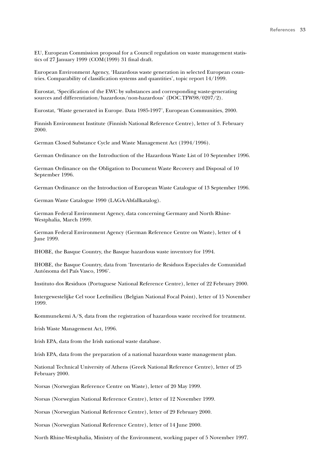EU, European Commission proposal for a Council regulation on waste management statistics of 27 January 1999 (COM(1999) 31 final draft.

European Environment Agency, 'Hazardous waste generation in selected European countries. Comparability of classification systems and quantities', topic report 14/1999.

Eurostat, 'Specification of the EWC by substances and corresponding waste-generating sources and differentiation/hazardous/non-hazardous' (DOC.TFW98/0207/2).

Eurostat, 'Waste generated in Europe. Data 1985-1997', European Communities, 2000.

Finnish Environment Institute (Finnish National Reference Centre), letter of 3. February 2000.

German Closed Substance Cycle and Waste Management Act (1994/1996).

German Ordinance on the Introduction of the Hazardous Waste List of 10 September 1996.

German Ordinance on the Obligation to Document Waste Recovery and Disposal of 10 September 1996.

German Ordinance on the Introduction of European Waste Catalogue of 13 September 1996.

German Waste Catalogue 1990 (LAGA-Abfallkatalog).

German Federal Environment Agency, data concerning Germany and North Rhine-Westphalia, March 1999.

German Federal Environment Agency (German Reference Centre on Waste), letter of 4 June 1999.

IHOBE, the Basque Country, the Basque hazardous waste inventory for 1994.

IHOBE, the Basque Country, data from 'Inventario de Residuos Especiales de Comunidad Autónoma del País Vasco, 1996'.

Instituto dos Residuos (Portuguese National Reference Centre), letter of 22 February 2000.

Intergewestelijke Cel voor Leefmilieu (Belgian National Focal Point), letter of 15 November 1999.

Kommunekemi A/S, data from the registration of hazardous waste received for treatment.

Irish Waste Management Act, 1996.

Irish EPA, data from the Irish national waste database.

Irish EPA, data from the preparation of a national hazardous waste management plan.

National Technical University of Athens (Greek National Reference Centre), letter of 25 February 2000.

Norsas (Norwegian Reference Centre on Waste), letter of 20 May 1999.

Norsas (Norwegian National Reference Centre), letter of 12 November 1999.

Norsas (Norwegian National Reference Centre), letter of 29 February 2000.

Norsas (Norwegian National Reference Centre), letter of 14 June 2000.

North Rhine-Westphalia, Ministry of the Environment, working paper of 5 November 1997.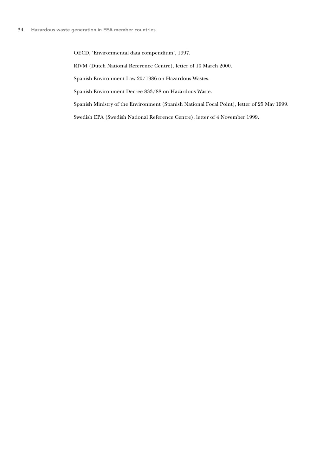OECD, 'Environmental data compendium', 1997.

RIVM (Dutch National Reference Centre), letter of 10 March 2000.

Spanish Environment Law 20/1986 on Hazardous Wastes.

Spanish Environment Decree 833/88 on Hazardous Waste.

Spanish Ministry of the Environment (Spanish National Focal Point), letter of 25 May 1999.

Swedish EPA (Swedish National Reference Centre), letter of 4 November 1999.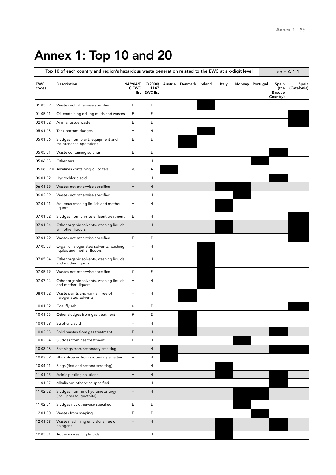# Annex 1: Top 10 and 20

|                     | Top 10 of each country and region's hazardous waste generation related to the EWC at six-digit level |                   |                       |                                 |       |                 | Table A 1.1                                |                      |
|---------------------|------------------------------------------------------------------------------------------------------|-------------------|-----------------------|---------------------------------|-------|-----------------|--------------------------------------------|----------------------|
| <b>EWC</b><br>codes | Description                                                                                          | 94/904/E<br>C EWC | 1147<br>list EWC list | C(2000) Austria Denmark Ireland | Italy | Norway Portugal | Spain<br>(the<br><b>Basque</b><br>Country) | Spain<br>(Catalonia) |
| 01 03 99            | Wastes not otherwise specified                                                                       | Ε                 | Ε                     |                                 |       |                 |                                            |                      |
| 01 05 01            | Oil-containing drilling muds and wastes                                                              | Ε                 | E                     |                                 |       |                 |                                            |                      |
| 02 01 02            | Animal tissue waste                                                                                  | Ε                 | Ε                     |                                 |       |                 |                                            |                      |
| 05 01 03            | Tank bottom sludges                                                                                  | H                 | H                     |                                 |       |                 |                                            |                      |
| 05 01 06            | Sludges from plant, equipment and<br>maintenance operations                                          | Ε                 | Ε                     |                                 |       |                 |                                            |                      |
| 05 05 01            | Waste containing sulphur                                                                             | Ε                 | E                     |                                 |       |                 |                                            |                      |
| 05 06 03            | Other tars                                                                                           | н                 | Η                     |                                 |       |                 |                                            |                      |
|                     | 05 08 99 01 Alkalines containing oil or tars                                                         | Α                 | Α                     |                                 |       |                 |                                            |                      |
| 06 01 02            | Hydrochloric acid                                                                                    | н                 | H                     |                                 |       |                 |                                            |                      |
| 06 01 99            | Wastes not otherwise specified                                                                       | н                 | Н                     |                                 |       |                 |                                            |                      |
| 06 02 99            | Wastes not otherwise specified                                                                       | н                 | H                     |                                 |       |                 |                                            |                      |
| 07 01 01            | Aqueous washing liquids and mother<br>liquors                                                        | н                 | Н                     |                                 |       |                 |                                            |                      |
| 07 01 02            | Sludges from on-site effluent treatment                                                              | Ε                 | Η                     |                                 |       |                 |                                            |                      |
| 07 01 04            | Other organic solvents, washing liquids<br>& mother liquors                                          | H                 | Н                     |                                 |       |                 |                                            |                      |
| 07 01 99            | Wastes not otherwise specified                                                                       | Ε                 | E                     |                                 |       |                 |                                            |                      |
| 07 05 03            | Organic halogenated solvents, washing<br>liquids and mother liquors                                  | H                 | н                     |                                 |       |                 |                                            |                      |
| 07 05 04            | Other organic solvents, washing liquids<br>and mother liquors                                        | H                 | Н                     |                                 |       |                 |                                            |                      |
| 07 05 99            | Wastes not otherwise specified                                                                       | E                 | E                     |                                 |       |                 |                                            |                      |
| 07 07 04            | Other organic solvents, washing liquids<br>and mother liquors                                        | н                 | Η                     |                                 |       |                 |                                            |                      |
| 08 01 02            | Waste paints and varnish free of<br>halogenated solvents                                             | н                 | Н                     |                                 |       |                 |                                            |                      |
| 10 01 02            | Coal fly ash                                                                                         | Ε                 | Ε                     |                                 |       |                 |                                            |                      |
| 10 01 08            | Other sludges from gas treatment                                                                     | Ε                 | Ε                     |                                 |       |                 |                                            |                      |
| 10 01 09            | Sulphuric acid                                                                                       | н                 | н                     |                                 |       |                 |                                            |                      |
| 10 02 03            | Solid wastes from gas treatment                                                                      | Ε                 | H                     |                                 |       |                 |                                            |                      |
| 10 02 04            | Sludges from gas treatment                                                                           | E                 | н                     |                                 |       |                 |                                            |                      |
| 10 03 08            | Salt slags from secondary smelting                                                                   | н                 | H                     |                                 |       |                 |                                            |                      |
| 10 03 09            | Black drosses from secondary smelting                                                                | H                 | н                     |                                 |       |                 |                                            |                      |
| 10 04 01            | Slags (first and second smelting)                                                                    | н                 | н                     |                                 |       |                 |                                            |                      |
| 11 01 05            | Acidic pickling solutions                                                                            | н                 | H                     |                                 |       |                 |                                            |                      |
| 11 01 07            | Alkalis not otherwise specified                                                                      | н                 | н                     |                                 |       |                 |                                            |                      |
| 11 02 02            | Sludges from zinc hydrometallurgy<br>(incl. jarosite, goethite)                                      | н                 | н                     |                                 |       |                 |                                            |                      |
| 11 02 04            | Sludges not otherwise specified                                                                      | E                 | E                     |                                 |       |                 |                                            |                      |
| 12 01 00            | Wastes from shaping                                                                                  | Е                 | E                     |                                 |       |                 |                                            |                      |
| 12 01 09            | Waste machining emulsions free of<br>halogens                                                        | H                 | H                     |                                 |       |                 |                                            |                      |
| 12 03 01            | Aqueous washing liquids                                                                              | н                 | н                     |                                 |       |                 |                                            |                      |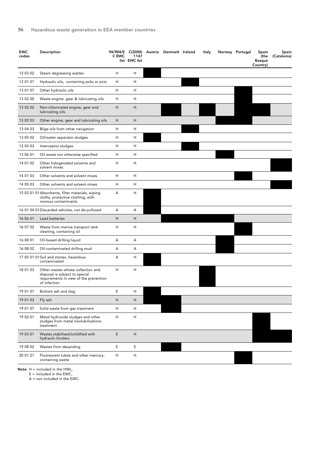| <b>EWC</b><br>codes | Description                                                                                                                   | 94/904/E<br>C EWC | 1147<br>list EWC list | C(2000) Austria Denmark Ireland | Italy | Norway Portugal | Spain<br>(the<br><b>Basque</b><br>Country) | Spain<br>(Catalonia) |
|---------------------|-------------------------------------------------------------------------------------------------------------------------------|-------------------|-----------------------|---------------------------------|-------|-----------------|--------------------------------------------|----------------------|
| 12 03 02            | Steam degreasing wastes                                                                                                       | Н                 | н                     |                                 |       |                 |                                            |                      |
| 13 01 01            | Hydraulic oils, containing pcbs or pcts                                                                                       | н                 | н                     |                                 |       |                 |                                            |                      |
| 13 01 07            | Other hydraulic oils                                                                                                          | н                 | н                     |                                 |       |                 |                                            |                      |
| 13 02 00            | Waste engine, gear & lubricating oils                                                                                         | н                 | Η                     |                                 |       |                 |                                            |                      |
| 13 02 02            | Non-chlorinated engine, gear and<br>lubricating oils                                                                          | H                 | H                     |                                 |       |                 |                                            |                      |
| 13 02 03            | Other engine, gear and lubricating oils                                                                                       | H                 | Η                     |                                 |       |                 |                                            |                      |
| 13 04 03            | Bilge oils from other navigation                                                                                              | н                 | Η                     |                                 |       |                 |                                            |                      |
| 13 05 02            | Oil/water separator sludges                                                                                                   | Н                 | н                     |                                 |       |                 |                                            |                      |
| 13 05 03            | Interceptor sludges                                                                                                           | н                 | н                     |                                 |       |                 |                                            |                      |
| 13 06 01            | Oil waste not otherwise specified                                                                                             | Н                 | н                     |                                 |       |                 |                                            |                      |
| 14 01 02            | Other halogenated solvents and<br>solvent mixes                                                                               | н                 | н                     |                                 |       |                 |                                            |                      |
| 14 01 03            | Other solvents and solvent mixes                                                                                              | н                 | н                     |                                 |       |                 |                                            |                      |
| 14 05 03            | Other solvents and solvent mixes                                                                                              | н                 | н                     |                                 |       |                 |                                            |                      |
|                     | 15 02 01 01 Absorbents, filter materials, wiping<br>cloths, protective clothing, with<br>noxious contaminants                 | А                 | н                     |                                 |       |                 |                                            |                      |
|                     | 16 01 04 01 Discarded vehicles, not de-polluted                                                                               | Α                 | А                     |                                 |       |                 |                                            |                      |
| 16 06 01            | Lead batteries                                                                                                                | Н                 | Η                     |                                 |       |                 |                                            |                      |
| 16 07 02            | Waste from marine transport tank<br>cleaning, containing oil                                                                  | н                 | н                     |                                 |       |                 |                                            |                      |
| 16 08 01            | Oil-based drilling liquid                                                                                                     | Α                 | А                     |                                 |       |                 |                                            |                      |
| 16 08 02            | Oil-contaminated drilling mud                                                                                                 | А                 | А                     |                                 |       |                 |                                            |                      |
|                     | 17 05 01 01 Soil and stones, hazardous<br>contaminated                                                                        | А                 | н                     |                                 |       |                 |                                            |                      |
| 18 01 03            | Other wastes whose collection and<br>disposal is subject to special<br>requirements in view of the prevention<br>of infection | н                 | Η                     |                                 |       |                 |                                            |                      |
| 19 01 01            | Bottom ash and slag                                                                                                           | Ε                 | Н                     |                                 |       |                 |                                            |                      |
| 19 01 03            | Fly ash                                                                                                                       | Η                 | Н                     |                                 |       |                 |                                            |                      |
| 19 01 07            | Solid waste from gas treatment                                                                                                | Н                 | н                     |                                 |       |                 |                                            |                      |
| 19 02 01            | Metal hydroxide sludges and other<br>sludges from metal insolubilisations<br>treatment                                        | н                 | Η                     |                                 |       |                 |                                            |                      |
| 19 03 01            | Wastes stabilised/solidified with<br>hydraulic binders                                                                        | E                 | н                     |                                 |       |                 |                                            |                      |
| 19 08 02            | Wastes from desanding                                                                                                         | Ε                 | Ε                     |                                 |       |                 |                                            |                      |
| 20 01 21            | Fluorescent tubes and other mercury-<br>containing waste                                                                      | н                 | н                     |                                 |       |                 |                                            |                      |

Note: H = included in the HWL,

E = included in the EWC,

A = not included in the EWC.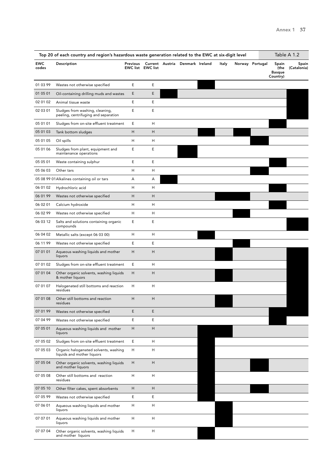|                     | Top 20 of each country and region's hazardous waste generation related to the EWC at six-digit level |          |                           |                                 |       |                 |                                            | Table A 1.2          |
|---------------------|------------------------------------------------------------------------------------------------------|----------|---------------------------|---------------------------------|-------|-----------------|--------------------------------------------|----------------------|
| <b>EWC</b><br>codes | Description                                                                                          | Previous | <b>EWC list EWC list</b>  | Current Austria Denmark Ireland | Italy | Norway Portugal | Spain<br>(the<br><b>Basque</b><br>Country) | Spain<br>(Catalonia) |
| 01 03 99            | Wastes not otherwise specified                                                                       | E        | Ε                         |                                 |       |                 |                                            |                      |
| 01 05 01            | Oil-containing drilling muds and wastes                                                              | E        | E                         |                                 |       |                 |                                            |                      |
| 02 01 02            | Animal tissue waste                                                                                  | E        | Ε                         |                                 |       |                 |                                            |                      |
| 02 03 01            | Sludges from washing, cleaning,<br>peeling, centrifuging and separation                              | E        | Ε                         |                                 |       |                 |                                            |                      |
| 05 01 01            | Sludges from on-site effluent treatment                                                              | E        | Н                         |                                 |       |                 |                                            |                      |
| 05 01 03            | Tank bottom sludges                                                                                  | н        | H                         |                                 |       |                 |                                            |                      |
| 05 01 05            | Oil spills                                                                                           | Н        | Н                         |                                 |       |                 |                                            |                      |
| 05 01 06            | Sludges from plant, equipment and<br>maintenance operations                                          | Ε        | Ε                         |                                 |       |                 |                                            |                      |
| 05 05 01            | Waste containing sulphur                                                                             | Ε        | Ε                         |                                 |       |                 |                                            |                      |
| 05 06 03            | Other tars                                                                                           | н        | Н                         |                                 |       |                 |                                            |                      |
|                     | 05 08 99 01 Alkalines containing oil or tars                                                         | Α        | Α                         |                                 |       |                 |                                            |                      |
| 06 01 02            | Hydrochloric acid                                                                                    | Н        | н                         |                                 |       |                 |                                            |                      |
| 06 01 99            | Wastes not otherwise specified                                                                       | Н        | H                         |                                 |       |                 |                                            |                      |
| 06 02 01            | Calcium hydroxide                                                                                    | Н        | Н                         |                                 |       |                 |                                            |                      |
| 06 02 99            | Wastes not otherwise specified                                                                       | Н        | Н                         |                                 |       |                 |                                            |                      |
| 06 03 12            | Salts and solutions containing organic<br>compounds                                                  | E        | Ε                         |                                 |       |                 |                                            |                      |
| 06 04 02            | Metallic salts (except 06 03 00)                                                                     | Н        | Н                         |                                 |       |                 |                                            |                      |
| 06 11 99            | Wastes not otherwise specified                                                                       | Ε        | Ε                         |                                 |       |                 |                                            |                      |
| 07 01 01            | Aqueous washing liquids and mother<br>liquors                                                        | Н        | H                         |                                 |       |                 |                                            |                      |
| 07 01 02            | Sludges from on-site effluent treatment                                                              | E        | Н                         |                                 |       |                 |                                            |                      |
| 07 01 04            | Other organic solvents, washing liquids<br>& mother liquors                                          | н        | H                         |                                 |       |                 |                                            |                      |
| 07 01 07            | Halogenated still bottoms and reaction<br>residues                                                   | Н        | Н                         |                                 |       |                 |                                            |                      |
| 07 01 08            | Other still bottoms and reaction<br>residues                                                         | H        | H                         |                                 |       |                 |                                            |                      |
| 07 01 99            | Wastes not otherwise specified                                                                       | Ε        | E                         |                                 |       |                 |                                            |                      |
| 07 04 99            | Wastes not otherwise specified                                                                       | E        | Ε                         |                                 |       |                 |                                            |                      |
| 07 05 01            | Aqueous washing liquids and mother<br>liquors                                                        | н        | H                         |                                 |       |                 |                                            |                      |
| 07 05 02            | Sludges from on-site effluent treatment                                                              | Е        | н                         |                                 |       |                 |                                            |                      |
| 07 05 03            | Organic halogenated solvents, washing<br>liquids and mother liquors                                  | н        | н                         |                                 |       |                 |                                            |                      |
| 07 05 04            | Other organic solvents, washing liquids<br>and mother liquors                                        | Н        | H                         |                                 |       |                 |                                            |                      |
| 07 05 08            | Other still bottoms and reaction<br>residues                                                         | Н        | Н                         |                                 |       |                 |                                            |                      |
| 07 05 10            | Other filter cakes, spent absorbents                                                                 | Н        | H                         |                                 |       |                 |                                            |                      |
| 07 05 99            | Wastes not otherwise specified                                                                       | E        | Ε                         |                                 |       |                 |                                            |                      |
| 07 06 01            | Aqueous washing liquids and mother<br>liquors                                                        | Н        | н                         |                                 |       |                 |                                            |                      |
| 07 07 01            | Aqueous washing liquids and mother<br>liquors                                                        | Н        | Н                         |                                 |       |                 |                                            |                      |
| 07 07 04            | Other organic solvents, washing liquids<br>and mother liquors                                        | н        | $\boldsymbol{\mathsf{H}}$ |                                 |       |                 |                                            |                      |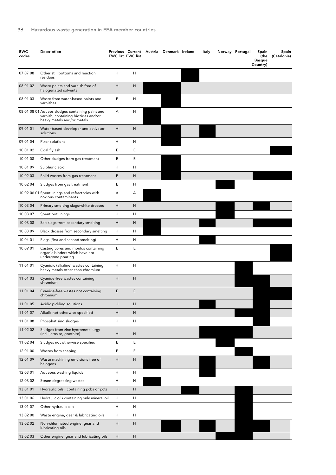| <b>EWC</b><br>codes | Description                                                                                                          |   | <b>EWC list EWC list</b> | Previous Current Austria Denmark Ireland | ltaly | Norway Portugal | Spain<br>(the<br><b>Basque</b><br>Country) | Spain<br>(Catalonia) |
|---------------------|----------------------------------------------------------------------------------------------------------------------|---|--------------------------|------------------------------------------|-------|-----------------|--------------------------------------------|----------------------|
| 07 07 08            | Other still bottoms and reaction<br>residues                                                                         | н | H                        |                                          |       |                 |                                            |                      |
| 08 01 02            | Waste paints and varnish free of<br>halogenated solvents                                                             | Н | Н                        |                                          |       |                 |                                            |                      |
| 08 01 03            | Waste from water-based paints and<br>varnishes                                                                       | Ε | Н                        |                                          |       |                 |                                            |                      |
|                     | 08 01 08 01 Aqueos sludges containing paint and<br>varnish, containing biozides and/or<br>heavy metals and/or metals | А | н                        |                                          |       |                 |                                            |                      |
| 09 01 01            | Water-based developer and activator<br>solutions                                                                     | Н | Η                        |                                          |       |                 |                                            |                      |
| 09 01 04            | Fixer solutions                                                                                                      | н | н                        |                                          |       |                 |                                            |                      |
| 10 01 02            | Coal fly ash                                                                                                         | Ε | Ε                        |                                          |       |                 |                                            |                      |
| 10 01 08            | Other sludges from gas treatment                                                                                     | Ε | Ε                        |                                          |       |                 |                                            |                      |
| 10 01 09            | Sulphuric acid                                                                                                       | н | Н                        |                                          |       |                 |                                            |                      |
| 10 02 03            | Solid wastes from gas treatment                                                                                      | E | Н                        |                                          |       |                 |                                            |                      |
| 10 02 04            | Sludges from gas treatment                                                                                           | Ε | н                        |                                          |       |                 |                                            |                      |
|                     | 10 02 06 01 Spent linings and refractories with<br>noxious contaminants                                              | А | А                        |                                          |       |                 |                                            |                      |
| 10 03 04            | Primary smelting slags/white drosses                                                                                 | Н | Н                        |                                          |       |                 |                                            |                      |
| 10 03 07            | Spent pot linings                                                                                                    | н | Н                        |                                          |       |                 |                                            |                      |
| 10 03 08            | Salt slags from secondary smelting                                                                                   | Н | H                        |                                          |       |                 |                                            |                      |
| 10 03 09            | Black drosses from secondary smelting                                                                                | н | н                        |                                          |       |                 |                                            |                      |
| 10 04 01            | Slags (first and second smelting)                                                                                    | н | н                        |                                          |       |                 |                                            |                      |
| 10 09 01            | Casting cores and moulds containing<br>organic binders which have not<br>undergone pouring                           | Ε | Ε                        |                                          |       |                 |                                            |                      |
| 11 01 01            | Cyanidic (alkaline) wastes containing<br>heavy metals other than chromium                                            | н | н                        |                                          |       |                 |                                            |                      |
| 11 01 03            | Cyanide-free wastes containing<br>chromium                                                                           | Н | Н                        |                                          |       |                 |                                            |                      |
| 11 01 04            | Cyanide-free wastes not containing<br>chromium                                                                       | E | E                        |                                          |       |                 |                                            |                      |
| 11 01 05            | Acidic pickling solutions                                                                                            | Н | Η                        |                                          |       |                 |                                            |                      |
| 11 01 07            | Alkalis not otherwise specified                                                                                      | Н | Н                        |                                          |       |                 |                                            |                      |
| 11 01 08            | Phosphatising sludges                                                                                                | н | н                        |                                          |       |                 |                                            |                      |
| 11 02 02            | Sludges from zinc hydrometallurgy<br>(incl. jarosite, goethite)                                                      | Н | Η                        |                                          |       |                 |                                            |                      |
| 11 02 04            | Sludges not otherwise specified                                                                                      | Ε | Ε                        |                                          |       |                 |                                            |                      |
| 12 01 00            | Wastes from shaping                                                                                                  | Ε | Ε                        |                                          |       |                 |                                            |                      |
| 12 01 09            | Waste machining emulsions free of<br>halogens                                                                        | Н | Η                        |                                          |       |                 |                                            |                      |
| 12 03 01            | Aqueous washing liquids                                                                                              | Н | H                        |                                          |       |                 |                                            |                      |
| 12 03 02            | Steam degreasing wastes                                                                                              | н | н                        |                                          |       |                 |                                            |                      |
| 13 01 01            | Hydraulic oils, containing pcbs or pcts                                                                              | Н | н                        |                                          |       |                 |                                            |                      |
| 13 01 06            | Hydraulic oils containing only mineral oil                                                                           | H | н                        |                                          |       |                 |                                            |                      |
| 13 01 07            | Other hydraulic oils                                                                                                 | Η | Н                        |                                          |       |                 |                                            |                      |
| 13 02 00            | Waste engine, gear & lubricating oils                                                                                | н | н                        |                                          |       |                 |                                            |                      |
| 13 02 02            | Non-chlorinated engine, gear and<br>lubricating oils                                                                 | Н | Н                        |                                          |       |                 |                                            |                      |
| 13 02 03            | Other engine, gear and lubricating oils                                                                              | Н | н                        |                                          |       |                 |                                            |                      |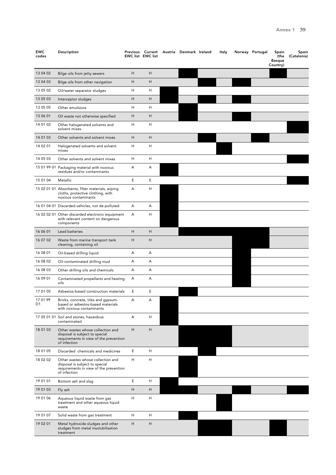| <b>EWC</b><br>codes | Description                                                                                                                   |                           | <b>EWC list EWC list</b> | Previous Current Austria Denmark Ireland | Italy | Norway Portugal | Spain<br>(the<br><b>Basque</b><br>Country) | Spain<br>(Catalonia) |
|---------------------|-------------------------------------------------------------------------------------------------------------------------------|---------------------------|--------------------------|------------------------------------------|-------|-----------------|--------------------------------------------|----------------------|
| 13 04 02            | Bilge oils from jetty sewers                                                                                                  | H                         | H                        |                                          |       |                 |                                            |                      |
| 13 04 03            | Bilge oils from other navigation                                                                                              | Н                         | H                        |                                          |       |                 |                                            |                      |
| 13 05 02            | Oil/water separator sludges                                                                                                   | Н                         | н                        |                                          |       |                 |                                            |                      |
| 13 05 03            | Interceptor sludges                                                                                                           | H                         | H                        |                                          |       |                 |                                            |                      |
| 13 05 05            | Other emulsions                                                                                                               | H                         | H                        |                                          |       |                 |                                            |                      |
| 13 06 01            | Oil waste not otherwise specified                                                                                             | H                         | H                        |                                          |       |                 |                                            |                      |
| 14 01 02            | Other halogenated solvents and<br>solvent mixes                                                                               | Н                         | H                        |                                          |       |                 |                                            |                      |
| 14 01 03            | Other solvents and solvent mixes                                                                                              | H                         | H                        |                                          |       |                 |                                            |                      |
| 14 02 01            | Halogenated solvents and solvent<br>mixes                                                                                     | Н                         | н                        |                                          |       |                 |                                            |                      |
| 14 05 03            | Other solvents and solvent mixes                                                                                              | Н                         | Н                        |                                          |       |                 |                                            |                      |
|                     | 15 01 99 01 Packaging material with noxious<br>residues and/or contaminants                                                   | Α                         | А                        |                                          |       |                 |                                            |                      |
| 15 01 04            | Metallic                                                                                                                      | Ε                         | Ε                        |                                          |       |                 |                                            |                      |
|                     | 15 02 01 01 Absorbents, filter materials, wiping<br>cloths, protective clothing, with<br>noxious contaminants                 | А                         | н                        |                                          |       |                 |                                            |                      |
|                     | 16 01 04 01 Discarded vehicles, not de-polluted                                                                               | Α                         | A                        |                                          |       |                 |                                            |                      |
|                     | 16 02 02 01 Other discarded electronic equipment<br>with relevant content on dangerous<br>components                          | Α                         | Н                        |                                          |       |                 |                                            |                      |
| 16 06 01            | Lead batteries                                                                                                                | $\boldsymbol{\mathsf{H}}$ | H                        |                                          |       |                 |                                            |                      |
| 16 07 02            | Waste from marine transport tank<br>cleaning, containing oil                                                                  | Н                         | H                        |                                          |       |                 |                                            |                      |
| 16 08 01            | Oil-based drilling liquid                                                                                                     | Α                         | А                        |                                          |       |                 |                                            |                      |
| 16 08 02            | Oil-contaminated drilling mud                                                                                                 | А                         | А                        |                                          |       |                 |                                            |                      |
| 16 08 03            | Other drilling oils and chemicals                                                                                             | A                         | А                        |                                          |       |                 |                                            |                      |
| 16 09 01            | Contaminated propellants and heating<br>oils                                                                                  | Α                         | А                        |                                          |       |                 |                                            |                      |
| 17 01 05            | Asbestos-based construction materials                                                                                         | E                         | Ε                        |                                          |       |                 |                                            |                      |
| 17 01 99<br>D1      | Bricks, concrete, tiles and gypsum-<br>based or asbestos-based materials<br>with noxious contaminants                         | А                         | А                        |                                          |       |                 |                                            |                      |
|                     | 17 05 01 01 Soil and stones, hazardous<br>contaminated                                                                        | Α                         | н                        |                                          |       |                 |                                            |                      |
| 18 01 03            | Other wastes whose collection and<br>disposal is subject to special<br>requirements in view of the prevention<br>of infection | H                         | H                        |                                          |       |                 |                                            |                      |
| 18 01 05            | Discarded chemicals and medicines                                                                                             | E                         | H                        |                                          |       |                 |                                            |                      |
| 18 02 02            | Other wastes whose collection and<br>disposal is subject to special<br>requirements in view of the prevention<br>of infection | H                         | H                        |                                          |       |                 |                                            |                      |
| 19 01 01            | Bottom ash and slag                                                                                                           | Ε                         | н                        |                                          |       |                 |                                            |                      |
| 19 01 03            | Fly ash                                                                                                                       | Н                         | H                        |                                          |       |                 |                                            |                      |
| 19 01 06            | Aqueous liquid waste from gas<br>treatment and other aqueous liquid<br>waste                                                  | Н                         | H                        |                                          |       |                 |                                            |                      |
| 19 01 07            | Solid waste from gas treatment                                                                                                | н                         | H                        |                                          |       |                 |                                            |                      |
| 19 02 01            | Metal hydroxide sludges and other<br>sludges from metal insolubilisation<br>treatment                                         | H                         | H                        |                                          |       |                 |                                            |                      |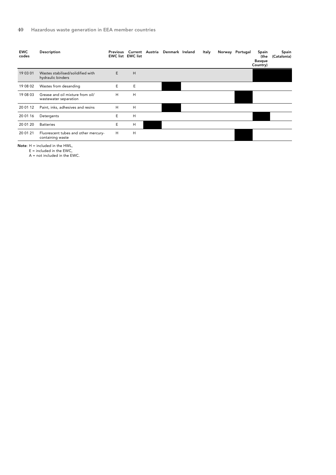| <b>EWC</b><br>codes | Description                                               | Previous | <b>EWC list EWC list</b> | Current Austria Denmark Ireland | Italy | Norway Portugal | Spain<br>(the<br><b>Basque</b><br>Country) | Spain<br>(Catalonia) |
|---------------------|-----------------------------------------------------------|----------|--------------------------|---------------------------------|-------|-----------------|--------------------------------------------|----------------------|
| 19 03 01            | Wastes stabilised/solidified with<br>hydraulic binders    | E        | H                        |                                 |       |                 |                                            |                      |
| 19 08 02            | Wastes from desanding                                     | E        | E                        |                                 |       |                 |                                            |                      |
| 19 08 03            | Grease and oil mixture from oil/<br>wastewater separation | H        | H                        |                                 |       |                 |                                            |                      |
| 20 01 12            | Paint, inks, adhesives and resins                         | H        | H                        |                                 |       |                 |                                            |                      |
| 20 01 16            | Detergents                                                | E        | H                        |                                 |       |                 |                                            |                      |
| 20 01 20            | <b>Batteries</b>                                          | E        | H                        |                                 |       |                 |                                            |                      |
| 20 01 21            | Fluorescent tubes and other mercury-<br>containing waste  | H        | H                        |                                 |       |                 |                                            |                      |

Note: H = included in the HWL,

E = included in the EWC,

A = not included in the EWC.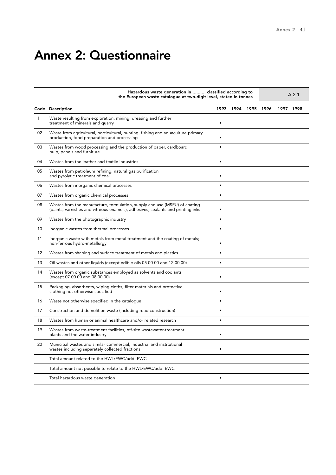## Annex 2: Questionnaire

|              | Hazardous waste generation in  classified according to<br>the European waste catalogue at two-digit level, stated in tonnes                                   |           |      |      |      |      | A <sub>2.1</sub> |
|--------------|---------------------------------------------------------------------------------------------------------------------------------------------------------------|-----------|------|------|------|------|------------------|
|              | Code Description                                                                                                                                              | 1993      | 1994 | 1995 | 1996 | 1997 | 1998             |
| $\mathbf{1}$ | Waste resulting from exploration, mining, dressing and further<br>treatment of minerals and quarry                                                            |           |      |      |      |      |                  |
| 02           | Waste from agricultural, horticultural, hunting, fishing and aquaculture primary<br>production, food preparation and processing                               |           |      |      |      |      |                  |
| 03           | Wastes from wood processing and the production of paper, cardboard,<br>pulp, panels and furniture                                                             |           |      |      |      |      |                  |
| 04           | Wastes from the leather and textile industries                                                                                                                | $\bullet$ |      |      |      |      |                  |
| 05           | Wastes from petroleum refining, natural gas purification<br>and pyrolytic treatment of coal                                                                   | $\bullet$ |      |      |      |      |                  |
| 06           | Wastes from inorganic chemical processes                                                                                                                      | $\bullet$ |      |      |      |      |                  |
| 07           | Wastes from organic chemical processes                                                                                                                        | $\bullet$ |      |      |      |      |                  |
| 08           | Wastes from the manufacture, formulation, supply and use (MSFU) of coating<br>(paints, varnishes and vitreous enamels), adhesives, sealants and printing inks |           |      |      |      |      |                  |
| 09           | Wastes from the photographic industry                                                                                                                         | ٠         |      |      |      |      |                  |
| 10           | Inorganic wastes from thermal processes                                                                                                                       | $\bullet$ |      |      |      |      |                  |
| 11           | Inorganic waste with metals from metal treatment and the coating of metals;<br>non-ferrous hydro-metallurgy                                                   |           |      |      |      |      |                  |
| 12           | Wastes from shaping and surface treatment of metals and plastics                                                                                              |           |      |      |      |      |                  |
| 13           | Oil wastes and other liquids (except edible oils 05 00 00 and 12 00 00)                                                                                       | ٠         |      |      |      |      |                  |
| 14           | Wastes from organic substances employed as solvents and coolants<br>(except 07 00 00 and 08 00 00)                                                            |           |      |      |      |      |                  |
| 15           | Packaging, absorbents, wiping cloths, filter materials and protective<br>clothing not otherwise specified                                                     |           |      |      |      |      |                  |
| 16           | Waste not otherwise specified in the catalogue                                                                                                                |           |      |      |      |      |                  |
| 17           | Construction and demolition waste (including road construction)                                                                                               |           |      |      |      |      |                  |
| 18           | Wastes from human or animal healthcare and/or related research                                                                                                | $\bullet$ |      |      |      |      |                  |
| 19           | Wastes from waste-treatment facilities, off-site wastewater-treatment<br>plants and the water industry                                                        |           |      |      |      |      |                  |
| 20           | Municipal wastes and similar commercial, industrial and institutional<br>wastes including separately collected fractions                                      |           |      |      |      |      |                  |
|              | Total amount related to the HWL/EWC/add. EWC                                                                                                                  |           |      |      |      |      |                  |
|              | Total amount not possible to relate to the HWL/EWC/add. EWC                                                                                                   |           |      |      |      |      |                  |
|              | Total hazardous waste generation                                                                                                                              | $\bullet$ |      |      |      |      |                  |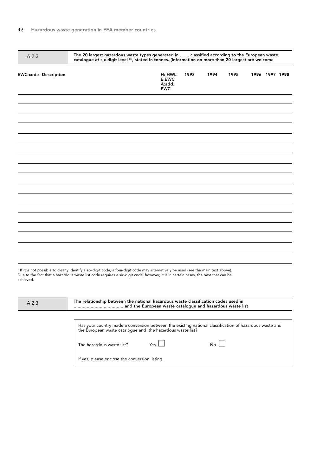| A 2.2     |                             | The 20 largest hazardous waste types generated in  classified according to the European waste<br>catalogue at six-digit level (1), stated in tonnes. (Information on more than 20 largest are welcome                                                                     |                                                           |      |      |      |                |  |
|-----------|-----------------------------|---------------------------------------------------------------------------------------------------------------------------------------------------------------------------------------------------------------------------------------------------------------------------|-----------------------------------------------------------|------|------|------|----------------|--|
|           | <b>EWC code Description</b> |                                                                                                                                                                                                                                                                           | H: HWL.<br>E:EWC<br>A:add.<br><b>EWC</b>                  | 1993 | 1994 | 1995 | 1996 1997 1998 |  |
|           |                             |                                                                                                                                                                                                                                                                           |                                                           |      |      |      |                |  |
|           |                             |                                                                                                                                                                                                                                                                           |                                                           |      |      |      |                |  |
|           |                             |                                                                                                                                                                                                                                                                           |                                                           |      |      |      |                |  |
|           |                             |                                                                                                                                                                                                                                                                           |                                                           |      |      |      |                |  |
|           |                             |                                                                                                                                                                                                                                                                           |                                                           |      |      |      |                |  |
|           |                             |                                                                                                                                                                                                                                                                           |                                                           |      |      |      |                |  |
|           |                             |                                                                                                                                                                                                                                                                           |                                                           |      |      |      |                |  |
| achieved. |                             | 1 If it is not possible to clearly identify a six-digit code, a four-digit code may alternatively be used (see the main text above).<br>Due to the fact that a hazardous waste list code requires a six-digit code, however, it is in certain cases, the best that can be |                                                           |      |      |      |                |  |
| A 2.3     |                             | The relationship between the national hazardous waste classification codes used in                                                                                                                                                                                        | and the European waste catalogue and hazardous waste list |      |      |      |                |  |
|           |                             | Has your country made a conversion between the existing national classification of hazardous waste and<br>the European waste catalogue and the hazardous waste list?                                                                                                      |                                                           |      |      |      |                |  |
|           |                             | The hazardous waste list?                                                                                                                                                                                                                                                 | Yes                                                       |      | No   |      |                |  |
|           |                             | If yes, please enclose the conversion listing.                                                                                                                                                                                                                            |                                                           |      |      |      |                |  |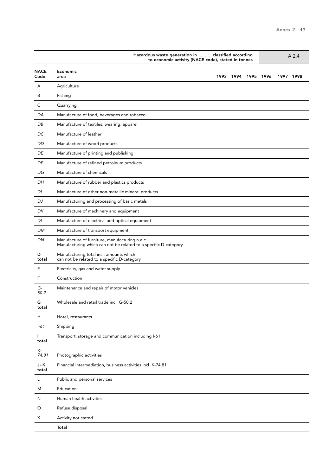|                     | Hazardous waste generation in  classified according<br>A <sub>2.4</sub><br>to economic activity (NACE code), stated in tonnes |  |
|---------------------|-------------------------------------------------------------------------------------------------------------------------------|--|
| <b>NACE</b><br>Code | Economic<br>1993<br>1994<br>1995<br>1996<br>1997 1998<br>area                                                                 |  |
| A                   | Agriculture                                                                                                                   |  |
| B                   | Fishing                                                                                                                       |  |
| С                   | Quarrying                                                                                                                     |  |
| DA                  | Manufacture of food, beverages and tobacco                                                                                    |  |
| DB                  | Manufacture of textiles, wearing, apparel                                                                                     |  |
| DC                  | Manufacture of leather                                                                                                        |  |
| DD                  | Manufacture of wood products                                                                                                  |  |
| DE                  | Manufacture of printing and publishing                                                                                        |  |
| DF                  | Manufacture of refined petroleum products                                                                                     |  |
| DG                  | Manufacture of chemicals                                                                                                      |  |
| DH                  | Manufacture of rubber and plastics products                                                                                   |  |
| DI                  | Manufacture of other non-metallic mineral products                                                                            |  |
| DJ                  | Manufacturing and processing of basic metals                                                                                  |  |
| DK                  | Manufacture of machinery and equipment                                                                                        |  |
| DL                  | Manufacture of electrical and optical equipment                                                                               |  |
| DM                  | Manufacture of transport equipment                                                                                            |  |
| DN                  | Manufacture of furniture, manufacturing n.e.c.<br>Manufacturing which can not be related to a specific D-category             |  |
| D<br>total          | Manufacturing total incl. amounts which<br>can not be related to a specific D-category                                        |  |
| Ε                   | Electricity, gas and water supply                                                                                             |  |
| F                   | Construction                                                                                                                  |  |
| G-<br>50.2          | Maintenance and repair of motor vehicles                                                                                      |  |
| G<br>total          | Wholesale and retail trade incl. G-50.2                                                                                       |  |
| H                   | Hotel, restaurants                                                                                                            |  |
| $1 - 61$            | Shipping                                                                                                                      |  |
| L<br>total          | Transport, storage and communication including I-61                                                                           |  |
| K-<br>74.81         | Photographic activities                                                                                                       |  |
| J+K<br>total        | Financial intermediation, business activities incl. K-74.81                                                                   |  |
| L                   | Public and personal services                                                                                                  |  |
| M                   | Education                                                                                                                     |  |
| N                   | Human health activities                                                                                                       |  |
| O                   | Refuse disposal                                                                                                               |  |
| Χ                   | Activity not stated                                                                                                           |  |
|                     | Total                                                                                                                         |  |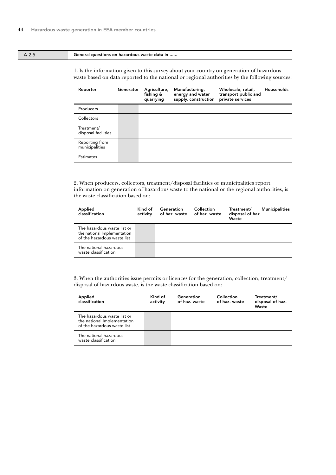### A 2.5 General questions on hazardous waste data in ......

1. Is the information given to this survey about your country on generation of hazardous waste based on data reported to the national or regional authorities by the following sources:

| Reporter                          | Generator | Agriculture,<br>fishing &<br>quarrying | Manufacturing,<br>energy and water<br>supply, construction | Wholesale, retail,<br>transport public and<br>private services | Households |
|-----------------------------------|-----------|----------------------------------------|------------------------------------------------------------|----------------------------------------------------------------|------------|
| Producers                         |           |                                        |                                                            |                                                                |            |
| Collectors                        |           |                                        |                                                            |                                                                |            |
| Treatment/<br>disposal facilities |           |                                        |                                                            |                                                                |            |
| Reporting from<br>municipalities  |           |                                        |                                                            |                                                                |            |
| <b>Estimates</b>                  |           |                                        |                                                            |                                                                |            |

2. When producers, collectors, treatment/disposal facilities or municipalities report information on generation of hazardous waste to the national or the regional authorities, is the waste classification based on:

| Applied<br>classification                                                                 | Kind of<br>activity | Generation<br>of haz. waste | Collection<br>of haz. waste | <b>Municipalities</b><br>Treatment/<br>disposal of haz.<br>Waste |
|-------------------------------------------------------------------------------------------|---------------------|-----------------------------|-----------------------------|------------------------------------------------------------------|
| The hazardous waste list or<br>the national Implementation<br>of the hazardous waste list |                     |                             |                             |                                                                  |
| The national hazardous<br>waste classification                                            |                     |                             |                             |                                                                  |

| Applied<br>classification                                                                 | Kind of<br>activity | Generation<br>of haz. waste | Collection<br>of haz. waste | Treatment/<br>disposal of haz.<br>Waste |
|-------------------------------------------------------------------------------------------|---------------------|-----------------------------|-----------------------------|-----------------------------------------|
| The hazardous waste list or<br>the national Implementation<br>of the hazardous waste list |                     |                             |                             |                                         |
| The national hazardous<br>waste classification                                            |                     |                             |                             |                                         |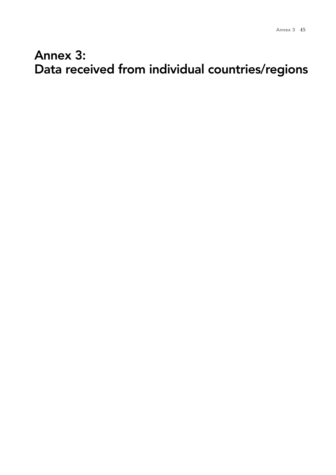## Annex 3: Data received from individual countries/regions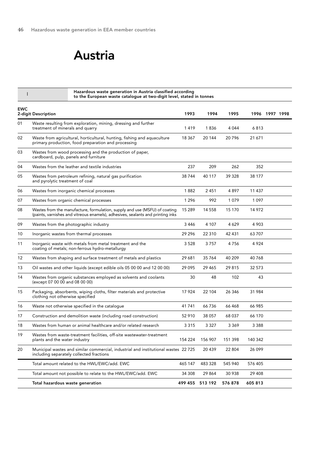## Austria

| I          | Hazardous waste generation in Austria classified according<br>to the European waste catalogue at two-digit level, stated in tonnes                            |         |         |         |          |                |  |
|------------|---------------------------------------------------------------------------------------------------------------------------------------------------------------|---------|---------|---------|----------|----------------|--|
| <b>EWC</b> | 2-digit Description                                                                                                                                           | 1993    | 1994    | 1995    |          | 1996 1997 1998 |  |
| 01         | Waste resulting from exploration, mining, dressing and further<br>treatment of minerals and quarry                                                            | 1419    | 1836    | 4 0 4 4 | 6 813    |                |  |
| 02         | Waste from agricultural, horticultural, hunting, fishing and aquaculture<br>primary production, food preparation and processing                               | 18 3 67 | 20 144  | 20796   | 21 671   |                |  |
| 03         | Wastes from wood processing and the production of paper,<br>cardboard, pulp, panels and furniture                                                             |         |         |         |          |                |  |
| 04         | Wastes from the leather and textile industries                                                                                                                | 237     | 209     | 262     | 352      |                |  |
| 05         | Wastes from petroleum refining, natural gas purification<br>and pyrolytic treatment of coal                                                                   | 38744   | 40 117  | 39 328  | 38 177   |                |  |
| 06         | Wastes from inorganic chemical processes                                                                                                                      | 1882    | 2451    | 4897    | 11 4 3 7 |                |  |
| 07         | Wastes from organic chemical processes                                                                                                                        | 1 2 9 6 | 992     | 1079    | 1097     |                |  |
| 08         | Wastes from the manufacture, formulation, supply and use (MSFU) of coating<br>(paints, varnishes and vitreous enamels), adhesives, sealants and printing inks | 15 289  | 14 5 58 | 15 170  | 14 972   |                |  |
| 09         | Wastes from the photographic industry                                                                                                                         | 3446    | 4 107   | 4 6 2 9 | 4 9 0 3  |                |  |
| 10         | Inorganic wastes from thermal processes                                                                                                                       | 29 29 6 | 22 3 10 | 42 431  | 63707    |                |  |
| 11         | Inorganic waste with metals from metal treatment and the<br>coating of metals; non-ferrous hydro-metallurgy                                                   | 3 5 28  | 3757    | 4756    | 4924     |                |  |
| 12         | Wastes from shaping and surface treatment of metals and plastics                                                                                              | 29 681  | 35 764  | 40 209  | 40768    |                |  |
| 13         | Oil wastes and other liquids (except edible oils 05 00 00 and 12 00 00)                                                                                       | 29 0 95 | 29 4 65 | 29815   | 32 573   |                |  |
| 14         | Wastes from organic substances employed as solvents and coolants<br>(except 07 00 00 and 08 00 00)                                                            | 30      | 48      | 102     | 43       |                |  |
| 15         | Packaging, absorbents, wiping cloths, filter materials and protective<br>clothing not otherwise specified                                                     | 17 924  | 22 104  | 26 346  | 31984    |                |  |
| 16         | Waste not otherwise specified in the catalogue                                                                                                                | 41741   | 66736   | 66468   | 66 985   |                |  |
| 17         | Construction and demolition waste (including road construction)                                                                                               | 52 910  | 38 057  | 68 037  | 66 170   |                |  |
| 18         | Wastes from human or animal healthcare and/or related research                                                                                                | 3 3 1 5 | 3 3 2 7 | 3369    | 3 3 8 8  |                |  |
| 19         | Wastes from waste-treatment facilities, off-site wastewater-treatment<br>plants and the water industry                                                        | 154 224 | 156 907 | 151 398 | 140 342  |                |  |
| 20         | Municipal wastes and similar commercial, industrial and institutional wastes 22725<br>including separately collected fractions                                |         | 20 439  | 22 804  | 26 099   |                |  |
|            | Total amount related to the HWL/EWC/add. EWC                                                                                                                  | 465 147 | 483 328 | 545 940 | 576 405  |                |  |
|            | Total amount not possible to relate to the HWL/EWC/add. EWC                                                                                                   | 34 308  | 29 864  | 30 938  | 29 408   |                |  |
|            | Total hazardous waste generation                                                                                                                              | 499 455 | 513 192 | 576 878 | 605 813  |                |  |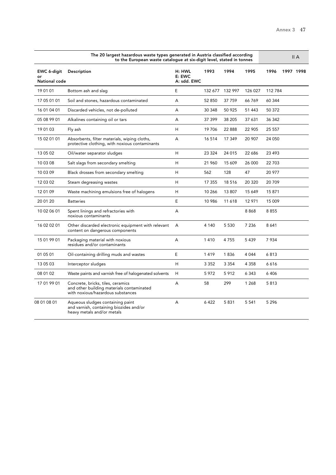-

|                                    | The 20 largest hazardous waste types generated in Austria classified according<br>to the European waste catalogue at six-digit level, stated in tonnes |                                 |         |         |         |         | II A      |
|------------------------------------|--------------------------------------------------------------------------------------------------------------------------------------------------------|---------------------------------|---------|---------|---------|---------|-----------|
| EWC 6-digit<br>or<br>National code | Description                                                                                                                                            | H: HWL<br>E: EWC<br>A: sdd. EWC | 1993    | 1994    | 1995    | 1996    | 1997 1998 |
| 19 01 01                           | Bottom ash and slag                                                                                                                                    | E                               | 132 677 | 132 997 | 126 027 | 112 784 |           |
| 17 05 01 01                        | Soil and stones, hazardous contaminated                                                                                                                | A                               | 52 850  | 37 759  | 66769   | 60 344  |           |
| 16 01 04 01                        | Discarded vehicles, not de-polluted                                                                                                                    | A                               | 30 348  | 50 925  | 51 443  | 50 372  |           |
| 05 08 99 01                        | Alkalines containing oil or tars                                                                                                                       | A                               | 37 399  | 38 205  | 37 631  | 36 342  |           |
| 19 01 03                           | Fly ash                                                                                                                                                | Н                               | 19706   | 22 888  | 22 905  | 25 557  |           |
| 15 02 01 01                        | Absorbents, filter materials, wiping cloths,<br>protective clothing, with noxious contaminants                                                         | A                               | 16 5 14 | 17 349  | 20 907  | 24 050  |           |
| 13 05 02                           | Oil/water separator sludges                                                                                                                            | H                               | 23 3 24 | 24 015  | 22 686  | 23 493  |           |
| 10 03 08                           | Salt slags from secondary smelting                                                                                                                     | H                               | 21 960  | 15 609  | 26 000  | 22 703  |           |
| 10 03 09                           | Black drosses from secondary smelting                                                                                                                  | H                               | 562     | 128     | 47      | 20 977  |           |
| 12 03 02                           | Steam degreasing wastes                                                                                                                                | H                               | 17 355  | 18516   | 20 320  | 20 709  |           |
| 12 01 09                           | Waste machining emulsions free of halogens                                                                                                             | H                               | 10 266  | 13 807  | 15 649  | 15871   |           |
| 20 01 20                           | <b>Batteries</b>                                                                                                                                       | E                               | 10 986  | 11618   | 12 971  | 15 009  |           |
| 10 02 06 01                        | Spent linings and refractories with<br>noxious contaminants                                                                                            | A                               |         |         | 8868    | 8855    |           |
| 16 02 02 01                        | Other discarded electronic equipment with relevant<br>content on dangerous components                                                                  | А                               | 4 140   | 5 5 3 0 | 7 2 3 6 | 8 6 4 1 |           |
| 15 01 99 01                        | Packaging material with noxious<br>residues and/or contaminants                                                                                        | A                               | 1410    | 4755    | 5439    | 7934    |           |
| 01 05 01                           | Oil-containing drilling muds and wastes                                                                                                                | Е                               | 1419    | 1836    | 4 0 4 4 | 6813    |           |
| 13 05 03                           | Interceptor sludges                                                                                                                                    | H                               | 3 3 5 2 | 3 3 5 4 | 4 3 5 8 | 6616    |           |
| 08 01 02                           | Waste paints and varnish free of halogenated solvents                                                                                                  | H                               | 5972    | 5912    | 6 3 4 3 | 6406    |           |
| 17 01 99 01                        | Concrete, bricks, tiles, ceramics<br>and other building materials contaminated<br>with noxious/hazardous substances                                    | А                               | 58      | 299     | 1 2 6 8 | 5813    |           |
| 08 01 08 01                        | Aqueous sludges containing paint<br>and varnish, containing biozides and/or<br>heavy metals and/or metals                                              | A                               | 6422    | 5831    | 5 5 4 1 | 5 2 9 6 |           |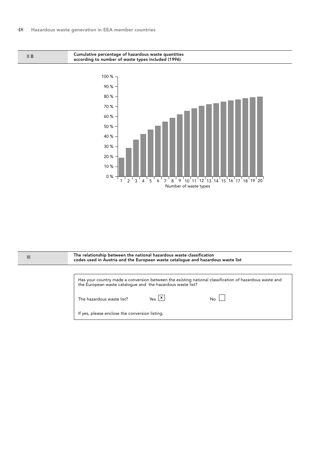II B

0 %

10 % 20 % 30 % 40 % 50 % 60 % 70 % 80 % 90 % 100 % Cumulative percentage of hazardous waste quantities according to number of waste types included (1996)

> $1^{\prime}$  2  $3^{\prime}$  4  $^{\prime}$  5  $^{\prime}$  6  $^{\prime}$  7  $^{\prime}$  8  $^{\prime}$  9  $^{\prime}$  10  $^{\prime}$  11  $^{\prime}$  12  $^{\prime}$  13  $^{\prime}$  14  $^{\prime}$  15  $^{\prime}$  16  $^{\prime}$  17  $^{\prime}$  18  $^{\prime}$  20 Number of waste types

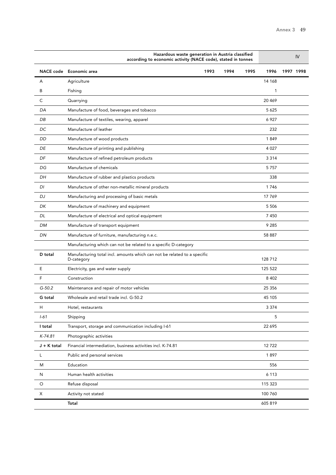|             | Hazardous waste generation in Austria classified<br>according to economic activity (NACE code), stated in tonnes |      |      |      |              |           | IV |
|-------------|------------------------------------------------------------------------------------------------------------------|------|------|------|--------------|-----------|----|
| NACE code   | Economic area                                                                                                    | 1993 | 1994 | 1995 | 1996         | 1997 1998 |    |
| A           | Agriculture                                                                                                      |      |      |      | 14 168       |           |    |
| B           | Fishing                                                                                                          |      |      |      | $\mathbf{1}$ |           |    |
| C           | Quarrying                                                                                                        |      |      |      | 20 4 6 9     |           |    |
| DA          | Manufacture of food, beverages and tobacco                                                                       |      |      |      | 5 6 2 5      |           |    |
| DB          | Manufacture of textiles, wearing, apparel                                                                        |      |      |      | 6927         |           |    |
| DC          | Manufacture of leather                                                                                           |      |      |      | 232          |           |    |
| DD          | Manufacture of wood products                                                                                     |      |      |      | 1849         |           |    |
| DE          | Manufacture of printing and publishing                                                                           |      |      |      | 4 0 27       |           |    |
| DF          | Manufacture of refined petroleum products                                                                        |      |      |      | 3 3 1 4      |           |    |
| DG          | Manufacture of chemicals                                                                                         |      |      |      | 5757         |           |    |
| DH          | Manufacture of rubber and plastics products                                                                      |      |      |      | 338          |           |    |
| DI          | Manufacture of other non-metallic mineral products                                                               |      |      |      | 1746         |           |    |
| DJ          | Manufacturing and processing of basic metals                                                                     |      |      |      | 17 769       |           |    |
| DK          | Manufacture of machinery and equipment                                                                           |      |      |      | 5 5 0 6      |           |    |
| DL          | Manufacture of electrical and optical equipment                                                                  |      |      |      | 7450         |           |    |
| <b>DM</b>   | Manufacture of transport equipment                                                                               |      |      |      | 9 2 8 5      |           |    |
| DN          | Manufacture of furniture, manufacturing n.e.c.                                                                   |      |      |      | 58 887       |           |    |
|             | Manufacturing which can not be related to a specific D-category                                                  |      |      |      |              |           |    |
| D total     | Manufacturing total incl. amounts which can not be related to a specific<br>D-category                           |      |      |      | 128 712      |           |    |
| E           | Electricity, gas and water supply                                                                                |      |      |      | 125 522      |           |    |
| F           | Construction                                                                                                     |      |      |      | 8 4 0 2      |           |    |
| $G - 50.2$  | Maintenance and repair of motor vehicles                                                                         |      |      |      | 25 3 5 6     |           |    |
| G total     | Wholesale and retail trade incl. G-50.2                                                                          |      |      |      | 45 105       |           |    |
| н           | Hotel, restaurants                                                                                               |      |      |      | 3 3 7 4      |           |    |
| $1 - 61$    | Shipping                                                                                                         |      |      |      | 5            |           |    |
| I total     | Transport, storage and communication including I-61                                                              |      |      |      | 22 6 95      |           |    |
| $K-74.81$   | Photographic activities                                                                                          |      |      |      |              |           |    |
| J + K total | Financial intermediation, business activities incl. K-74.81                                                      |      |      |      | 12722        |           |    |
| L           | Public and personal services                                                                                     |      |      |      | 1897         |           |    |
| M           | Education                                                                                                        |      |      |      | 556          |           |    |
| N           | Human health activities                                                                                          |      |      |      | 6 1 1 3      |           |    |
| $\circ$     | Refuse disposal                                                                                                  |      |      |      | 115 323      |           |    |
| X           | Activity not stated                                                                                              |      |      |      | 100 760      |           |    |
|             | Total                                                                                                            |      |      |      | 605 819      |           |    |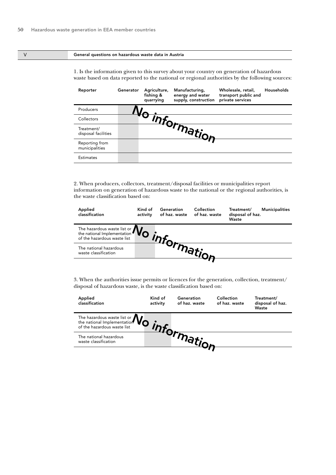#### V General questions on hazardous waste data in Austria

1. Is the information given to this survey about your country on generation of hazardous waste based on data reported to the national or regional authorities by the following sources:

| Reporter                          | Generator | Agriculture,<br>fishing &<br>quarrying | Manufacturing,<br>energy and water<br>supply, construction | Wholesale, retail,<br>transport public and<br>private services | Households |
|-----------------------------------|-----------|----------------------------------------|------------------------------------------------------------|----------------------------------------------------------------|------------|
| Producers                         |           |                                        |                                                            |                                                                |            |
| Collectors                        |           |                                        |                                                            |                                                                |            |
| Treatment/<br>disposal facilities |           |                                        | - Information-                                             |                                                                |            |
| Reporting from<br>municipalities  |           |                                        |                                                            |                                                                |            |
| <b>Estimates</b>                  |           |                                        |                                                            |                                                                |            |

2. When producers, collectors, treatment/disposal facilities or municipalities report information on generation of hazardous waste to the national or the regional authorities, is the waste classification based on:

| Applied<br>classification                                                        | Kind of<br>activity | Generation<br>of haz. waste | Collection<br>of haz. waste | Treatment/<br>disposal of haz.<br>Waste | <b>Municipalities</b> |
|----------------------------------------------------------------------------------|---------------------|-----------------------------|-----------------------------|-----------------------------------------|-----------------------|
| The hazardous waste list or $\mathbf{N}_{\Omega}$<br>of the hazardous waste list |                     |                             |                             |                                         |                       |
| The national hazardous<br>waste classification                                   |                     |                             |                             |                                         |                       |
|                                                                                  |                     |                             |                             |                                         |                       |

| Applied<br>classification                                                                                   | Kind of<br>activity | Generation<br>of haz. waste | Collection<br>of haz. waste | Treatment/<br>disposal of haz.<br>Waste |
|-------------------------------------------------------------------------------------------------------------|---------------------|-----------------------------|-----------------------------|-----------------------------------------|
| The hazardous waste list or $\mathbf{W}_{\text{S}}$ the national Implementation of the hazardous waste list |                     |                             |                             |                                         |
| The national hazardous<br>waste classification                                                              |                     |                             |                             |                                         |
|                                                                                                             |                     |                             |                             |                                         |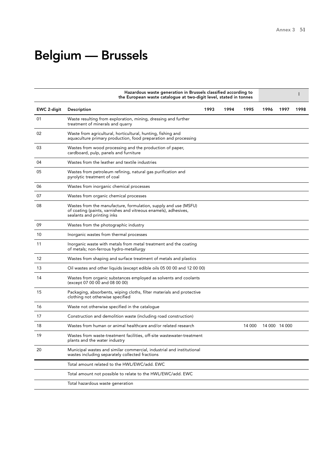## Belgium — Brussels

|             | Hazardous waste generation in Brussels classified according to<br>the European waste catalogue at two-digit level, stated in tonnes                              |      |      |        |      |               |      |
|-------------|------------------------------------------------------------------------------------------------------------------------------------------------------------------|------|------|--------|------|---------------|------|
| EWC 2-digit | <b>Description</b>                                                                                                                                               | 1993 | 1994 | 1995   | 1996 | 1997          | 1998 |
| 01          | Waste resulting from exploration, mining, dressing and further<br>treatment of minerals and quarry                                                               |      |      |        |      |               |      |
| 02          | Waste from agricultural, horticultural, hunting, fishing and<br>aquaculture primary production, food preparation and processing                                  |      |      |        |      |               |      |
| 03          | Wastes from wood processing and the production of paper,<br>cardboard, pulp, panels and furniture                                                                |      |      |        |      |               |      |
| 04          | Wastes from the leather and textile industries                                                                                                                   |      |      |        |      |               |      |
| 05          | Wastes from petroleum refining, natural gas purification and<br>pyrolytic treatment of coal                                                                      |      |      |        |      |               |      |
| 06          | Wastes from inorganic chemical processes                                                                                                                         |      |      |        |      |               |      |
| 07          | Wastes from organic chemical processes                                                                                                                           |      |      |        |      |               |      |
| 08          | Wastes from the manufacture, formulation, supply and use (MSFU)<br>of coating (paints, varnishes and vitreous enamels), adhesives,<br>sealants and printing inks |      |      |        |      |               |      |
| 09          | Wastes from the photographic industry                                                                                                                            |      |      |        |      |               |      |
| 10          | Inorganic wastes from thermal processes                                                                                                                          |      |      |        |      |               |      |
| 11          | Inorganic waste with metals from metal treatment and the coating<br>of metals; non-ferrous hydro-metallurgy                                                      |      |      |        |      |               |      |
| 12          | Wastes from shaping and surface treatment of metals and plastics                                                                                                 |      |      |        |      |               |      |
| 13          | Oil wastes and other liquids (except edible oils 05 00 00 and 12 00 00)                                                                                          |      |      |        |      |               |      |
| 14          | Wastes from organic substances employed as solvents and coolants<br>(except 07 00 00 and 08 00 00)                                                               |      |      |        |      |               |      |
| 15          | Packaging, absorbents, wiping cloths, filter materials and protective<br>clothing not otherwise specified                                                        |      |      |        |      |               |      |
| 16          | Waste not otherwise specified in the catalogue                                                                                                                   |      |      |        |      |               |      |
| 17          | Construction and demolition waste (including road construction)                                                                                                  |      |      |        |      |               |      |
| 18          | Wastes from human or animal healthcare and/or related research                                                                                                   |      |      | 14 000 |      | 14 000 14 000 |      |
| 19          | Wastes from waste-treatment facilities, off-site wastewater-treatment<br>plants and the water industry                                                           |      |      |        |      |               |      |
| 20          | Municipal wastes and similar commercial, industrial and institutional<br>wastes including separately collected fractions                                         |      |      |        |      |               |      |
|             | Total amount related to the HWL/EWC/add. EWC                                                                                                                     |      |      |        |      |               |      |
|             | Total amount not possible to relate to the HWL/EWC/add. EWC                                                                                                      |      |      |        |      |               |      |
|             | Total hazardous waste generation                                                                                                                                 |      |      |        |      |               |      |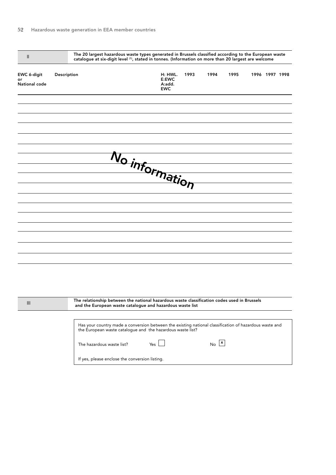| $\mathbf{II}$                      |                           | The 20 largest hazardous waste types generated in Brussels classified according to the European waste<br>catalogue at six-digit level (1), stated in tonnes. (Information on more than 20 largest are welcome |      |                           |      |                |  |
|------------------------------------|---------------------------|---------------------------------------------------------------------------------------------------------------------------------------------------------------------------------------------------------------|------|---------------------------|------|----------------|--|
| EWC 6-digit<br>or<br>National code | Description               | H: HWL.<br>E:EWC<br>A:add.<br><b>EWC</b>                                                                                                                                                                      | 1993 | 1994                      | 1995 | 1996 1997 1998 |  |
|                                    |                           |                                                                                                                                                                                                               |      |                           |      |                |  |
|                                    |                           |                                                                                                                                                                                                               |      |                           |      |                |  |
|                                    |                           |                                                                                                                                                                                                               |      |                           |      |                |  |
|                                    |                           | No information                                                                                                                                                                                                |      |                           |      |                |  |
|                                    |                           |                                                                                                                                                                                                               |      |                           |      |                |  |
|                                    |                           |                                                                                                                                                                                                               |      |                           |      |                |  |
|                                    |                           |                                                                                                                                                                                                               |      |                           |      |                |  |
|                                    |                           |                                                                                                                                                                                                               |      |                           |      |                |  |
|                                    |                           |                                                                                                                                                                                                               |      |                           |      |                |  |
| Ш                                  |                           | The relationship between the national hazardous waste classification codes used in Brussels<br>and the European waste catalogue and hazardous waste list                                                      |      |                           |      |                |  |
|                                    |                           | Has your country made a conversion between the existing national classification of hazardous waste and<br>the European waste catalogue and the hazardous waste list?                                          |      |                           |      |                |  |
|                                    | The hazardous waste list? | Yes                                                                                                                                                                                                           |      | $No$ $\boxed{\mathbf{x}}$ |      |                |  |
|                                    |                           | If yes, please enclose the conversion listing.                                                                                                                                                                |      |                           |      |                |  |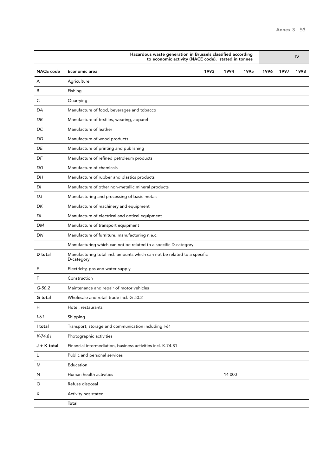|                  | Hazardous waste generation in Brussels classified according<br>to economic activity (NACE code), stated in tonnes |      |        |      |      |      | IV   |  |  |
|------------------|-------------------------------------------------------------------------------------------------------------------|------|--------|------|------|------|------|--|--|
| <b>NACE</b> code | Economic area                                                                                                     | 1993 | 1994   | 1995 | 1996 | 1997 | 1998 |  |  |
| A                | Agriculture                                                                                                       |      |        |      |      |      |      |  |  |
| B                | Fishing                                                                                                           |      |        |      |      |      |      |  |  |
| С                | Quarrying                                                                                                         |      |        |      |      |      |      |  |  |
| DA               | Manufacture of food, beverages and tobacco                                                                        |      |        |      |      |      |      |  |  |
| DB               | Manufacture of textiles, wearing, apparel                                                                         |      |        |      |      |      |      |  |  |
| DC               | Manufacture of leather                                                                                            |      |        |      |      |      |      |  |  |
| DD               | Manufacture of wood products                                                                                      |      |        |      |      |      |      |  |  |
| DE               | Manufacture of printing and publishing                                                                            |      |        |      |      |      |      |  |  |
| DF               | Manufacture of refined petroleum products                                                                         |      |        |      |      |      |      |  |  |
| DG               | Manufacture of chemicals                                                                                          |      |        |      |      |      |      |  |  |
| DH               | Manufacture of rubber and plastics products                                                                       |      |        |      |      |      |      |  |  |
| DI               | Manufacture of other non-metallic mineral products                                                                |      |        |      |      |      |      |  |  |
| DJ               | Manufacturing and processing of basic metals                                                                      |      |        |      |      |      |      |  |  |
| DK               | Manufacture of machinery and equipment                                                                            |      |        |      |      |      |      |  |  |
| DL               | Manufacture of electrical and optical equipment                                                                   |      |        |      |      |      |      |  |  |
| DM               | Manufacture of transport equipment                                                                                |      |        |      |      |      |      |  |  |
| DN               | Manufacture of furniture, manufacturing n.e.c.                                                                    |      |        |      |      |      |      |  |  |
|                  | Manufacturing which can not be related to a specific D-category                                                   |      |        |      |      |      |      |  |  |
| D total          | Manufacturing total incl. amounts which can not be related to a specific<br>D-category                            |      |        |      |      |      |      |  |  |
| Ε                | Electricity, gas and water supply                                                                                 |      |        |      |      |      |      |  |  |
| F                | Construction                                                                                                      |      |        |      |      |      |      |  |  |
| $G-50.2$         | Maintenance and repair of motor vehicles                                                                          |      |        |      |      |      |      |  |  |
| G total          | Wholesale and retail trade incl. G-50.2                                                                           |      |        |      |      |      |      |  |  |
| Н                | Hotel, restaurants                                                                                                |      |        |      |      |      |      |  |  |
| $1 - 61$         | Shipping                                                                                                          |      |        |      |      |      |      |  |  |
| I total          | Transport, storage and communication including I-61                                                               |      |        |      |      |      |      |  |  |
| $K-74.81$        | Photographic activities                                                                                           |      |        |      |      |      |      |  |  |
| J + K total      | Financial intermediation, business activities incl. K-74.81                                                       |      |        |      |      |      |      |  |  |
| L                | Public and personal services                                                                                      |      |        |      |      |      |      |  |  |
| M                | Education                                                                                                         |      |        |      |      |      |      |  |  |
| N                | Human health activities                                                                                           |      | 14 000 |      |      |      |      |  |  |
| O                | Refuse disposal                                                                                                   |      |        |      |      |      |      |  |  |
| X                | Activity not stated                                                                                               |      |        |      |      |      |      |  |  |
|                  | Total                                                                                                             |      |        |      |      |      |      |  |  |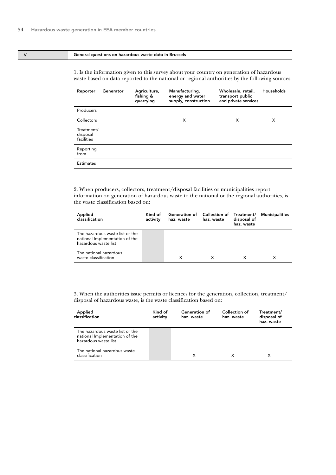#### V General questions on hazardous waste data in Brussels

1. Is the information given to this survey about your country on generation of hazardous waste based on data reported to the national or regional authorities by the following sources:

| Reporter                             | Generator | Agriculture,<br>fishing &<br>quarrying | Manufacturing,<br>energy and water<br>supply, construction | Wholesale, retail,<br>transport public<br>and private services | Households |
|--------------------------------------|-----------|----------------------------------------|------------------------------------------------------------|----------------------------------------------------------------|------------|
| Producers                            |           |                                        |                                                            |                                                                |            |
| Collectors                           |           |                                        | X                                                          | X                                                              | X          |
| Treatment/<br>disposal<br>facilities |           |                                        |                                                            |                                                                |            |
| Reporting<br>from                    |           |                                        |                                                            |                                                                |            |
| <b>Estimates</b>                     |           |                                        |                                                            |                                                                |            |

2. When producers, collectors, treatment/disposal facilities or municipalities report information on generation of hazardous waste to the national or the regional authorities, is the waste classification based on:

| Applied<br>classification                                                                 | Kind of<br>activity | Generation of Collection of Treatment/<br>haz. waste | haz. waste | disposal of<br>haz. waste | Municipalities |
|-------------------------------------------------------------------------------------------|---------------------|------------------------------------------------------|------------|---------------------------|----------------|
| The hazardous waste list or the<br>national Implementation of the<br>hazardous waste list |                     |                                                      |            |                           |                |
| The national hazardous<br>waste classification                                            |                     | X                                                    |            |                           | Χ              |

| Applied<br>classification                                                                 | Kind of<br>activity | Generation of<br>haz. waste | Collection of<br>haz. waste | Treatment/<br>disposal of<br>haz. waste |
|-------------------------------------------------------------------------------------------|---------------------|-----------------------------|-----------------------------|-----------------------------------------|
| The hazardous waste list or the<br>national Implementation of the<br>hazardous waste list |                     |                             |                             |                                         |
| The national hazardous waste<br>classification                                            |                     | х                           |                             |                                         |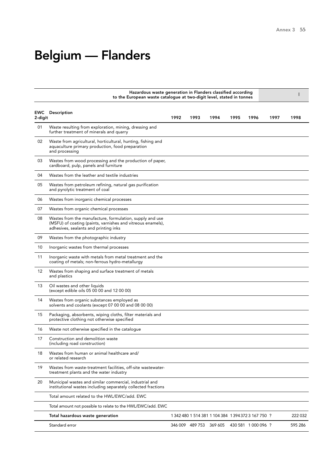## Belgium — Flanders

|                |                                                                                                                                                                  | Hazardous waste generation in Flanders classified according<br>to the European waste catalogue at two-digit level, stated in tonnes |                 |                                                     |      |                     |      |         |
|----------------|------------------------------------------------------------------------------------------------------------------------------------------------------------------|-------------------------------------------------------------------------------------------------------------------------------------|-----------------|-----------------------------------------------------|------|---------------------|------|---------|
| EWC<br>2-digit | Description                                                                                                                                                      | 1992                                                                                                                                | 1993            | 1994                                                | 1995 | 1996                | 1997 | 1998    |
| 01             | Waste resulting from exploration, mining, dressing and<br>further treatment of minerals and quarry                                                               |                                                                                                                                     |                 |                                                     |      |                     |      |         |
| 02             | Waste from agricultural, horticultural, hunting, fishing and<br>aquaculture primary production, food preparation<br>and processing                               |                                                                                                                                     |                 |                                                     |      |                     |      |         |
| 03             | Wastes from wood processing and the production of paper,<br>cardboard, pulp, panels and furniture                                                                |                                                                                                                                     |                 |                                                     |      |                     |      |         |
| 04             | Wastes from the leather and textile industries                                                                                                                   |                                                                                                                                     |                 |                                                     |      |                     |      |         |
| 05             | Wastes from petroleum refining, natural gas purification<br>and pyrolytic treatment of coal                                                                      |                                                                                                                                     |                 |                                                     |      |                     |      |         |
| 06             | Wastes from inorganic chemical processes                                                                                                                         |                                                                                                                                     |                 |                                                     |      |                     |      |         |
| 07             | Wastes from organic chemical processes                                                                                                                           |                                                                                                                                     |                 |                                                     |      |                     |      |         |
| 08             | Wastes from the manufacture, formulation, supply and use<br>(MSFU) of coating (paints, varnishes and vitreous enamels),<br>adhesives, sealants and printing inks |                                                                                                                                     |                 |                                                     |      |                     |      |         |
| 09             | Wastes from the photographic industry                                                                                                                            |                                                                                                                                     |                 |                                                     |      |                     |      |         |
| 10             | Inorganic wastes from thermal processes                                                                                                                          |                                                                                                                                     |                 |                                                     |      |                     |      |         |
| 11             | Inorganic waste with metals from metal treatment and the<br>coating of metals; non-ferrous hydro-metallurgy                                                      |                                                                                                                                     |                 |                                                     |      |                     |      |         |
| 12             | Wastes from shaping and surface treatment of metals<br>and plastics                                                                                              |                                                                                                                                     |                 |                                                     |      |                     |      |         |
| 13             | Oil wastes and other liquids<br>(except edible oils 05 00 00 and 12 00 00)                                                                                       |                                                                                                                                     |                 |                                                     |      |                     |      |         |
| 14             | Wastes from organic substances employed as<br>solvents and coolants (except 07 00 00 and 08 00 00)                                                               |                                                                                                                                     |                 |                                                     |      |                     |      |         |
| 15             | Packaging, absorbents, wiping cloths, filter materials and<br>protective clothing not otherwise specified                                                        |                                                                                                                                     |                 |                                                     |      |                     |      |         |
| 16             | Waste not otherwise specified in the catalogue                                                                                                                   |                                                                                                                                     |                 |                                                     |      |                     |      |         |
| 17             | Construction and demolition waste<br>(including road construction)                                                                                               |                                                                                                                                     |                 |                                                     |      |                     |      |         |
| 18             | Wastes from human or animal healthcare and/<br>or related research                                                                                               |                                                                                                                                     |                 |                                                     |      |                     |      |         |
| 19             | Wastes from waste-treatment facilities, off-site wastewater-<br>treatment plants and the water industry                                                          |                                                                                                                                     |                 |                                                     |      |                     |      |         |
| 20             | Municipal wastes and similar commercial, industrial and<br>institutional wastes including separately collected fractions                                         |                                                                                                                                     |                 |                                                     |      |                     |      |         |
|                | Total amount related to the HWL/EWC/add. EWC                                                                                                                     |                                                                                                                                     |                 |                                                     |      |                     |      |         |
|                | Total amount not possible to relate to the HWL/EWC/add. EWC                                                                                                      |                                                                                                                                     |                 |                                                     |      |                     |      |         |
|                | Total hazardous waste generation                                                                                                                                 |                                                                                                                                     |                 | 1 342 480 1 514 381 1 104 384 1 394 372 3 167 750 ? |      |                     |      | 222 032 |
|                | Standard error                                                                                                                                                   |                                                                                                                                     | 346 009 489 753 | 369 605                                             |      | 430 581 1 000 096 ? |      | 595 286 |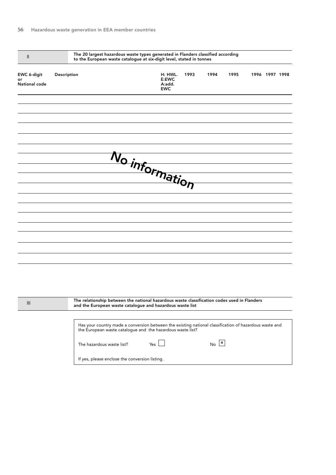| The 20 largest hazardous waste types generated in Flanders classified according<br>$\mathbf{II}$<br>to the European waste catalogue at six-digit level, stated in tonnes |                                                |                                                                                                                                                                      |      |                           |      |  |                |  |  |
|--------------------------------------------------------------------------------------------------------------------------------------------------------------------------|------------------------------------------------|----------------------------------------------------------------------------------------------------------------------------------------------------------------------|------|---------------------------|------|--|----------------|--|--|
| EWC 6-digit<br>or<br>National code                                                                                                                                       | Description                                    | H: HWL.<br>E:EWC<br>A:add.<br><b>EWC</b>                                                                                                                             | 1993 | 1994                      | 1995 |  | 1996 1997 1998 |  |  |
|                                                                                                                                                                          |                                                |                                                                                                                                                                      |      |                           |      |  |                |  |  |
|                                                                                                                                                                          |                                                |                                                                                                                                                                      |      |                           |      |  |                |  |  |
|                                                                                                                                                                          |                                                | No information                                                                                                                                                       |      |                           |      |  |                |  |  |
|                                                                                                                                                                          |                                                |                                                                                                                                                                      |      |                           |      |  |                |  |  |
|                                                                                                                                                                          |                                                |                                                                                                                                                                      |      |                           |      |  |                |  |  |
|                                                                                                                                                                          |                                                |                                                                                                                                                                      |      |                           |      |  |                |  |  |
|                                                                                                                                                                          |                                                |                                                                                                                                                                      |      |                           |      |  |                |  |  |
|                                                                                                                                                                          |                                                |                                                                                                                                                                      |      |                           |      |  |                |  |  |
|                                                                                                                                                                          |                                                |                                                                                                                                                                      |      |                           |      |  |                |  |  |
|                                                                                                                                                                          |                                                |                                                                                                                                                                      |      |                           |      |  |                |  |  |
|                                                                                                                                                                          |                                                |                                                                                                                                                                      |      |                           |      |  |                |  |  |
| Ш                                                                                                                                                                        |                                                | The relationship between the national hazardous waste classification codes used in Flanders<br>and the European waste catalogue and hazardous waste list             |      |                           |      |  |                |  |  |
|                                                                                                                                                                          |                                                | Has your country made a conversion between the existing national classification of hazardous waste and<br>the European waste catalogue and the hazardous waste list? |      |                           |      |  |                |  |  |
|                                                                                                                                                                          | The hazardous waste list?                      | Yes                                                                                                                                                                  |      | $No$ $\boxed{\mathbf{x}}$ |      |  |                |  |  |
|                                                                                                                                                                          | If yes, please enclose the conversion listing. |                                                                                                                                                                      |      |                           |      |  |                |  |  |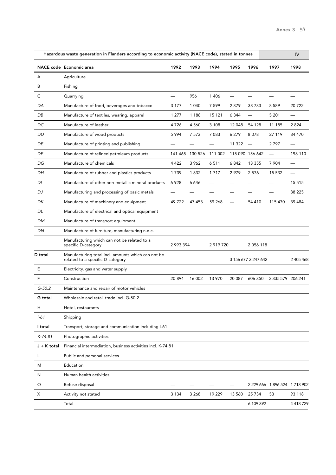|             | Hazardous waste generation in Flanders according to economic activity (NACE code), stated in tonnes |           |                 |           |         |                       |                               | IV                       |
|-------------|-----------------------------------------------------------------------------------------------------|-----------|-----------------|-----------|---------|-----------------------|-------------------------------|--------------------------|
|             | <b>NACE code Economic area</b>                                                                      | 1992      | 1993            | 1994      | 1995    | 1996                  | 1997                          | 1998                     |
| A           | Agriculture                                                                                         |           |                 |           |         |                       |                               |                          |
| B           | Fishing                                                                                             |           |                 |           |         |                       |                               |                          |
| С           | Quarrying                                                                                           |           | 956             | 1 4 0 6   |         |                       |                               |                          |
| DA          | Manufacture of food, beverages and tobacco                                                          | 3 1 7 7   | 1 0 4 0         | 7 5 9 9   | 2 3 7 9 | 38733                 | 8589                          | 20722                    |
| DB          | Manufacture of textiles, wearing, apparel                                                           | 1 277     | 1 1 8 8         | 15 121    | 6 3 4 4 |                       | 5 2 0 1                       | —                        |
| DC          | Manufacture of leather                                                                              | 4726      | 4 5 6 0         | 3 1 0 8   | 12 048  | 54 128                | 11 185                        | 2824                     |
| DD          | Manufacture of wood products                                                                        | 5994      | 7 5 7 3         | 7 0 8 3   | 6279    | 8078                  | 27 119                        | 34 470                   |
| DE          | Manufacture of printing and publishing                                                              |           |                 |           | 11 322  |                       | 2797                          |                          |
| DF          | Manufacture of refined petroleum products                                                           |           | 141 465 130 526 | 111 002   |         | 115 090 156 642       |                               | 198 110                  |
| DG          | Manufacture of chemicals                                                                            | 4 4 2 2   | 3 9 6 2         | 6511      | 6842    | 13 3 5 5              | 7 904                         | $\overline{\phantom{0}}$ |
| DH          | Manufacture of rubber and plastics products                                                         | 1739      | 1832            | 1717      | 2979    | 2576                  | 15 532                        |                          |
| DI          | Manufacture of other non-metallic mineral products                                                  | 6928      | 6646            |           |         |                       |                               | 15 5 15                  |
| DJ          | Manufacturing and processing of basic metals                                                        |           |                 |           |         |                       |                               | 38 2 25                  |
| DK          | Manufacture of machinery and equipment                                                              | 49722     | 47 453          | 59 268    |         | 54 410                | 115 470                       | 39 4 84                  |
| DL          | Manufacture of electrical and optical equipment                                                     |           |                 |           |         |                       |                               |                          |
| DM          | Manufacture of transport equipment                                                                  |           |                 |           |         |                       |                               |                          |
| DN          | Manufacture of furniture, manufacturing n.e.c.                                                      |           |                 |           |         |                       |                               |                          |
|             | Manufacturing which can not be related to a<br>specific D-category                                  | 2 993 394 |                 | 2 919 720 |         | 2 0 5 6 1 1 8         |                               |                          |
| D total     | Manufacturing total incl. amounts which can not be<br>related to a specific D-category              |           |                 |           |         | 3 156 677 3 247 642 - |                               | 2 405 468                |
| Ε           | Electricity, gas and water supply                                                                   |           |                 |           |         |                       |                               |                          |
| F           | Construction                                                                                        | 20 894    | 16 002          | 13 970    | 20 087  | 606 350               | 2 3 3 5 5 7 9 2 0 6 2 4 1     |                          |
| $G-50.2$    | Maintenance and repair of motor vehicles                                                            |           |                 |           |         |                       |                               |                          |
| G total     | Wholesale and retail trade incl. G-50.2                                                             |           |                 |           |         |                       |                               |                          |
| Н           | Hotel, restaurants                                                                                  |           |                 |           |         |                       |                               |                          |
| $1 - 61$    | Shipping                                                                                            |           |                 |           |         |                       |                               |                          |
| I total     | Transport, storage and communication including I-61                                                 |           |                 |           |         |                       |                               |                          |
| $K-74.81$   | Photographic activities                                                                             |           |                 |           |         |                       |                               |                          |
| J + K total | Financial intermediation, business activities incl. K-74.81                                         |           |                 |           |         |                       |                               |                          |
| L           | Public and personal services                                                                        |           |                 |           |         |                       |                               |                          |
| M           | Education                                                                                           |           |                 |           |         |                       |                               |                          |
| N           | Human health activities                                                                             |           |                 |           |         |                       |                               |                          |
| O           | Refuse disposal                                                                                     |           |                 |           |         |                       | 2 229 666 1 896 524 1 713 902 |                          |
| Х           | Activity not stated                                                                                 | 3 1 3 4   | 3 2 6 8         | 19 229    | 13 560  | 25 7 34               | 53                            | 93 118                   |
|             | Total                                                                                               |           |                 |           |         | 6 109 392             |                               | 4 4 18 7 29              |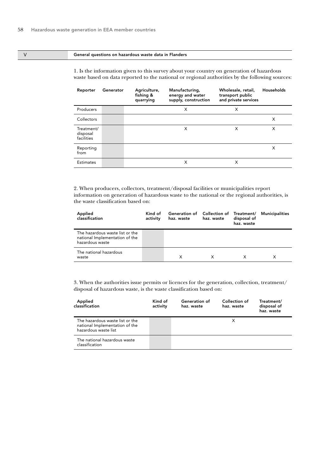#### V General questions on hazardous waste data in Flanders

1. Is the information given to this survey about your country on generation of hazardous waste based on data reported to the national or regional authorities by the following sources:

| Reporter                             | Generator | Agriculture,<br>fishing &<br>quarrying | Manufacturing,<br>energy and water<br>supply, construction | Wholesale, retail,<br>transport public<br>and private services | Households |
|--------------------------------------|-----------|----------------------------------------|------------------------------------------------------------|----------------------------------------------------------------|------------|
| Producers                            |           |                                        | X                                                          | X                                                              |            |
| Collectors                           |           |                                        |                                                            |                                                                | X          |
| Treatment/<br>disposal<br>facilities |           |                                        | X                                                          | X                                                              | X          |
| Reporting<br>from                    |           |                                        |                                                            |                                                                | X          |
| <b>Estimates</b>                     |           |                                        | X                                                          | X                                                              |            |

2. When producers, collectors, treatment/disposal facilities or municipalities report information on generation of hazardous waste to the national or the regional authorities, is the waste classification based on:

| Applied<br>classification                                                            | Kind of<br>activity | haz. waste | Generation of Collection of Treatment/<br>haz. waste |  | Municipalities |
|--------------------------------------------------------------------------------------|---------------------|------------|------------------------------------------------------|--|----------------|
| The hazardous waste list or the<br>national Implementation of the<br>hazardous waste |                     |            |                                                      |  |                |
| The national hazardous<br>waste                                                      |                     | X          | X                                                    |  |                |

| Applied<br>classification                                                                 | Kind of<br>activity | Generation of<br>haz. waste | Collection of<br>haz. waste | Treatment/<br>disposal of<br>haz. waste |
|-------------------------------------------------------------------------------------------|---------------------|-----------------------------|-----------------------------|-----------------------------------------|
| The hazardous waste list or the<br>national Implementation of the<br>hazardous waste list |                     |                             |                             |                                         |
| The national hazardous waste<br>classification                                            |                     |                             |                             |                                         |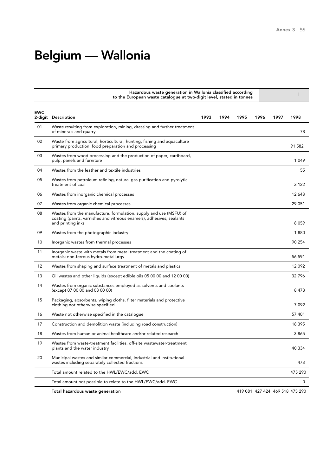# Belgium — Wallonia

|            | Hazardous waste generation in Wallonia classified according<br>to the European waste catalogue at two-digit level, stated in tonnes                              |      |      |      |      |      |                                 |
|------------|------------------------------------------------------------------------------------------------------------------------------------------------------------------|------|------|------|------|------|---------------------------------|
| <b>EWC</b> | 2-digit Description                                                                                                                                              | 1993 | 1994 | 1995 | 1996 | 1997 | 1998                            |
| 01         | Waste resulting from exploration, mining, dressing and further treatment<br>of minerals and quarry                                                               |      |      |      |      |      | 78                              |
| 02         | Waste from agricultural, horticultural, hunting, fishing and aguaculture<br>primary production, food preparation and processing                                  |      |      |      |      |      | 91 582                          |
| 03         | Wastes from wood processing and the production of paper, cardboard,<br>pulp, panels and furniture                                                                |      |      |      |      |      | 1049                            |
| 04         | Wastes from the leather and textile industries                                                                                                                   |      |      |      |      |      | 55                              |
| 05         | Wastes from petroleum refining, natural gas purification and pyrolytic<br>treatment of coal                                                                      |      |      |      |      |      | 3 1 2 2                         |
| 06         | Wastes from inorganic chemical processes                                                                                                                         |      |      |      |      |      | 12 648                          |
| 07         | Wastes from organic chemical processes                                                                                                                           |      |      |      |      |      | 29 051                          |
| 08         | Wastes from the manufacture, formulation, supply and use (MSFU) of<br>coating (paints, varnishes and vitreous enamels), adhesives, sealants<br>and printing inks |      |      |      |      |      | 8059                            |
| 09         | Wastes from the photographic industry                                                                                                                            |      |      |      |      |      | 1880                            |
| 10         | Inorganic wastes from thermal processes                                                                                                                          |      |      |      |      |      | 90 254                          |
| 11         | Inorganic waste with metals from metal treatment and the coating of<br>metals; non-ferrous hydro-metallurgy                                                      |      |      |      |      |      | 56 591                          |
| 12         | Wastes from shaping and surface treatment of metals and plastics                                                                                                 |      |      |      |      |      | 12092                           |
| 13         | Oil wastes and other liquids (except edible oils 05 00 00 and 12 00 00)                                                                                          |      |      |      |      |      | 32796                           |
| 14         | Wastes from organic substances employed as solvents and coolants<br>(except 07 00 00 and 08 00 00)                                                               |      |      |      |      |      | 8473                            |
| 15         | Packaging, absorbents, wiping cloths, filter materials and protective<br>clothing not otherwise specified                                                        |      |      |      |      |      | 7092                            |
| 16         | Waste not otherwise specified in the catalogue                                                                                                                   |      |      |      |      |      | 57 401                          |
| 17         | Construction and demolition waste (including road construction)                                                                                                  |      |      |      |      |      | 18 395                          |
| 18         | Wastes from human or animal healthcare and/or related research                                                                                                   |      |      |      |      |      | 3865                            |
| 19         | Wastes from waste-treatment facilities, off-site wastewater-treatment<br>plants and the water industry                                                           |      |      |      |      |      | 40 334                          |
| 20         | Municipal wastes and similar commercial, industrial and institutional<br>wastes including separately collected fractions                                         |      |      |      |      |      | 473                             |
|            | Total amount related to the HWL/EWC/add. EWC                                                                                                                     |      |      |      |      |      | 475 290                         |
|            | Total amount not possible to relate to the HWL/EWC/add. EWC                                                                                                      |      |      |      |      |      | 0                               |
|            | Total hazardous waste generation                                                                                                                                 |      |      |      |      |      | 419 081 427 424 469 518 475 290 |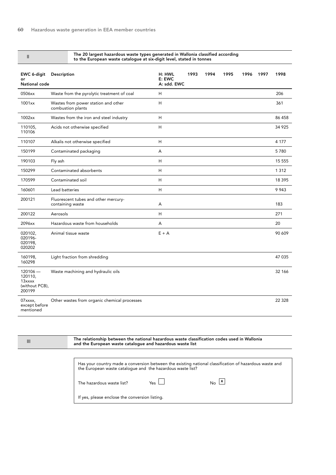| $\mathbf{H}$                                                | The 20 largest hazardous waste types generated in Wallonia classified according<br>to the European waste catalogue at six-digit level, stated in tonnes |                                 |      |      |      |      |      |          |
|-------------------------------------------------------------|---------------------------------------------------------------------------------------------------------------------------------------------------------|---------------------------------|------|------|------|------|------|----------|
| EWC 6-digit<br>or<br>National code                          | Description                                                                                                                                             | H: HWL<br>E: EWC<br>A: sdd. EWC | 1993 | 1994 | 1995 | 1996 | 1997 | 1998     |
| 0506xx                                                      | Waste from the pyrolytic treatment of coal                                                                                                              | H                               |      |      |      |      |      | 206      |
| 1001xx                                                      | Wastes from power station and other<br>combustion plants                                                                                                | H                               |      |      |      |      |      | 361      |
| 1002xx                                                      | Wastes from the iron and steel industry                                                                                                                 | H                               |      |      |      |      |      | 86 458   |
| 110105.<br>110106                                           | Acids not otherwise specified                                                                                                                           | H                               |      |      |      |      |      | 34 925   |
| 110107                                                      | Alkalis not otherwise specified                                                                                                                         | H                               |      |      |      |      |      | 4 1 7 7  |
| 150199                                                      | Contaminated packaging                                                                                                                                  | А                               |      |      |      |      |      | 5780     |
| 190103                                                      | Fly ash                                                                                                                                                 | H                               |      |      |      |      |      | 15 5 5 5 |
| 150299                                                      | Contaminated absorbents                                                                                                                                 | H                               |      |      |      |      |      | 1 3 1 2  |
| 170599                                                      | Contaminated soil                                                                                                                                       | H                               |      |      |      |      |      | 18 3 9 5 |
| 160601                                                      | Lead batteries                                                                                                                                          | H                               |      |      |      |      |      | 9943     |
| 200121                                                      | Fluorescent tubes and other mercury-<br>containing waste                                                                                                | А                               |      |      |      |      |      | 183      |
| 200122                                                      | Aerosols                                                                                                                                                | H                               |      |      |      |      |      | 271      |
| 2096xx                                                      | Hazardous waste from households                                                                                                                         | A                               |      |      |      |      |      | 20       |
| 020102,<br>020196-<br>020198,<br>020202                     | Animal tissue waste                                                                                                                                     | $E + A$                         |      |      |      |      |      | 90 609   |
| 160198,<br>160298                                           | Light fraction from shredding                                                                                                                           |                                 |      |      |      |      |      | 47 035   |
| $120106 -$<br>120110,<br>13xxxx<br>(without PCB),<br>200199 | Waste machining and hydraulic oils                                                                                                                      |                                 |      |      |      |      |      | 32 166   |
| 07xxxx,<br>except before<br>mentioned                       | Other wastes from organic chemical processes                                                                                                            |                                 |      |      |      |      |      | 22 3 28  |

III

The relationship between the national hazardous waste classification codes used in Wallonia and the European waste catalogue and hazardous waste list

| Has your country made a conversion between the existing national classification of hazardous waste and<br>the European waste catalogue and the hazardous waste list? |          |              |  |  |  |  |
|----------------------------------------------------------------------------------------------------------------------------------------------------------------------|----------|--------------|--|--|--|--|
| The hazardous waste list?                                                                                                                                            | $Y_{PS}$ | $\mathbf{X}$ |  |  |  |  |
| If yes, please enclose the conversion listing.                                                                                                                       |          |              |  |  |  |  |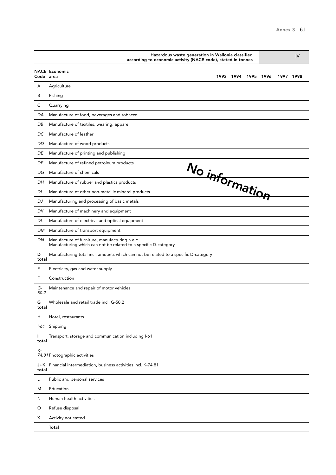|            | Hazardous waste generation in Wallonia classified<br>according to economic activity (NACE code), stated in tonnes |      |           | IV |           |  |  |
|------------|-------------------------------------------------------------------------------------------------------------------|------|-----------|----|-----------|--|--|
| Code area  | <b>NACE Economic</b><br>1993                                                                                      | 1994 | 1995 1996 |    | 1997 1998 |  |  |
| Α          | Agriculture                                                                                                       |      |           |    |           |  |  |
| B          | Fishing                                                                                                           |      |           |    |           |  |  |
| C          | Quarrying                                                                                                         |      |           |    |           |  |  |
| DA         | Manufacture of food, beverages and tobacco                                                                        |      |           |    |           |  |  |
| DB         | Manufacture of textiles, wearing, apparel                                                                         |      |           |    |           |  |  |
| DC         | Manufacture of leather                                                                                            |      |           |    |           |  |  |
| DD         | Manufacture of wood products                                                                                      |      |           |    |           |  |  |
| DE         | Manufacture of printing and publishing                                                                            |      |           |    |           |  |  |
| DF         | Manufacture of refined petroleum products                                                                         |      |           |    |           |  |  |
| DG         | Manufacture of chemicals                                                                                          |      |           |    |           |  |  |
| DH         | Manufacture of rubber and plastics products                                                                       |      |           |    |           |  |  |
| DI         | No information<br>Manufacture of other non-metallic mineral products                                              |      |           |    |           |  |  |
| DJ         | Manufacturing and processing of basic metals                                                                      |      |           |    |           |  |  |
| DK         | Manufacture of machinery and equipment                                                                            |      |           |    |           |  |  |
| DL         | Manufacture of electrical and optical equipment                                                                   |      |           |    |           |  |  |
| DM         | Manufacture of transport equipment                                                                                |      |           |    |           |  |  |
| DN         | Manufacture of furniture, manufacturing n.e.c.<br>Manufacturing which can not be related to a specific D-category |      |           |    |           |  |  |
| D<br>total | Manufacturing total incl. amounts which can not be related to a specific D-category                               |      |           |    |           |  |  |
| Ε          | Electricity, gas and water supply                                                                                 |      |           |    |           |  |  |
| F          | Construction                                                                                                      |      |           |    |           |  |  |
| G-<br>50.2 | Maintenance and repair of motor vehicles                                                                          |      |           |    |           |  |  |
| G<br>total | Wholesale and retail trade incl. G-50.2                                                                           |      |           |    |           |  |  |
| Н          | Hotel, restaurants                                                                                                |      |           |    |           |  |  |
|            | I-61 Shipping                                                                                                     |      |           |    |           |  |  |
| L<br>total | Transport, storage and communication including I-61                                                               |      |           |    |           |  |  |
| К-         | 74.81 Photographic activities                                                                                     |      |           |    |           |  |  |
| total      | J+K Financial intermediation, business activities incl. K-74.81                                                   |      |           |    |           |  |  |
| L          | Public and personal services                                                                                      |      |           |    |           |  |  |
| M          | Education                                                                                                         |      |           |    |           |  |  |
| N          | Human health activities                                                                                           |      |           |    |           |  |  |
| O          | Refuse disposal                                                                                                   |      |           |    |           |  |  |
| Х          | Activity not stated                                                                                               |      |           |    |           |  |  |
|            | Total                                                                                                             |      |           |    |           |  |  |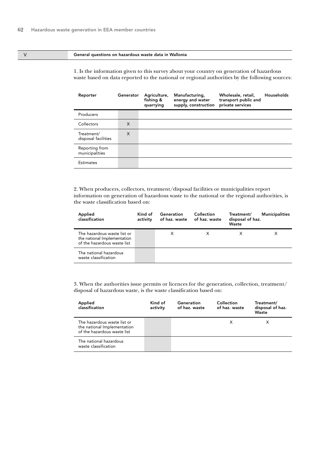#### V General questions on hazardous waste data in Wallonia

1. Is the information given to this survey about your country on generation of hazardous waste based on data reported to the national or regional authorities by the following sources:

| Reporter                          | Generator | Agriculture,<br>fishing &<br>quarrying | Manufacturing,<br>energy and water<br>supply, construction | Wholesale, retail,<br>transport public and<br>private services | Households |
|-----------------------------------|-----------|----------------------------------------|------------------------------------------------------------|----------------------------------------------------------------|------------|
| Producers                         |           |                                        |                                                            |                                                                |            |
| Collectors                        | X         |                                        |                                                            |                                                                |            |
| Treatment/<br>disposal facilities | X         |                                        |                                                            |                                                                |            |
| Reporting from<br>municipalities  |           |                                        |                                                            |                                                                |            |
| <b>Estimates</b>                  |           |                                        |                                                            |                                                                |            |

2. When producers, collectors, treatment/disposal facilities or municipalities report information on generation of hazardous waste to the national or the regional authorities, is the waste classification based on:

| Applied<br>classification                                                                 | Kind of<br>activity | Generation<br>of haz. waste | Collection<br>of haz. waste | Treatment/<br>disposal of haz.<br>Waste | <b>Municipalities</b> |
|-------------------------------------------------------------------------------------------|---------------------|-----------------------------|-----------------------------|-----------------------------------------|-----------------------|
| The hazardous waste list or<br>the national Implementation<br>of the hazardous waste list |                     | х                           |                             |                                         | х                     |
| The national hazardous<br>waste classification                                            |                     |                             |                             |                                         |                       |

| Applied<br>classification                                                                 | Kind of<br>activity | Generation<br>of haz. waste | Collection<br>of haz. waste | Treatment/<br>disposal of haz.<br>Waste |
|-------------------------------------------------------------------------------------------|---------------------|-----------------------------|-----------------------------|-----------------------------------------|
| The hazardous waste list or<br>the national Implementation<br>of the hazardous waste list |                     |                             | X                           | х                                       |
| The national hazardous<br>waste classification                                            |                     |                             |                             |                                         |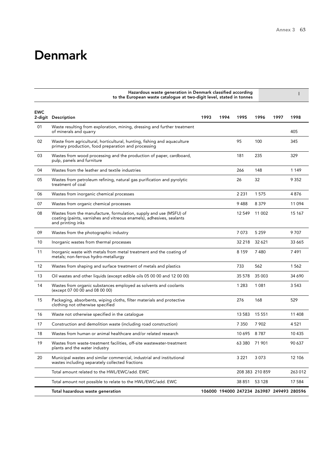## **Denmark**

|                       | Hazardous waste generation in Denmark classified according<br>to the European waste catalogue at two-digit level, stated in tonnes                               |      |      |                                           |                 |      |         |
|-----------------------|------------------------------------------------------------------------------------------------------------------------------------------------------------------|------|------|-------------------------------------------|-----------------|------|---------|
| <b>EWC</b><br>2-digit | Description                                                                                                                                                      | 1993 | 1994 | 1995                                      | 1996            | 1997 | 1998    |
| 01                    | Waste resulting from exploration, mining, dressing and further treatment<br>of minerals and quarry                                                               |      |      |                                           |                 |      | 405     |
| 02                    | Waste from agricultural, horticultural, hunting, fishing and aquaculture<br>primary production, food preparation and processing                                  |      |      | 95                                        | 100             |      | 345     |
| 03                    | Wastes from wood processing and the production of paper, cardboard,<br>pulp, panels and furniture                                                                |      |      | 181                                       | 235             |      | 329     |
| 04                    | Wastes from the leather and textile industries                                                                                                                   |      |      | 266                                       | 148             |      | 1 1 4 9 |
| 05                    | Wastes from petroleum refining, natural gas purification and pyrolytic<br>treatment of coal                                                                      |      |      | 26                                        | 32              |      | 9 3 5 2 |
| 06                    | Wastes from inorganic chemical processes                                                                                                                         |      |      | 2 2 3 1                                   | 1575            |      | 4876    |
| 07                    | Wastes from organic chemical processes                                                                                                                           |      |      | 9488                                      | 8379            |      | 11 0 94 |
| 08                    | Wastes from the manufacture, formulation, supply and use (MSFU) of<br>coating (paints, varnishes and vitreous enamels), adhesives, sealants<br>and printing inks |      |      | 12 549                                    | 11 002          |      | 15 167  |
| 09                    | Wastes from the photographic industry                                                                                                                            |      |      | 7073                                      | 5 2 5 9         |      | 9707    |
| 10                    | Inorganic wastes from thermal processes                                                                                                                          |      |      | 32 218                                    | 32 621          |      | 33 6 65 |
| 11                    | Inorganic waste with metals from metal treatment and the coating of<br>metals; non-ferrous hydro-metallurgy                                                      |      |      | 8 1 5 9                                   | 7480            |      | 7491    |
| 12                    | Wastes from shaping and surface treatment of metals and plastics                                                                                                 |      |      | 733                                       | 562             |      | 1562    |
| 13                    | Oil wastes and other liquids (except edible oils 05 00 00 and 12 00 00)                                                                                          |      |      | 35 578                                    | 35 003          |      | 34 690  |
| 14                    | Wastes from organic substances employed as solvents and coolants<br>(except 07 00 00 and 08 00 00)                                                               |      |      | 1 2 8 3                                   | 1 0 8 1         |      | 3 5 4 3 |
| 15                    | Packaging, absorbents, wiping cloths, filter materials and protective<br>clothing not otherwise specified                                                        |      |      | 276                                       | 168             |      | 529     |
| 16                    | Waste not otherwise specified in the catalogue                                                                                                                   |      |      | 13 583                                    | 15 5 5 1        |      | 11 408  |
| 17                    | Construction and demolition waste (including road construction)                                                                                                  |      |      | 7 3 5 0                                   | 7 902           |      | 4 5 21  |
| 18                    | Wastes from human or animal healthcare and/or related research                                                                                                   |      |      | 10695                                     | 8787            |      | 10 435  |
| 19                    | Wastes from waste-treatment facilities, off-site wastewater-treatment<br>plants and the water industry                                                           |      |      | 63 380 71 901                             |                 |      | 90 637  |
| 20                    | Municipal wastes and similar commercial, industrial and institutional<br>wastes including separately collected fractions                                         |      |      | 3 2 2 1                                   | 3073            |      | 12 10 6 |
|                       | Total amount related to the HWL/EWC/add. EWC                                                                                                                     |      |      |                                           | 208 383 210 859 |      | 263 012 |
|                       | Total amount not possible to relate to the HWL/EWC/add. EWC                                                                                                      |      |      | 38 851                                    | 53 128          |      | 17 584  |
|                       | Total hazardous waste generation                                                                                                                                 |      |      | 106000 194000 247234 263987 249493 280596 |                 |      |         |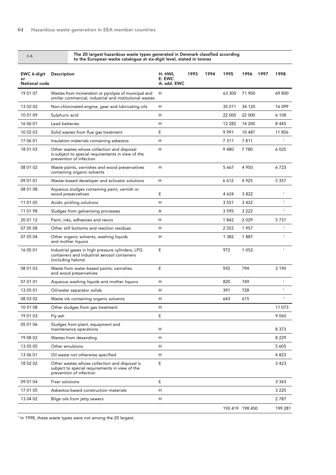#### The 20 largest hazardous waste types generated in Denmark classified according to the European waste catalogue at six-digit level, stated in tonnes

| EWC 6-digit<br>or<br>National code | Description                                                                                                                | H: HWL<br>E: EWC<br>A: sdd. EWC | 1993 | 1994 | 1995            | 1996    | 1997 | 1998         |
|------------------------------------|----------------------------------------------------------------------------------------------------------------------------|---------------------------------|------|------|-----------------|---------|------|--------------|
| 19 01 07                           | Wastes from incineration or pyrolysis of municipal and<br>similar commercial, industrial and institutional wastes          | H                               |      |      | 63 300          | 71 900  |      | 69 800       |
| 13 02 02                           | Non-chlorinated engine, gear and lubricating oils                                                                          | H                               |      |      | 35 011          | 34 120  |      | 16 099       |
| 10 01 09                           | Sulphuric acid                                                                                                             | Н                               |      |      | 22 000          | 22 000  |      | 6 1 0 8      |
| 16 06 01                           | Lead batteries                                                                                                             | H                               |      |      | 12 282          | 14 200  |      | 8445         |
| 10 02 03                           | Solid wastes from flue gas treatment                                                                                       | E                               |      |      | 9991            | 10 487  |      | 11856        |
| 17 06 01                           | Insulation materials containing asbestos                                                                                   | H                               |      |      | 7311            | 7811    |      | $\mathbf{1}$ |
| 18 01 03                           | Other wastes whose collection and disposal<br>is subject to special requirements in view of the<br>prevention of infection | H                               |      |      | 9480            | 7780    |      | 6 0 2 5      |
| 08 01 02                           | Waste paints, varnishes and wood preservatives<br>containing organic solvents                                              | H                               |      |      | 5 6 6 7         | 4 9 5 0 |      | 6723         |
| 09 01 01                           | Waster-based developer and activator solutions                                                                             | H                               |      |      | 6612            | 4925    |      | 5 3 5 7      |
| 08 01 08                           | Aqueous sludges containing paint, varnish or<br>wood preservatives                                                         | Ε                               |      |      | 4 6 2 4         | 3822    |      | 1            |
| 11 01 05                           | Acidic pickling solutions                                                                                                  | H                               |      |      | 3 5 5 1         | 3 4 2 2 |      | $\mathbf{1}$ |
| 11 01 98                           | Sludges from galvanising processes                                                                                         | Α                               |      |      | 3595            | 3 2 2 2 |      | $\mathbf{1}$ |
| 20 01 12                           | Paint, inks, adhesives and resins                                                                                          | Н                               |      |      | 1842            | 2029    |      | 5731         |
| 07 05 08                           | Other still bottoms and reaction residues                                                                                  | H                               |      |      | 2 3 5 3         | 1957    |      | $\mathbf{1}$ |
| 07 05 04                           | Other organic solvents, washing liquids<br>and mother liquors                                                              | н                               |      |      | 1 3 8 2         | 1887    |      | $\mathbf{1}$ |
| 16 05 01                           | Industrial gases in high pressure cylinders, LPG<br>containers and industrial aerosol containers<br>(including halons)     | E                               |      |      | 972             | 1 0 5 2 |      | $\mathbf{1}$ |
| 08 01 03                           | Waste from water-based paints, varnishes<br>and wood preservatives                                                         | Ε                               |      |      | 592             | 794     |      | 3 1 9 0      |
| 07 01 01                           | Aqueous washing liquids and mother liquors                                                                                 | н                               |      |      | 820             | 749     |      | $\mathbf 1$  |
| 13 05 01                           | Oil/water separator solids                                                                                                 | н                               |      |      | 391             | 728     |      | $\mathbf{1}$ |
| 08 03 02                           | Waste ink containing organic solvents                                                                                      | H                               |      |      | 643             | 615     |      | $\mathbf{1}$ |
| 10 01 08                           | Other sludges from gas treatment                                                                                           | н                               |      |      |                 |         |      | 11 073       |
| 19 01 03                           | Fly ash                                                                                                                    | E                               |      |      |                 |         |      | 9065         |
| 05 01 06                           | Sludges from plant, equipment and<br>maintenance operations                                                                | H                               |      |      |                 |         |      | 8 3 7 3      |
| 19 08 02                           | Wastes from desanding                                                                                                      | Н                               |      |      |                 |         |      | 8 2 2 9      |
| 13 05 05                           | Other emulsions                                                                                                            | н                               |      |      |                 |         |      | 5 6 0 5      |
| 13 06 01                           | Oil waste not otherwise specified                                                                                          | Н                               |      |      |                 |         |      | 4823         |
| 18 02 02                           | Other wastes whose collection and disposal is<br>subject to special requirements in view of the<br>prevention of infection | Е                               |      |      |                 |         |      | 3423         |
| 09 01 04                           | Fixer solutions                                                                                                            | E                               |      |      |                 |         |      | 3 3 4 3      |
| 17 01 05                           | Asbestos-based construction materials                                                                                      | H                               |      |      |                 |         |      | 3 2 2 5      |
| 13 04 02                           | Bilge oils from jetty sewers                                                                                               | H                               |      |      |                 |         |      | 2787         |
|                                    |                                                                                                                            |                                 |      |      | 192 419 198 450 |         |      | 199 281      |

1 In 1998, these waste types were not among the 20 largest.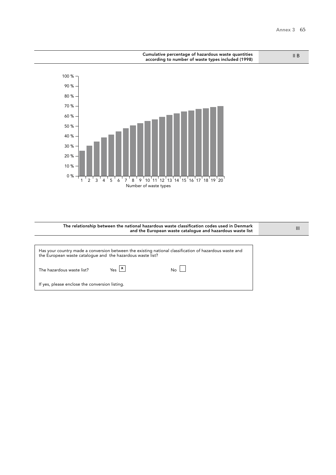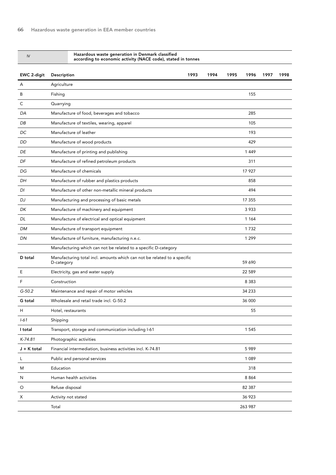| IV            | Hazardous waste generation in Denmark classified<br>according to economic activity (NACE code), stated in tonnes |      |      |      |         |      |      |
|---------------|------------------------------------------------------------------------------------------------------------------|------|------|------|---------|------|------|
| EWC 2-digit   | <b>Description</b>                                                                                               | 1993 | 1994 | 1995 | 1996    | 1997 | 1998 |
| A             | Agriculture                                                                                                      |      |      |      |         |      |      |
| B             | Fishing                                                                                                          |      |      |      | 155     |      |      |
| $\mathsf C$   | Quarrying                                                                                                        |      |      |      |         |      |      |
| DA            | Manufacture of food, beverages and tobacco                                                                       |      |      |      | 285     |      |      |
| DB            | Manufacture of textiles, wearing, apparel                                                                        |      |      |      | 105     |      |      |
| DC            | Manufacture of leather                                                                                           |      |      |      | 193     |      |      |
| DD            | Manufacture of wood products                                                                                     |      |      |      | 429     |      |      |
| DE            | Manufacture of printing and publishing                                                                           |      |      |      | 1449    |      |      |
| DF            | Manufacture of refined petroleum products                                                                        |      |      |      | 311     |      |      |
| DG            | Manufacture of chemicals                                                                                         |      |      |      | 17 927  |      |      |
| DН            | Manufacture of rubber and plastics products                                                                      |      |      |      | 858     |      |      |
| DI            | Manufacture of other non-metallic mineral products                                                               |      |      |      | 494     |      |      |
| DJ            | Manufacturing and processing of basic metals                                                                     |      |      |      | 17 355  |      |      |
| DK            | Manufacture of machinery and equipment                                                                           |      |      |      | 3 9 3 3 |      |      |
| DL            | Manufacture of electrical and optical equipment                                                                  |      |      |      | 1 1 6 4 |      |      |
| DM            | Manufacture of transport equipment                                                                               |      |      |      | 1732    |      |      |
| DN            | Manufacture of furniture, manufacturing n.e.c.                                                                   |      |      |      | 1 2 9 9 |      |      |
|               | Manufacturing which can not be related to a specific D-category                                                  |      |      |      |         |      |      |
| D total       | Manufacturing total incl. amounts which can not be related to a specific<br>D-category                           |      |      |      | 59 690  |      |      |
| Ε             | Electricity, gas and water supply                                                                                |      |      |      | 22 589  |      |      |
| F             | Construction                                                                                                     |      |      |      | 8 3 8 3 |      |      |
| $G-50.2$      | Maintenance and repair of motor vehicles                                                                         |      |      |      | 34 233  |      |      |
| G total       | Wholesale and retail trade incl. G-50.2                                                                          |      |      |      | 36 000  |      |      |
| H             | Hotel, restaurants                                                                                               |      |      |      | 55      |      |      |
| $1 - 61$      | Shipping                                                                                                         |      |      |      |         |      |      |
| I total       | Transport, storage and communication including I-61                                                              |      |      |      | 1 5 4 5 |      |      |
| K-74.81       | Photographic activities                                                                                          |      |      |      |         |      |      |
| $J + K$ total | Financial intermediation, business activities incl. K-74.81                                                      |      |      |      | 5989    |      |      |
| L             | Public and personal services                                                                                     |      |      |      | 1 0 8 9 |      |      |
| M             | Education                                                                                                        |      |      |      | 318     |      |      |
| N             | Human health activities                                                                                          |      |      |      | 8 8 6 4 |      |      |
| O             | Refuse disposal                                                                                                  |      |      |      | 82 387  |      |      |
| Х             | Activity not stated                                                                                              |      |      |      | 36 923  |      |      |
|               | Total                                                                                                            |      |      |      | 263 987 |      |      |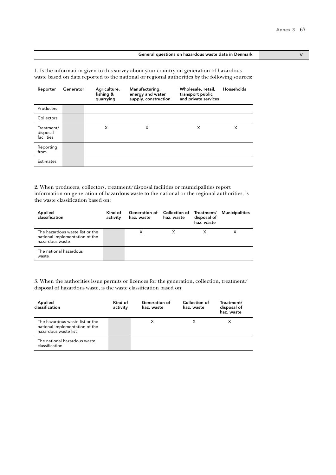#### General questions on hazardous waste data in Denmark V

1. Is the information given to this survey about your country on generation of hazardous waste based on data reported to the national or regional authorities by the following sources:

| Reporter                             | Generator | Agriculture,<br>fishing &<br>quarrying | Manufacturing,<br>energy and water<br>supply, construction | Wholesale, retail,<br>transport public<br>and private services | Households |
|--------------------------------------|-----------|----------------------------------------|------------------------------------------------------------|----------------------------------------------------------------|------------|
| Producers                            |           |                                        |                                                            |                                                                |            |
| Collectors                           |           |                                        |                                                            |                                                                |            |
| Treatment/<br>disposal<br>facilities |           | X                                      | X                                                          | X                                                              | X          |
| Reporting<br>from                    |           |                                        |                                                            |                                                                |            |
| Estimates                            |           |                                        |                                                            |                                                                |            |

2. When producers, collectors, treatment/disposal facilities or municipalities report information on generation of hazardous waste to the national or the regional authorities, is the waste classification based on:

| Applied<br>classification                                                            | Kind of<br>activity | Generation of Collection of Treatment/<br>haz. waste | haz. waste | disposal of<br>haz. waste | Municipalities |
|--------------------------------------------------------------------------------------|---------------------|------------------------------------------------------|------------|---------------------------|----------------|
| The hazardous waste list or the<br>national Implementation of the<br>hazardous waste |                     | X                                                    |            |                           |                |
| The national hazardous<br>waste                                                      |                     |                                                      |            |                           |                |

| Applied<br>classification                                                                 | Kind of<br>activity | Generation of<br>haz. waste | Collection of<br>haz. waste | Treatment/<br>disposal of<br>haz. waste |
|-------------------------------------------------------------------------------------------|---------------------|-----------------------------|-----------------------------|-----------------------------------------|
| The hazardous waste list or the<br>national Implementation of the<br>hazardous waste list |                     | X                           |                             |                                         |
| The national hazardous waste<br>classification                                            |                     |                             |                             |                                         |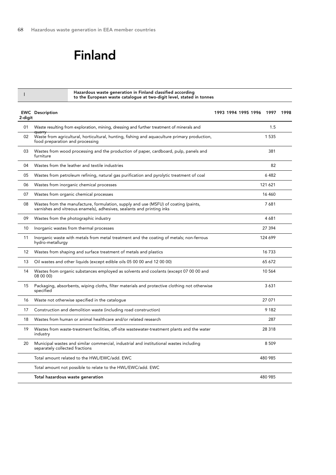## Finland

Hazardous waste generation in Finland classified according to the European waste catalogue at two-digit level, stated in tonnes <sup>I</sup>

| 2-digit | <b>EWC</b> Description                                                                                                                                        | 1993 1994 1995 1996 1997 | 1998 |
|---------|---------------------------------------------------------------------------------------------------------------------------------------------------------------|--------------------------|------|
| 01      | Waste resulting from exploration, mining, dressing and further treatment of minerals and                                                                      | 1.5                      |      |
| 02      | <b>quarry</b><br>Waste from agricultural, horticultural, hunting, fishing and aquaculture primary production,<br>food preparation and processing              | 1 5 3 5                  |      |
| 03      | Wastes from wood processing and the production of paper, cardboard, pulp, panels and<br>furniture                                                             | 381                      |      |
| 04      | Wastes from the leather and textile industries                                                                                                                | 82                       |      |
| 05      | Wastes from petroleum refining, natural gas purification and pyrolytic treatment of coal                                                                      | 6482                     |      |
| 06      | Wastes from inorganic chemical processes                                                                                                                      | 121 621                  |      |
| 07      | Wastes from organic chemical processes                                                                                                                        | 16 460                   |      |
| 08      | Wastes from the manufacture, formulation, supply and use (MSFU) of coating (paints,<br>varnishes and vitreous enamels), adhesives, sealants and printing inks | 7681                     |      |
| 09      | Wastes from the photographic industry                                                                                                                         | 4681                     |      |
| 10      | Inorganic wastes from thermal processes                                                                                                                       | 27 394                   |      |
| 11      | Inorganic waste with metals from metal treatment and the coating of metals; non-ferrous<br>hydro-metallurgy                                                   | 124 699                  |      |
| 12      | Wastes from shaping and surface treatment of metals and plastics                                                                                              | 16733                    |      |
| 13      | Oil wastes and other liquids (except edible oils 05 00 00 and 12 00 00)                                                                                       | 65 672                   |      |
| 14      | Wastes from organic substances employed as solvents and coolants (except 07 00 00 and<br>08 00 00)                                                            | 10 564                   |      |
| 15      | Packaging, absorbents, wiping cloths, filter materials and protective clothing not otherwise<br>specified                                                     | 3631                     |      |
| 16      | Waste not otherwise specified in the catalogue                                                                                                                | 27 071                   |      |
| 17      | Construction and demolition waste (including road construction)                                                                                               | 9 1 8 2                  |      |
| 18      | Wastes from human or animal healthcare and/or related research                                                                                                | 287                      |      |
| 19      | Wastes from waste-treatment facilities, off-site wastewater-treatment plants and the water<br>industry                                                        | 28 318                   |      |
| 20      | Municipal wastes and similar commercial, industrial and institutional wastes including<br>separately collected fractions                                      | 8 5 0 9                  |      |
|         | Total amount related to the HWL/EWC/add. EWC                                                                                                                  | 480 985                  |      |
|         | Total amount not possible to relate to the HWL/EWC/add. EWC                                                                                                   |                          |      |
|         | Total hazardous waste generation                                                                                                                              | 480 985                  |      |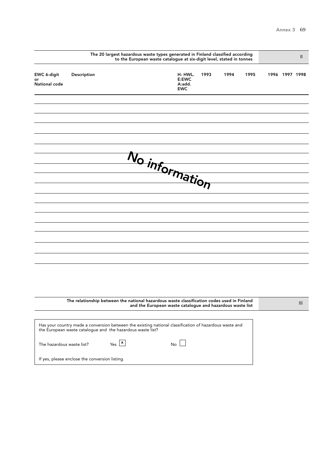|                                    |                                                                                                                                                                      | The 20 largest hazardous waste types generated in Finland classified according<br>to the European waste catalogue at six-digit level, stated in tonnes |                                                           |                                          |      |      |      |                | $\mathbf{I}$                     |
|------------------------------------|----------------------------------------------------------------------------------------------------------------------------------------------------------------------|--------------------------------------------------------------------------------------------------------------------------------------------------------|-----------------------------------------------------------|------------------------------------------|------|------|------|----------------|----------------------------------|
| EWC 6-digit<br>or<br>National code | Description                                                                                                                                                          |                                                                                                                                                        |                                                           | H: HWL.<br>E:EWC<br>A:add.<br><b>EWC</b> | 1993 | 1994 | 1995 | 1996 1997 1998 |                                  |
|                                    |                                                                                                                                                                      |                                                                                                                                                        |                                                           |                                          |      |      |      |                |                                  |
|                                    |                                                                                                                                                                      |                                                                                                                                                        |                                                           |                                          |      |      |      |                |                                  |
|                                    |                                                                                                                                                                      |                                                                                                                                                        |                                                           |                                          |      |      |      |                |                                  |
|                                    |                                                                                                                                                                      |                                                                                                                                                        |                                                           |                                          |      |      |      |                |                                  |
|                                    |                                                                                                                                                                      |                                                                                                                                                        |                                                           |                                          |      |      |      |                |                                  |
|                                    |                                                                                                                                                                      |                                                                                                                                                        | $N_O$ information                                         |                                          |      |      |      |                |                                  |
|                                    |                                                                                                                                                                      |                                                                                                                                                        |                                                           |                                          |      |      |      |                |                                  |
|                                    |                                                                                                                                                                      |                                                                                                                                                        |                                                           |                                          |      |      |      |                |                                  |
|                                    |                                                                                                                                                                      |                                                                                                                                                        |                                                           |                                          |      |      |      |                |                                  |
|                                    |                                                                                                                                                                      |                                                                                                                                                        |                                                           |                                          |      |      |      |                |                                  |
|                                    |                                                                                                                                                                      |                                                                                                                                                        |                                                           |                                          |      |      |      |                |                                  |
|                                    |                                                                                                                                                                      |                                                                                                                                                        |                                                           |                                          |      |      |      |                |                                  |
|                                    |                                                                                                                                                                      |                                                                                                                                                        |                                                           |                                          |      |      |      |                |                                  |
|                                    |                                                                                                                                                                      |                                                                                                                                                        |                                                           |                                          |      |      |      |                |                                  |
|                                    |                                                                                                                                                                      |                                                                                                                                                        |                                                           |                                          |      |      |      |                |                                  |
|                                    |                                                                                                                                                                      |                                                                                                                                                        |                                                           |                                          |      |      |      |                |                                  |
|                                    | The relationship between the national hazardous waste classification codes used in Finland                                                                           |                                                                                                                                                        |                                                           |                                          |      |      |      |                |                                  |
|                                    |                                                                                                                                                                      |                                                                                                                                                        | and the European waste catalogue and hazardous waste list |                                          |      |      |      |                | $\mathop{\mathsf{III}}\nolimits$ |
|                                    | Has your country made a conversion between the existing national classification of hazardous waste and<br>the European waste catalogue and the hazardous waste list? |                                                                                                                                                        |                                                           |                                          |      |      |      |                |                                  |
| The hazardous waste list?          |                                                                                                                                                                      | $Yes$ $\boxed{\mathbf{x}}$                                                                                                                             |                                                           | $No$ $\Box$                              |      |      |      |                |                                  |
|                                    | If yes, please enclose the conversion listing.                                                                                                                       |                                                                                                                                                        |                                                           |                                          |      |      |      |                |                                  |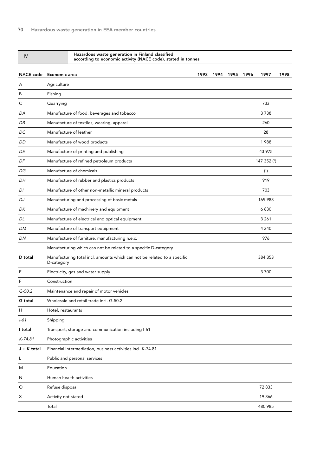| IV               | Hazardous waste generation in Finland classified<br>according to economic activity (NACE code), stated in tonnes |      |      |      |      |             |      |
|------------------|------------------------------------------------------------------------------------------------------------------|------|------|------|------|-------------|------|
| <b>NACE code</b> | Economic area                                                                                                    | 1993 | 1994 | 1995 | 1996 | 1997        | 1998 |
| A                | Agriculture                                                                                                      |      |      |      |      |             |      |
| B                | Fishing                                                                                                          |      |      |      |      |             |      |
| С                | Quarrying                                                                                                        |      |      |      |      | 733         |      |
| DA               | Manufacture of food, beverages and tobacco                                                                       |      |      |      |      | 3738        |      |
| DB               | Manufacture of textiles, wearing, apparel                                                                        |      |      |      |      | 260         |      |
| DC               | Manufacture of leather                                                                                           |      |      |      |      | 28          |      |
| <b>DD</b>        | Manufacture of wood products                                                                                     |      |      |      |      | 1988        |      |
| DE               | Manufacture of printing and publishing                                                                           |      |      |      |      | 43 975      |      |
| DF               | Manufacture of refined petroleum products                                                                        |      |      |      |      | 147 352 (1) |      |
| DG               | Manufacture of chemicals                                                                                         |      |      |      |      | (1)         |      |
| DH               | Manufacture of rubber and plastics products                                                                      |      |      |      |      | 919         |      |
| DI               | Manufacture of other non-metallic mineral products                                                               |      |      |      |      | 703         |      |
| DJ               | Manufacturing and processing of basic metals                                                                     |      |      |      |      | 169 983     |      |
| DK               | Manufacture of machinery and equipment                                                                           |      |      |      |      | 6830        |      |
| DL               | Manufacture of electrical and optical equipment                                                                  |      |      |      |      | 3 2 6 1     |      |
| DM               | Manufacture of transport equipment                                                                               |      |      |      |      | 4 3 4 0     |      |
| DN               | Manufacture of furniture, manufacturing n.e.c.                                                                   |      |      |      |      | 976         |      |
|                  | Manufacturing which can not be related to a specific D-category                                                  |      |      |      |      |             |      |
| D total          | Manufacturing total incl. amounts which can not be related to a specific<br>D-category                           |      |      |      |      | 384 353     |      |
| E                | Electricity, gas and water supply                                                                                |      |      |      |      | 3700        |      |
| F                | Construction                                                                                                     |      |      |      |      |             |      |
| $G-50.2$         | Maintenance and repair of motor vehicles                                                                         |      |      |      |      |             |      |
| G total          | Wholesale and retail trade incl. G-50.2                                                                          |      |      |      |      |             |      |
| H                | Hotel, restaurants                                                                                               |      |      |      |      |             |      |
| $I - 61$         | Shipping                                                                                                         |      |      |      |      |             |      |
| I total          | Transport, storage and communication including I-61                                                              |      |      |      |      |             |      |
| K-74.81          | Photographic activities                                                                                          |      |      |      |      |             |      |
| $J + K$ total    | Financial intermediation, business activities incl. K-74.81                                                      |      |      |      |      |             |      |
| L                | Public and personal services                                                                                     |      |      |      |      |             |      |
| M                | Education                                                                                                        |      |      |      |      |             |      |
| N                | Human health activities                                                                                          |      |      |      |      |             |      |
| O                | Refuse disposal                                                                                                  |      |      |      |      | 72833       |      |
| х                | Activity not stated                                                                                              |      |      |      |      | 19 366      |      |
|                  | Total                                                                                                            |      |      |      |      | 480 985     |      |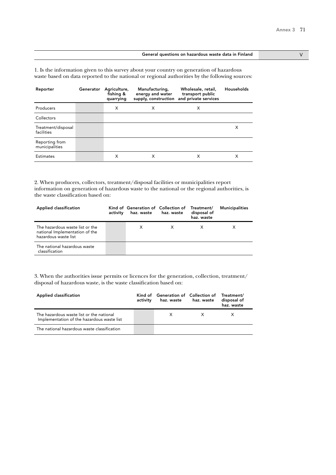### General questions on hazardous waste data in Finland V V

1. Is the information given to this survey about your country on generation of hazardous waste based on data reported to the national or regional authorities by the following sources:

| Reporter                         | Generator | Agriculture,<br>fishing &<br>quarrying | Manufacturing,<br>energy and water<br>supply, construction | Wholesale, retail,<br>transport public<br>and private services | Households |
|----------------------------------|-----------|----------------------------------------|------------------------------------------------------------|----------------------------------------------------------------|------------|
| Producers                        |           | X                                      | X                                                          | X                                                              |            |
| Collectors                       |           |                                        |                                                            |                                                                |            |
| Treatment/disposal<br>facilities |           |                                        |                                                            |                                                                | х          |
| Reporting from<br>municipalities |           |                                        |                                                            |                                                                |            |
| <b>Estimates</b>                 |           | X                                      | х                                                          | х                                                              | x          |

2. When producers, collectors, treatment/disposal facilities or municipalities report information on generation of hazardous waste to the national or the regional authorities, is the waste classification based on:

| Applied classification                                                                    | activity | Kind of Generation of Collection of Treatment/<br>haz. waste haz. waste | disposal of<br>haz. waste | <b>Municipalities</b> |
|-------------------------------------------------------------------------------------------|----------|-------------------------------------------------------------------------|---------------------------|-----------------------|
| The hazardous waste list or the<br>national Implementation of the<br>hazardous waste list |          | X                                                                       |                           |                       |
| The national hazardous waste<br>classification                                            |          |                                                                         |                           |                       |

| Applied classification                                                                 | activity | Kind of Generation of Collection of<br>haz. waste | haz. waste | Treatment/<br>disposal of<br>haz. waste |
|----------------------------------------------------------------------------------------|----------|---------------------------------------------------|------------|-----------------------------------------|
| The hazardous waste list or the national<br>Implementation of the hazardous waste list |          |                                                   | X.         |                                         |
| The national hazardous waste classification                                            |          |                                                   |            |                                         |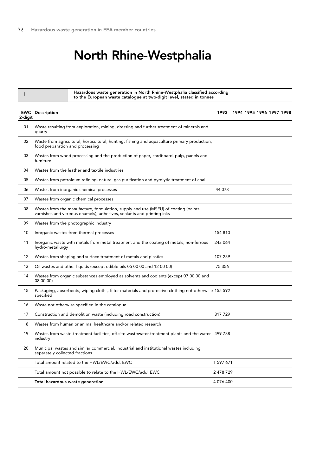## North Rhine-Westphalia

EWC Description 2-digit 01  $02$ 03 04 05 06 07 08 09 10 11 12 13 14 15 16 17 18 19 20 Waste resulting from exploration, mining, dressing and further treatment of minerals and quarry Waste from agricultural, horticultural, hunting, fishing and aquaculture primary production, food preparation and processing Wastes from wood processing and the production of paper, cardboard, pulp, panels and furniture Wastes from the leather and textile industries Wastes from petroleum refining, natural gas purification and pyrolytic treatment of coal Wastes from inorganic chemical processes Wastes from organic chemical processes Wastes from the manufacture, formulation, supply and use (MSFU) of coating (paints, varnishes and vitreous enamels), adhesives, sealants and printing inks Wastes from the photographic industry Inorganic wastes from thermal processes Inorganic waste with metals from metal treatment and the coating of metals; non-ferrous hydro-metallurgy Wastes from shaping and surface treatment of metals and plastics Oil wastes and other liquids (except edible oils 05 00 00 and 12 00 00) Wastes from organic substances employed as solvents and coolants (except 07 00 00 and 08 00 00) Packaging, absorbents, wiping cloths, filter materials and protective clothing not otherwise 155 592 specified Waste not otherwise specified in the catalogue Construction and demolition waste (including road construction) Wastes from human or animal healthcare and/or related research Wastes from waste-treatment facilities, off-site wastewater-treatment plants and the water 499 788 industry Municipal wastes and similar commercial, industrial and institutional wastes including separately collected fractions Total amount related to the HWL/EWC/add. EWC Total amount not possible to relate to the HWL/EWC/add. EWC Total hazardous waste generation 1993 1994 1995 1996 1997 1998 44 073 154 810 243 064 107 259 75 356 317 729 1 597 671 2 478 729 4 076 400 Hazardous waste generation in North Rhine-Westphalia classified according to the European waste catalogue at two-digit level, stated in tonnes <sup>I</sup>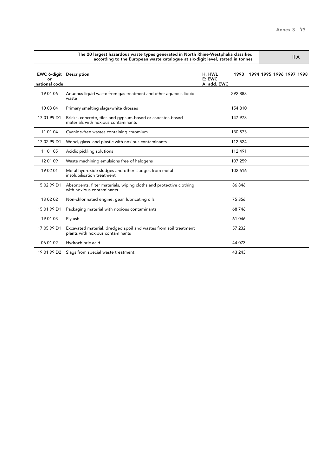|                                                       | The 20 largest hazardous waste types generated in North Rhine-Westphalia classified<br>according to the European waste catalogue at six-digit level, stated in tonnes | II A                                    |                          |
|-------------------------------------------------------|-----------------------------------------------------------------------------------------------------------------------------------------------------------------------|-----------------------------------------|--------------------------|
| <b>EWC 6-digit Description</b><br>or<br>national code |                                                                                                                                                                       | H: HWL<br>1993<br>E: EWC<br>A: add. EWC | 1994 1995 1996 1997 1998 |
| 19 01 06                                              | Aqueous liquid waste from gas treatment and other aqueous liquid<br>waste                                                                                             | 292 883                                 |                          |
| 10 03 04                                              | Primary smelting slags/white drosses                                                                                                                                  | 154 810                                 |                          |
| 17 01 99 D1                                           | Bricks, concrete, tiles and gypsum-based or asbestos-based<br>materials with noxious contaminants                                                                     | 147 973                                 |                          |
| 11 01 04                                              | Cyanide-free wastes containing chromium                                                                                                                               | 130 573                                 |                          |
| 17 02 99 D1                                           | Wood, glass and plastic with noxious contaminants                                                                                                                     | 112 524                                 |                          |
| 11 01 05                                              | Acidic pickling solutions                                                                                                                                             | 112 491                                 |                          |
| 12 01 09                                              | Waste machining emulsions free of halogens                                                                                                                            | 107 259                                 |                          |
| 19 02 01                                              | Metal hydroxide sludges and other sludges from metal<br>insolubilisation treatment                                                                                    | 102 616                                 |                          |
| 15 02 99 D1                                           | Absorbents, filter materials, wiping cloths and protective clothing<br>with noxious contaminants                                                                      | 86846                                   |                          |
| 13 02 02                                              | Non-chlorinated engine, gear, lubricating oils                                                                                                                        | 75 356                                  |                          |
| 15 01 99 D1                                           | Packaging material with noxious contaminants                                                                                                                          | 68746                                   |                          |
| 19 01 03                                              | Fly ash                                                                                                                                                               | 61 046                                  |                          |
| 17 05 99 D1                                           | Excavated material, dredged spoil and wastes from soil treatment<br>plants with noxious contaminants                                                                  | 57 232                                  |                          |
| 06 01 02                                              | Hydrochloric acid                                                                                                                                                     | 44 073                                  |                          |
| 19 01 99 D2                                           | Slags from special waste treatment                                                                                                                                    | 43 243                                  |                          |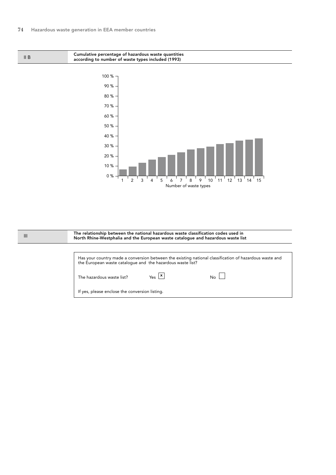0 %

Cumulative percentage of hazardous waste quantities according to number of waste types included (1993) 10 % 20 % 30 % 40 % 50 % 60 % 70 % 80 % 90 % 100 % II B



 $1^{\frac{1}{2}}$   $2^{\frac{1}{3}}$   $3^{\frac{1}{4}}$   $4^{\frac{1}{5}}$   $5^{\frac{1}{6}}$   $7^{\frac{1}{8}}$   $8^{\frac{1}{9}}$   $9^{\frac{1}{1}}$  10  $^{1}$  11  $^{1}$  12  $^{1}$  13  $^{1}$  14  $^{1}$  15 Number of waste types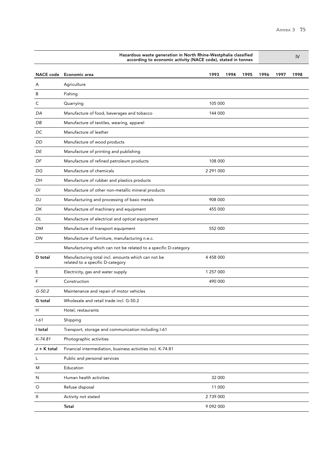|               | Hazardous waste generation in North Rhine-Westphalia classified<br>according to economic activity (NACE code), stated in tonnes |               |      |      |      |      | IV   |
|---------------|---------------------------------------------------------------------------------------------------------------------------------|---------------|------|------|------|------|------|
|               | NACE code Economic area                                                                                                         | 1993          | 1994 | 1995 | 1996 | 1997 | 1998 |
| A             | Agriculture                                                                                                                     |               |      |      |      |      |      |
| B             | Fishing                                                                                                                         |               |      |      |      |      |      |
| С             | Quarrying                                                                                                                       | 105 000       |      |      |      |      |      |
| DA            | Manufacture of food, beverages and tobacco                                                                                      | 144 000       |      |      |      |      |      |
| DB            | Manufacture of textiles, wearing, apparel                                                                                       |               |      |      |      |      |      |
| DC            | Manufacture of leather                                                                                                          |               |      |      |      |      |      |
| DD            | Manufacture of wood products                                                                                                    |               |      |      |      |      |      |
| DE            | Manufacture of printing and publishing                                                                                          |               |      |      |      |      |      |
| DF            | Manufacture of refined petroleum products                                                                                       | 108 000       |      |      |      |      |      |
| DG            | Manufacture of chemicals                                                                                                        | 2 291 000     |      |      |      |      |      |
| DH            | Manufacture of rubber and plastics products                                                                                     |               |      |      |      |      |      |
| DI            | Manufacture of other non-metallic mineral products                                                                              |               |      |      |      |      |      |
| DJ            | Manufacturing and processing of basic metals                                                                                    | 908 000       |      |      |      |      |      |
| DK            | Manufacture of machinery and equipment                                                                                          | 455 000       |      |      |      |      |      |
| DL            | Manufacture of electrical and optical equipment                                                                                 |               |      |      |      |      |      |
| DM            | Manufacture of transport equipment                                                                                              | 552 000       |      |      |      |      |      |
| DN            | Manufacture of furniture, manufacturing n.e.c.                                                                                  |               |      |      |      |      |      |
|               | Manufacturing which can not be related to a specific D-category                                                                 |               |      |      |      |      |      |
| D total       | Manufacturing total incl. amounts which can not be<br>related to a specific D-category                                          | 4 458 000     |      |      |      |      |      |
| Ε             | Electricity, gas and water supply                                                                                               | 1 257 000     |      |      |      |      |      |
| F             | Construction                                                                                                                    | 490 000       |      |      |      |      |      |
| $G-50.2$      | Maintenance and repair of motor vehicles                                                                                        |               |      |      |      |      |      |
| G total       | Wholesale and retail trade incl. G-50.2                                                                                         |               |      |      |      |      |      |
| Н             | Hotel, restaurants                                                                                                              |               |      |      |      |      |      |
| $1 - 61$      | Shipping                                                                                                                        |               |      |      |      |      |      |
| I total       | Transport, storage and communication including I-61                                                                             |               |      |      |      |      |      |
| K-74.81       | Photographic activities                                                                                                         |               |      |      |      |      |      |
| $J + K$ total | Financial intermediation, business activities incl. K-74.81                                                                     |               |      |      |      |      |      |
| L             | Public and personal services                                                                                                    |               |      |      |      |      |      |
| M             | Education                                                                                                                       |               |      |      |      |      |      |
| N             | Human health activities                                                                                                         | 32 000        |      |      |      |      |      |
| O             | Refuse disposal                                                                                                                 | 11 000        |      |      |      |      |      |
| Х             | Activity not stated                                                                                                             | 2 739 000     |      |      |      |      |      |
|               | Total                                                                                                                           | 9 0 9 2 0 0 0 |      |      |      |      |      |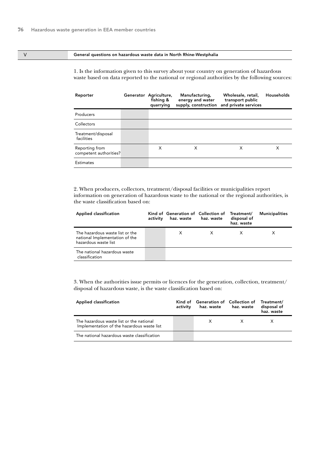### V General questions on hazardous waste data in North Rhine-Westphalia

1. Is the information given to this survey about your country on generation of hazardous waste based on data reported to the national or regional authorities by the following sources:

| Reporter                                 | Generator Agriculture,<br>fishing &<br>quarrying | Manufacturing,<br>energy and water<br>supply, construction | Wholesale, retail,<br>transport public<br>and private services | Households |
|------------------------------------------|--------------------------------------------------|------------------------------------------------------------|----------------------------------------------------------------|------------|
| Producers                                |                                                  |                                                            |                                                                |            |
| Collectors                               |                                                  |                                                            |                                                                |            |
| Treatment/disposal<br>facilities         |                                                  |                                                            |                                                                |            |
| Reporting from<br>competent authorities? | X                                                | X                                                          | X                                                              | X          |
| Estimates                                |                                                  |                                                            |                                                                |            |

2. When producers, collectors, treatment/disposal facilities or municipalities report information on generation of hazardous waste to the national or the regional authorities, is the waste classification based on:

| Applied classification                                                                    | activity | Kind of Generation of Collection of Treatment/<br>haz. waste haz. waste | disposal of<br>haz. waste | <b>Municipalities</b> |
|-------------------------------------------------------------------------------------------|----------|-------------------------------------------------------------------------|---------------------------|-----------------------|
| The hazardous waste list or the<br>national Implementation of the<br>hazardous waste list |          | X                                                                       |                           |                       |
| The national hazardous waste<br>classification                                            |          |                                                                         |                           |                       |

| <b>Applied classification</b>                                                          | activity | Kind of Generation of Collection of Treatment/<br>haz. waste haz. waste |              | disposal of<br>haz. waste |
|----------------------------------------------------------------------------------------|----------|-------------------------------------------------------------------------|--------------|---------------------------|
| The hazardous waste list or the national<br>Implementation of the hazardous waste list |          | X.                                                                      | $\mathsf{X}$ |                           |
| The national hazardous waste classification                                            |          |                                                                         |              |                           |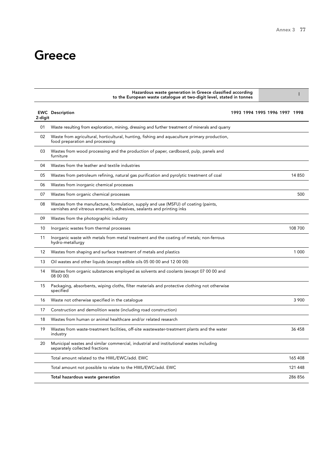## **Greece**

|         | Hazardous waste generation in Greece classified according<br>to the European waste catalogue at two-digit level, stated in tonnes                             |  |                               |         |  |
|---------|---------------------------------------------------------------------------------------------------------------------------------------------------------------|--|-------------------------------|---------|--|
| 2-digit | <b>EWC</b> Description                                                                                                                                        |  | 1993 1994 1995 1996 1997 1998 |         |  |
| 01      | Waste resulting from exploration, mining, dressing and further treatment of minerals and quarry                                                               |  |                               |         |  |
| 02      | Waste from agricultural, horticultural, hunting, fishing and aquaculture primary production,<br>food preparation and processing                               |  |                               |         |  |
| 03      | Wastes from wood processing and the production of paper, cardboard, pulp, panels and<br>furniture                                                             |  |                               |         |  |
| 04      | Wastes from the leather and textile industries                                                                                                                |  |                               |         |  |
| 05      | Wastes from petroleum refining, natural gas purification and pyrolytic treatment of coal                                                                      |  |                               | 14 850  |  |
| 06      | Wastes from inorganic chemical processes                                                                                                                      |  |                               |         |  |
| 07      | Wastes from organic chemical processes                                                                                                                        |  |                               | 500     |  |
| 08      | Wastes from the manufacture, formulation, supply and use (MSFU) of coating (paints,<br>varnishes and vitreous enamels), adhesives, sealants and printing inks |  |                               |         |  |
| 09      | Wastes from the photographic industry                                                                                                                         |  |                               |         |  |
| 10      | Inorganic wastes from thermal processes                                                                                                                       |  |                               | 108 700 |  |
| 11      | Inorganic waste with metals from metal treatment and the coating of metals; non-ferrous<br>hydro-metallurgy                                                   |  |                               |         |  |
| 12      | Wastes from shaping and surface treatment of metals and plastics                                                                                              |  |                               | 1 0 0 0 |  |
| 13      | Oil wastes and other liquids (except edible oils 05 00 00 and 12 00 00)                                                                                       |  |                               |         |  |
| 14      | Wastes from organic substances employed as solvents and coolants (except 07 00 00 and<br>08 00 00)                                                            |  |                               |         |  |
| 15      | Packaging, absorbents, wiping cloths, filter materials and protective clothing not otherwise<br>specified                                                     |  |                               |         |  |
| 16      | Waste not otherwise specified in the catalogue                                                                                                                |  |                               | 3 900   |  |
| 17      | Construction and demolition waste (including road construction)                                                                                               |  |                               |         |  |
| 18      | Wastes from human or animal healthcare and/or related research                                                                                                |  |                               |         |  |
| 19      | Wastes from waste-treatment facilities, off-site wastewater-treatment plants and the water<br>industry                                                        |  |                               | 36 458  |  |
| 20      | Municipal wastes and similar commercial, industrial and institutional wastes including<br>separately collected fractions                                      |  |                               |         |  |
|         | Total amount related to the HWL/EWC/add. EWC                                                                                                                  |  |                               | 165 408 |  |
|         | Total amount not possible to relate to the HWL/EWC/add. EWC                                                                                                   |  |                               | 121 448 |  |
|         | Total hazardous waste generation                                                                                                                              |  |                               | 286 856 |  |

Hazardous waste generation in Greece classified according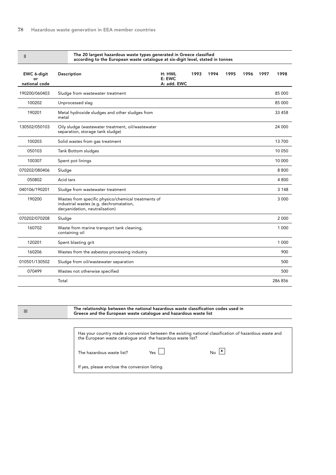| $\mathbf{I}$                       | The 20 largest hazardous waste types generated in Greece classified<br>according to the European waste catalogue at six-digit level, stated in tonnes |                                 |      |      |      |      |      |         |
|------------------------------------|-------------------------------------------------------------------------------------------------------------------------------------------------------|---------------------------------|------|------|------|------|------|---------|
| EWC 6-digit<br>or<br>national code | Description                                                                                                                                           | H: HWL<br>E: EWC<br>A: add. EWC | 1993 | 1994 | 1995 | 1996 | 1997 | 1998    |
| 190200/060403                      | Sludge from wastewater treatment                                                                                                                      |                                 |      |      |      |      |      | 85 000  |
| 100202                             | Unprocessed slag                                                                                                                                      |                                 |      |      |      |      |      | 85 000  |
| 190201                             | Metal hydroxide sludges and other sludges from<br>metal                                                                                               |                                 |      |      |      |      |      | 33 458  |
| 130502/050103                      | Oily sludge (wastewater treatment, oil/wastewater<br>separation, storage tank sludge)                                                                 |                                 |      |      |      |      |      | 24 000  |
| 100203                             | Solid wastes from gas treatment                                                                                                                       |                                 |      |      |      |      |      | 13700   |
| 050103                             | Tank Bottom sludges                                                                                                                                   |                                 |      |      |      |      |      | 10 050  |
| 100307                             | Spent pot linings                                                                                                                                     |                                 |      |      |      |      |      | 10 000  |
| 070202/080406                      | Sludge                                                                                                                                                |                                 |      |      |      |      |      | 8800    |
| 050802                             | Acid tars                                                                                                                                             |                                 |      |      |      |      |      | 4 800   |
| 040106/190201                      | Sludge from wastewater treatment                                                                                                                      |                                 |      |      |      |      |      | 3 1 4 8 |
| 190200                             | Wastes from specific physico/chemical treatments of<br>industrial wastes (e.g. dechromatation,<br>decyanidation, neutralisation)                      |                                 |      |      |      |      |      | 3 0 0 0 |
| 070202/070208                      | Sludge                                                                                                                                                |                                 |      |      |      |      |      | 2 0 0 0 |
| 160702                             | Waste from marine transport tank cleaning,<br>containing oil                                                                                          |                                 |      |      |      |      |      | 1 0 0 0 |
| 120201                             | Spent blasting grit                                                                                                                                   |                                 |      |      |      |      |      | 1 000   |
| 160206                             | Wastes from the asbestos processing industry                                                                                                          |                                 |      |      |      |      |      | 900     |
| 010501/130502                      | Sludge from oil/wastewater separation                                                                                                                 |                                 |      |      |      |      |      | 500     |
| 070499                             | Wastes not otherwise specified                                                                                                                        |                                 |      |      |      |      |      | 500     |
|                                    | Total                                                                                                                                                 |                                 |      |      |      |      |      | 286 856 |

III

The relationship between the national hazardous waste classification codes used in Greece and the European waste catalogue and hazardous waste list

Has your country made a conversion between the existing national classification of hazardous waste and the European waste catalogue and the hazardous waste list?

The hazardous waste list?  $Y$ es  $\Box$ 

 $\overline{\mathsf{No}}$   $\overline{\mathsf{x}}$ 

If yes, please enclose the conversion listing.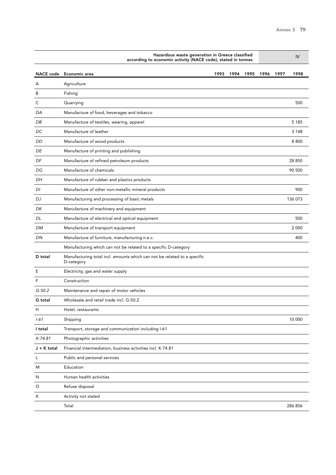|                  | Hazardous waste generation in Greece classified<br>according to economic activity (NACE code), stated in tonnes | IV   |      |      |      |      |         |
|------------------|-----------------------------------------------------------------------------------------------------------------|------|------|------|------|------|---------|
| <b>NACE</b> code | Economic area                                                                                                   | 1993 | 1994 | 1995 | 1996 | 1997 | 1998    |
| A                | Agriculture                                                                                                     |      |      |      |      |      |         |
| B                | Fishing                                                                                                         |      |      |      |      |      |         |
| С                | Quarrying                                                                                                       |      |      |      |      |      | 500     |
| DA               | Manufacture of food, beverages and tobacco                                                                      |      |      |      |      |      |         |
| DB               | Manufacture of textiles, wearing, apparel                                                                       |      |      |      |      |      | 5 1 8 5 |
| DC               | Manufacture of leather                                                                                          |      |      |      |      |      | 3 1 4 8 |
| DD               | Manufacture of wood products                                                                                    |      |      |      |      |      | 8800    |
| DE               | Manufacture of printing and publishing                                                                          |      |      |      |      |      |         |
| DF               | Manufacture of refined petroleum products                                                                       |      |      |      |      |      | 28 850  |
| DG               | Manufacture of chemicals                                                                                        |      |      |      |      |      | 90 500  |
| DH               | Manufacture of rubber and plastics products                                                                     |      |      |      |      |      |         |
| DI               | Manufacture of other non-metallic mineral products                                                              |      |      |      |      |      | 900     |
| DJ               | Manufacturing and processing of basic metals                                                                    |      |      |      |      |      | 136 073 |
| DK               | Manufacture of machinery and equipment                                                                          |      |      |      |      |      |         |
| DL               | Manufacture of electrical and optical equipment                                                                 |      |      |      |      |      | 500     |
| DM               | Manufacture of transport equipment                                                                              |      |      |      |      |      | 2 0 0 0 |
| DN               | Manufacture of furniture, manufacturing n.e.c.                                                                  |      |      |      |      |      | 400     |
|                  | Manufacturing which can not be related to a specific D-category                                                 |      |      |      |      |      |         |
| D total          | Manufacturing total incl. amounts which can not be related to a specific<br>D-category                          |      |      |      |      |      |         |
| Ε                | Electricity, gas and water supply                                                                               |      |      |      |      |      |         |
| F                | Construction                                                                                                    |      |      |      |      |      |         |
| $G - 50.2$       | Maintenance and repair of motor vehicles                                                                        |      |      |      |      |      |         |
| G total          | Wholesale and retail trade incl. G-50.2                                                                         |      |      |      |      |      |         |
| Н                | Hotel, restaurants                                                                                              |      |      |      |      |      |         |
| $1 - 61$         | Shipping                                                                                                        |      |      |      |      |      | 10 000  |
| I total          | Transport, storage and communication including I-61                                                             |      |      |      |      |      |         |
| $K-74.81$        | Photographic activities                                                                                         |      |      |      |      |      |         |
| J + K total      | Financial intermediation, business activities incl. K-74.81                                                     |      |      |      |      |      |         |
| L                | Public and personal services                                                                                    |      |      |      |      |      |         |
| M                | Education                                                                                                       |      |      |      |      |      |         |
| N                | Human health activities                                                                                         |      |      |      |      |      |         |
| O                | Refuse disposal                                                                                                 |      |      |      |      |      |         |
| Х                | Activity not stated                                                                                             |      |      |      |      |      |         |
|                  | Total                                                                                                           |      |      |      |      |      | 286 856 |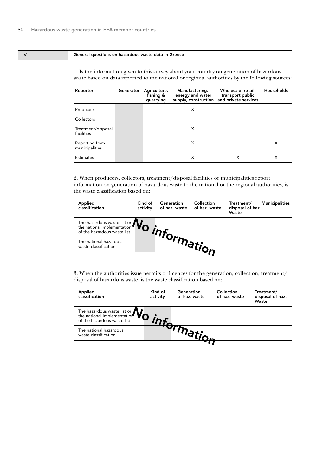#### V General questions on hazardous waste data in Greece

1. Is the information given to this survey about your country on generation of hazardous waste based on data reported to the national or regional authorities by the following sources:

| Reporter                         | Generator | Agriculture,<br>fishing &<br>quarrying | Manufacturing,<br>energy and water | Wholesale, retail,<br>transport public<br>supply, construction and private services | Households |
|----------------------------------|-----------|----------------------------------------|------------------------------------|-------------------------------------------------------------------------------------|------------|
| Producers                        |           |                                        | X                                  |                                                                                     |            |
| Collectors                       |           |                                        |                                    |                                                                                     |            |
| Treatment/disposal<br>facilities |           |                                        | X                                  |                                                                                     |            |
| Reporting from<br>municipalities |           |                                        | X                                  |                                                                                     | X          |
| <b>Estimates</b>                 |           |                                        | X                                  | х                                                                                   | X          |

2. When producers, collectors, treatment/disposal facilities or municipalities report information on generation of hazardous waste to the national or the regional authorities, is the waste classification based on:

| Applied<br>classification                                                        | Kind of<br>activity | Generation<br>of haz. waste | Collection<br>of haz. waste | Treatment/<br>disposal of haz.<br>Waste | <b>Municipalities</b> |
|----------------------------------------------------------------------------------|---------------------|-----------------------------|-----------------------------|-----------------------------------------|-----------------------|
| The hazardous waste list or $\mathbf{N}_{\Omega}$<br>of the hazardous waste list |                     |                             |                             |                                         |                       |
| The national hazardous<br>waste classification                                   |                     |                             |                             |                                         |                       |
|                                                                                  |                     |                             |                             |                                         |                       |

| Applied<br>classification                                                                                       | Kind of<br>activity | Generation<br>of haz. waste | Collection<br>of haz. waste | Treatment/<br>disposal of haz.<br>Waste |
|-----------------------------------------------------------------------------------------------------------------|---------------------|-----------------------------|-----------------------------|-----------------------------------------|
| The hazardous waste list or $\mathbf{W}_{\text{of}}$<br>the national Implementation of the hazardous waste list |                     |                             |                             |                                         |
| The national hazardous<br>waste classification                                                                  |                     |                             |                             |                                         |
|                                                                                                                 |                     |                             |                             |                                         |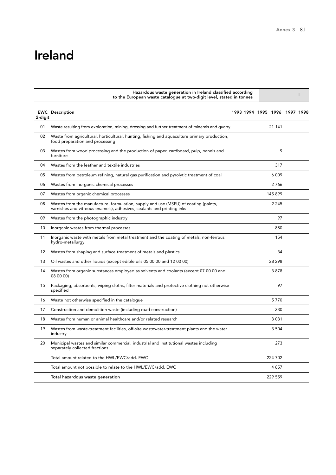## Ireland

|         | Hazardous waste generation in Ireland classified according<br>to the European waste catalogue at two-digit level, stated in tonnes                            |                               |         | ı |
|---------|---------------------------------------------------------------------------------------------------------------------------------------------------------------|-------------------------------|---------|---|
| 2-digit | <b>EWC</b> Description                                                                                                                                        | 1993 1994 1995 1996 1997 1998 |         |   |
| 01      | Waste resulting from exploration, mining, dressing and further treatment of minerals and quarry                                                               |                               | 21 141  |   |
| 02      | Waste from agricultural, horticultural, hunting, fishing and aguaculture primary production,<br>food preparation and processing                               |                               |         |   |
| 03      | Wastes from wood processing and the production of paper, cardboard, pulp, panels and<br>furniture                                                             |                               | 9       |   |
| 04      | Wastes from the leather and textile industries                                                                                                                |                               | 317     |   |
| 05      | Wastes from petroleum refining, natural gas purification and pyrolytic treatment of coal                                                                      |                               | 6 0 0 9 |   |
| 06      | Wastes from inorganic chemical processes                                                                                                                      |                               | 2766    |   |
| 07      | Wastes from organic chemical processes                                                                                                                        |                               | 145 899 |   |
| 08      | Wastes from the manufacture, formulation, supply and use (MSFU) of coating (paints,<br>varnishes and vitreous enamels), adhesives, sealants and printing inks |                               | 2 2 4 5 |   |
| 09      | Wastes from the photographic industry                                                                                                                         |                               | 97      |   |
| 10      | Inorganic wastes from thermal processes                                                                                                                       |                               | 850     |   |
| 11      | Inorganic waste with metals from metal treatment and the coating of metals; non-ferrous<br>hydro-metallurgy                                                   |                               | 154     |   |
| 12      | Wastes from shaping and surface treatment of metals and plastics                                                                                              |                               | 34      |   |
| 13      | Oil wastes and other liquids (except edible oils 05 00 00 and 12 00 00)                                                                                       |                               | 28 298  |   |
| 14      | Wastes from organic substances employed as solvents and coolants (except 07 00 00 and<br>08 00 00)                                                            |                               | 3878    |   |
| 15      | Packaging, absorbents, wiping cloths, filter materials and protective clothing not otherwise<br>specified                                                     |                               | 97      |   |
| 16      | Waste not otherwise specified in the catalogue                                                                                                                |                               | 5770    |   |
| 17      | Construction and demolition waste (including road construction)                                                                                               |                               | 330     |   |
| 18      | Wastes from human or animal healthcare and/or related research                                                                                                |                               | 3 0 3 1 |   |
| 19      | Wastes from waste-treatment facilities, off-site wastewater-treatment plants and the water<br>industry                                                        |                               | 3 5 0 4 |   |
| 20      | Municipal wastes and similar commercial, industrial and institutional wastes including<br>separately collected fractions                                      |                               | 273     |   |
|         | Total amount related to the HWL/EWC/add. EWC                                                                                                                  |                               | 224 702 |   |
|         | Total amount not possible to relate to the HWL/EWC/add. EWC                                                                                                   |                               | 4857    |   |
|         | Total hazardous waste generation                                                                                                                              |                               | 229 559 |   |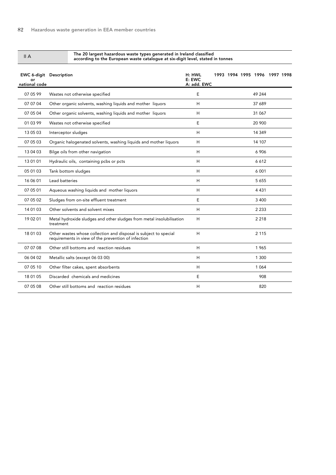#### The 20 largest hazardous waste types generated in Ireland classified according to the European waste catalogue at six-digit level, stated in tonnes

| <b>EWC 6-digit Description</b><br>o۳<br>national code |                                                                                                                         | H: HWL<br>E: EWC<br>A: add. EWC |  | 1993 1994 1995 1996 1997 1998 |  |
|-------------------------------------------------------|-------------------------------------------------------------------------------------------------------------------------|---------------------------------|--|-------------------------------|--|
| 07 05 99                                              | Wastes not otherwise specified                                                                                          | E                               |  | 49 244                        |  |
| 07 07 04                                              | Other organic solvents, washing liquids and mother liquors                                                              | Н                               |  | 37 689                        |  |
| 07 05 04                                              | Other organic solvents, washing liquids and mother liquors                                                              | H                               |  | 31 067                        |  |
| 01 03 99                                              | Wastes not otherwise specified                                                                                          | E                               |  | 20 900                        |  |
| 13 05 03                                              | Interceptor sludges                                                                                                     | H                               |  | 14 349                        |  |
| 07 05 03                                              | Organic halogenated solvents, washing liquids and mother liquors                                                        | H                               |  | 14 107                        |  |
| 13 04 03                                              | Bilge oils from other navigation                                                                                        | H                               |  | 6 906                         |  |
| 13 01 01                                              | Hydraulic oils, containing pcbs or pcts                                                                                 | H                               |  | 6612                          |  |
| 05 01 03                                              | Tank bottom sludges                                                                                                     | н                               |  | 6 0 0 1                       |  |
| 16 06 01                                              | Lead batteries                                                                                                          | H                               |  | 5 6 5 5                       |  |
| 07 05 01                                              | Aqueous washing liquids and mother liquors                                                                              | H                               |  | 4 4 3 1                       |  |
| 07 05 02                                              | Sludges from on-site effluent treatment                                                                                 | E                               |  | 3 4 0 0                       |  |
| 14 01 03                                              | Other solvents and solvent mixes                                                                                        | H                               |  | 2 2 3 3                       |  |
| 19 02 01                                              | Metal hydroxide sludges and other sludges from metal insolubilisation<br>treatment                                      | H                               |  | 2 2 1 8                       |  |
| 18 01 03                                              | Other wastes whose collection and disposal is subject to special<br>requirements in view of the prevention of infection | H                               |  | 2 1 1 5                       |  |
| 07 07 08                                              | Other still bottoms and reaction residues                                                                               | H                               |  | 1965                          |  |
| 06 04 02                                              | Metallic salts (except 06 03 00)                                                                                        | н                               |  | 1 300                         |  |
| 07 05 10                                              | Other filter cakes, spent absorbents                                                                                    | н                               |  | 1 0 6 4                       |  |
| 18 01 05                                              | Discarded chemicals and medicines                                                                                       | E                               |  | 908                           |  |
| 07 05 08                                              | Other still bottoms and reaction residues                                                                               | Н                               |  | 820                           |  |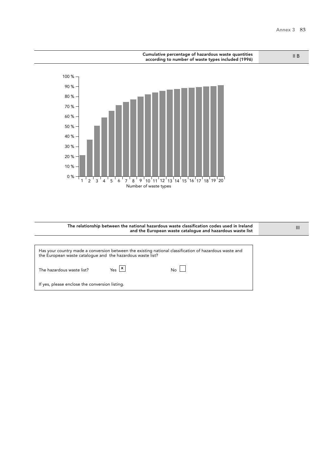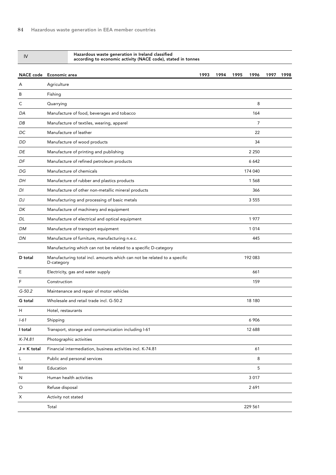#### Hazardous waste generation in Ireland classified according to economic activity (NACE code), stated in tonnes

|             | NACE code Economic area                                                                | 1993 | 1994 | 1995 | 1996           | 1997 | 1998 |
|-------------|----------------------------------------------------------------------------------------|------|------|------|----------------|------|------|
| A           | Agriculture                                                                            |      |      |      |                |      |      |
| B           | Fishing                                                                                |      |      |      |                |      |      |
| С           | Quarrying                                                                              |      |      |      | 8              |      |      |
| DA          | Manufacture of food, beverages and tobacco                                             |      |      |      | 164            |      |      |
| DB          | Manufacture of textiles, wearing, apparel                                              |      |      |      | $\overline{7}$ |      |      |
| DC          | Manufacture of leather                                                                 |      |      |      | 22             |      |      |
| <b>DD</b>   | Manufacture of wood products                                                           |      |      |      | 34             |      |      |
| DE          | Manufacture of printing and publishing                                                 |      |      |      | 2 2 5 0        |      |      |
| DF          | Manufacture of refined petroleum products                                              |      |      |      | 6 6 4 2        |      |      |
| DG          | Manufacture of chemicals                                                               |      |      |      | 174 040        |      |      |
| DН          | Manufacture of rubber and plastics products                                            |      |      |      | 1568           |      |      |
| DI          | Manufacture of other non-metallic mineral products                                     |      |      |      | 366            |      |      |
| DJ          | Manufacturing and processing of basic metals                                           |      |      |      | 3 5 5 5        |      |      |
| DK          | Manufacture of machinery and equipment                                                 |      |      |      |                |      |      |
| DL          | Manufacture of electrical and optical equipment                                        |      |      |      | 1977           |      |      |
| DM          | Manufacture of transport equipment                                                     |      |      |      | 1014           |      |      |
| DN          | Manufacture of furniture, manufacturing n.e.c.                                         |      |      |      | 445            |      |      |
|             | Manufacturing which can not be related to a specific D-category                        |      |      |      |                |      |      |
| D total     | Manufacturing total incl. amounts which can not be related to a specific<br>D-category |      |      |      | 192 083        |      |      |
| Ε           | Electricity, gas and water supply                                                      |      |      |      | 661            |      |      |
| F           | Construction                                                                           |      |      |      | 159            |      |      |
| $G-50.2$    | Maintenance and repair of motor vehicles                                               |      |      |      |                |      |      |
| G total     | Wholesale and retail trade incl. G-50.2                                                |      |      |      | 18 180         |      |      |
| H           | Hotel, restaurants                                                                     |      |      |      |                |      |      |
| $1 - 61$    | Shipping                                                                               |      |      |      | 6906           |      |      |
| I total     | Transport, storage and communication including I-61                                    |      |      |      | 12 688         |      |      |
| K-74.81     | Photographic activities                                                                |      |      |      |                |      |      |
| J + K total | Financial intermediation, business activities incl. K-74.81                            |      |      |      | 61             |      |      |
| L           | Public and personal services                                                           |      |      |      | 8              |      |      |
| M           | Education                                                                              |      |      |      | 5              |      |      |
| N           | Human health activities                                                                |      |      |      | 3 0 1 7        |      |      |
| O           | Refuse disposal                                                                        |      |      |      | 2691           |      |      |
| Х           | Activity not stated                                                                    |      |      |      |                |      |      |
|             | Total                                                                                  |      |      |      | 229 561        |      |      |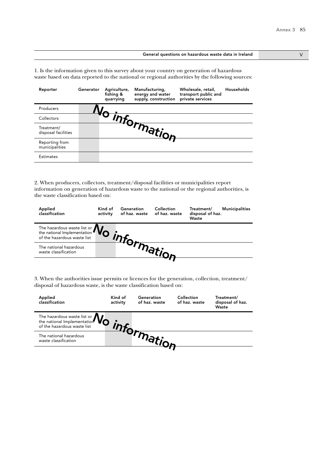#### General questions on hazardous waste data in Ireland V V

1. Is the information given to this survey about your country on generation of hazardous waste based on data reported to the national or regional authorities by the following sources:

| Reporter                          | Generator | Agriculture,<br>fishing &<br>quarrying | Manufacturing,<br>energy and water<br>supply, construction | Wholesale, retail,<br>transport public and<br>private services | Households |
|-----------------------------------|-----------|----------------------------------------|------------------------------------------------------------|----------------------------------------------------------------|------------|
| Producers                         |           |                                        |                                                            |                                                                |            |
| Collectors                        |           |                                        |                                                            |                                                                |            |
| Treatment/<br>disposal facilities |           |                                        | 'nformation                                                |                                                                |            |
| Reporting from<br>municipalities  |           |                                        |                                                            |                                                                |            |
| <b>Estimates</b>                  |           |                                        |                                                            |                                                                |            |

2. When producers, collectors, treatment/disposal facilities or municipalities report information on generation of hazardous waste to the national or the regional authorities, is the waste classification based on:

| Applied<br>classification                                                        | Kind of<br>activity | Generation | Collection<br>of haz. waste of haz. waste | Treatment/<br>disposal of haz.<br>Waste | <b>Municipalities</b> |
|----------------------------------------------------------------------------------|---------------------|------------|-------------------------------------------|-----------------------------------------|-----------------------|
| The hazardous waste list or $\mathbf{W}_{\text{of the national implementation}}$ |                     |            |                                           |                                         |                       |
| The national hazardous<br>waste classification                                   |                     |            |                                           |                                         |                       |
|                                                                                  |                     |            |                                           |                                         |                       |

| Applied<br>classification                                                                                       | Kind of<br>activity | Generation<br>of haz. waste | Collection<br>of haz. waste | Treatment/<br>disposal of haz.<br>Waste |
|-----------------------------------------------------------------------------------------------------------------|---------------------|-----------------------------|-----------------------------|-----------------------------------------|
| The hazardous waste list or $\mathbf{W}_{\text{of}}$<br>the national Implementation of the hazardous waste list |                     |                             |                             |                                         |
| The national hazardous<br>waste classification                                                                  |                     |                             |                             |                                         |
|                                                                                                                 |                     |                             |                             |                                         |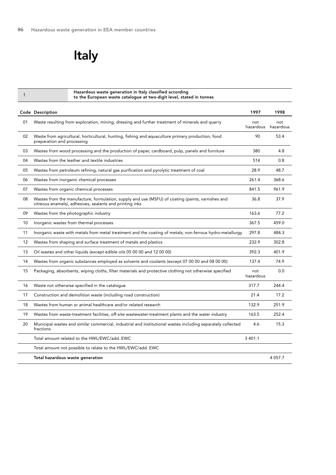Italy

| I  | Hazardous waste generation in Italy classified according<br>to the European waste catalogue at two-digit level, stated in tonnes                              |                  |                  |
|----|---------------------------------------------------------------------------------------------------------------------------------------------------------------|------------------|------------------|
|    | Code Description                                                                                                                                              | 1997             | 1998             |
| 01 | Waste resulting from exploration, mining, dressing and further treatment of minerals and quarry                                                               | not<br>hazardous | not<br>hazardous |
| 02 | Waste from agricultural, horticultural, hunting, fishing and aquaculture primary production, food<br>preparation and processing                               | 90               | 53.4             |
| 03 | Wastes from wood processing and the production of paper, cardboard, pulp, panels and furniture                                                                | 380              | 4.8              |
| 04 | Wastes from the leather and textile industries                                                                                                                | 514              | 0.8              |
| 05 | Wastes from petroleum refining, natural gas purification and pyrolytic treatment of coal                                                                      | 28.9             | 48.7             |
| 06 | Wastes from inorganic chemical processes                                                                                                                      | 261.4            | 368.6            |
| 07 | Wastes from organic chemical processes                                                                                                                        | 841.5            | 961.9            |
| 08 | Wastes from the manufacture, formulation, supply and use (MSFU) of coating (paints, varnishes and<br>vitreous enamels), adhesives, sealants and printing inks | 36.8             | 37.9             |
| 09 | Wastes from the photographic industry                                                                                                                         | 163.6            | 77.2             |
| 10 | Inorganic wastes from thermal processes                                                                                                                       | 367.5            | 459.0            |
| 11 | Inorganic waste with metals from metal treatment and the coating of metals; non-ferrous hydro-metallurgy                                                      | 297.8            | 484.3            |
| 12 | Wastes from shaping and surface treatment of metals and plastics                                                                                              | 232.9            | 302.8            |
| 13 | Oil wastes and other liquids (except edible oils 05 00 00 and 12 00 00)                                                                                       | 392.3            | 401.9            |
| 14 | Wastes from organic substances employed as solvents and coolants (except 07 00 00 and 08 00 00)                                                               | 137.4            | 74.9             |
| 15 | Packaging, absorbents, wiping cloths, filter materials and protective clothing not otherwise specified                                                        | not<br>hazardous | 0.0              |
| 16 | Waste not otherwise specified in the catalogue                                                                                                                | 317.7            | 244.4            |
| 17 | Construction and demolition waste (including road construction)                                                                                               | 21.4             | 17.2             |
| 18 | Wastes from human or animal healthcare and/or related research                                                                                                | 132.9            | 251.9            |
| 19 | Wastes from waste-treatment facilities, off-site wastewater-treatment plants and the water industry                                                           | 163.5            | 252.4            |
| 20 | Municipal wastes and similar commercial, industrial and institutional wastes including separately collected<br>fractions                                      | 4.6              | 15.3             |
|    | Total amount related to the HWL/EWC/add. EWC                                                                                                                  | 3 4 0 1.1        |                  |
|    | Total amount not possible to relate to the HWL/EWC/add. EWC                                                                                                   |                  |                  |
|    | Total hazardous waste generation                                                                                                                              |                  | 4 0 5 7 . 7      |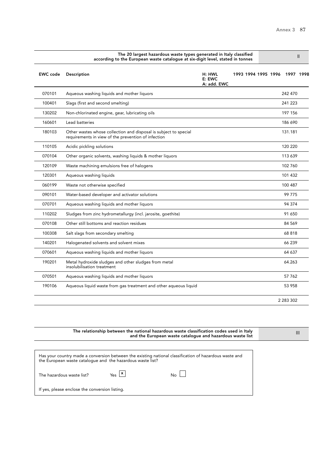|                 | The 20 largest hazardous waste types generated in Italy classified<br>according to the European waste catalogue at six-digit level, stated in tonnes |                                 |                     |  |  |               | $\mathsf{I}$ |
|-----------------|------------------------------------------------------------------------------------------------------------------------------------------------------|---------------------------------|---------------------|--|--|---------------|--------------|
| <b>EWC</b> code | Description                                                                                                                                          | H: HWL<br>E: EWC<br>A: add. EWC | 1993 1994 1995 1996 |  |  |               | 1997 1998    |
| 070101          | Aqueous washing liquids and mother liquors                                                                                                           |                                 |                     |  |  | 242 470       |              |
| 100401          | Slags (first and second smelting)                                                                                                                    |                                 |                     |  |  | 241 223       |              |
| 130202          | Non-chlorinated engine, gear, lubricating oils                                                                                                       |                                 |                     |  |  | 197 156       |              |
| 160601          | Lead batteries                                                                                                                                       |                                 |                     |  |  | 186 690       |              |
| 180103          | Other wastes whose collection and disposal is subject to special<br>requirements in view of the prevention of infection                              |                                 |                     |  |  | 131.181       |              |
| 110105          | Acidic pickling solutions                                                                                                                            |                                 |                     |  |  | 120 220       |              |
| 070104          | Other organic solvents, washing liquids & mother liquors                                                                                             |                                 |                     |  |  | 113 639       |              |
| 120109          | Waste machining emulsions free of halogens                                                                                                           |                                 |                     |  |  | 102 760       |              |
| 120301          | Aqueous washing liquids                                                                                                                              |                                 |                     |  |  | 101 432       |              |
| 060199          | Waste not otherwise specified                                                                                                                        |                                 |                     |  |  | 100 487       |              |
| 090101          | Water-based developer and activator solutions                                                                                                        |                                 |                     |  |  | 99 775        |              |
| 070701          | Aqueous washing liquids and mother liquors                                                                                                           |                                 |                     |  |  | 94 374        |              |
| 110202          | Sludges from zinc hydrometallurgy (incl. jarosite, goethite)                                                                                         |                                 |                     |  |  | 91 650        |              |
| 070108          | Other still bottoms and reaction residues                                                                                                            |                                 |                     |  |  | 84 569        |              |
| 100308          | Salt slags from secondary smelting                                                                                                                   |                                 |                     |  |  | 68818         |              |
| 140201          | Halogenated solvents and solvent mixes                                                                                                               |                                 |                     |  |  | 66 239        |              |
| 070601          | Aqueous washing liquids and mother liquors                                                                                                           |                                 |                     |  |  | 64 637        |              |
| 190201          | Metal hydroxide sludges and other sludges from metal<br>insolubilisation treatment                                                                   |                                 |                     |  |  | 64.263        |              |
| 070501          | Aqueous washing liquids and mother liquors                                                                                                           |                                 |                     |  |  | 57 762        |              |
| 190106          | Aqueous liquid waste from gas treatment and other aqueous liquid                                                                                     |                                 |                     |  |  | 53 958        |              |
|                 |                                                                                                                                                      |                                 |                     |  |  | 2 2 8 3 3 0 2 |              |

| The relationship between the national hazardous waste classification codes used in Italy<br>and the European waste catalogue and hazardous waste list                |  |
|----------------------------------------------------------------------------------------------------------------------------------------------------------------------|--|
| Has your country made a conversion between the existing national classification of hazardous waste and<br>the European waste catalogue and the hazardous waste list? |  |
| $Y_{\text{es}}$   $x$  <br>The hazardous waste list?<br>No                                                                                                           |  |
| If yes, please enclose the conversion listing.                                                                                                                       |  |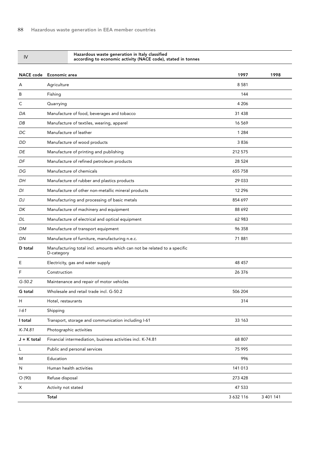| IV               | Hazardous waste generation in Italy classified<br>according to economic activity (NACE code), stated in tonnes |           |           |
|------------------|----------------------------------------------------------------------------------------------------------------|-----------|-----------|
| <b>NACE code</b> | Economic area                                                                                                  | 1997      | 1998      |
| A                | Agriculture                                                                                                    | 8581      |           |
| B                | Fishing                                                                                                        | 144       |           |
| С                | Quarrying                                                                                                      | 4 206     |           |
| DA               | Manufacture of food, beverages and tobacco                                                                     | 31 4 38   |           |
| DB               | Manufacture of textiles, wearing, apparel                                                                      | 16 569    |           |
| DC               | Manufacture of leather                                                                                         | 1 2 8 4   |           |
| DD               | Manufacture of wood products                                                                                   | 3836      |           |
| DE               | Manufacture of printing and publishing                                                                         | 212 575   |           |
| DF               | Manufacture of refined petroleum products                                                                      | 28 5 24   |           |
| DG               | Manufacture of chemicals                                                                                       | 655 758   |           |
| DH               | Manufacture of rubber and plastics products                                                                    | 29 033    |           |
| DI               | Manufacture of other non-metallic mineral products                                                             | 12 2 9 6  |           |
| DJ               | Manufacturing and processing of basic metals                                                                   | 854 697   |           |
| DK               | Manufacture of machinery and equipment                                                                         | 88 692    |           |
| DL               | Manufacture of electrical and optical equipment                                                                | 62 983    |           |
| <b>DM</b>        | Manufacture of transport equipment                                                                             | 96 358    |           |
| <b>DN</b>        | Manufacture of furniture, manufacturing n.e.c.                                                                 | 71881     |           |
| D total          | Manufacturing total incl. amounts which can not be related to a specific<br>D-category                         |           |           |
| Ε                | Electricity, gas and water supply                                                                              | 48 457    |           |
| F                | Construction                                                                                                   | 26 376    |           |
| $G-50.2$         | Maintenance and repair of motor vehicles                                                                       |           |           |
| G total          | Wholesale and retail trade incl. G-50.2                                                                        | 506 204   |           |
| Η                | Hotel, restaurants                                                                                             | 314       |           |
| $1 - 61$         | Shipping                                                                                                       |           |           |
| I total          | Transport, storage and communication including I-61                                                            | 33 163    |           |
| K-74.81          | Photographic activities                                                                                        |           |           |
| $J + K$ total    | Financial intermediation, business activities incl. K-74.81                                                    | 68 807    |           |
| L                | Public and personal services                                                                                   | 75 995    |           |
| M                | Education                                                                                                      | 996       |           |
| N                | Human health activities                                                                                        | 141 013   |           |
| O(90)            | Refuse disposal                                                                                                | 273 428   |           |
| Χ                | Activity not stated                                                                                            | 47 533    |           |
|                  | Total                                                                                                          | 3 632 116 | 3 401 141 |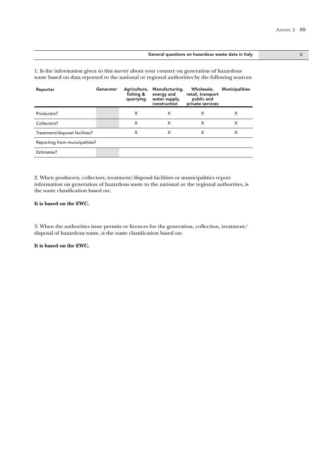#### General questions on hazardous waste data in Italy **Seneral questions on hazardous waste data in Italy**

1. Is the information given to this survey about your country on generation of hazardous waste based on data reported to the national or regional authorities by the following sources:

| Reporter                       | Generator | Agriculture,<br>fishing &<br>quarrying | Manufacturing,<br>energy and<br>water supply,<br>construction | Wholesale,<br>retail, transport<br>public and<br>private services | <b>Municipalities</b> |  |  |  |
|--------------------------------|-----------|----------------------------------------|---------------------------------------------------------------|-------------------------------------------------------------------|-----------------------|--|--|--|
| Producers?                     |           | X                                      | X                                                             | X                                                                 | x                     |  |  |  |
| Collectors?                    |           | X                                      | X                                                             | X                                                                 | x                     |  |  |  |
| Treatment/disposal facilities? |           | X                                      | x                                                             | X                                                                 | х                     |  |  |  |
| Reporting from municipalities? |           |                                        |                                                               |                                                                   |                       |  |  |  |
| Estimates?                     |           |                                        |                                                               |                                                                   |                       |  |  |  |

2. When producers, collectors, treatment/disposal facilities or municipalities report information on generation of hazardous waste to the national or the regional authorities, is the waste classification based on:

### **It is based on the EWC.**

3. When the authorities issue permits or licences for the generation, collection, treatment/ disposal of hazardous waste, is the waste classification based on:

**It is based on the EWC.**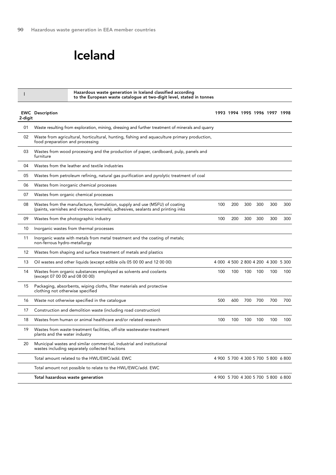# Iceland

I

Hazardous waste generation in Iceland classified according to the European waste catalogue at two-digit level, stated in tonnes

| 2-digit | <b>EWC</b> Description                                                                                                                                        |     |     |     |     | 1993 1994 1995 1996 1997 1998       |     |
|---------|---------------------------------------------------------------------------------------------------------------------------------------------------------------|-----|-----|-----|-----|-------------------------------------|-----|
| 01      | Waste resulting from exploration, mining, dressing and further treatment of minerals and quarry                                                               |     |     |     |     |                                     |     |
| 02      | Waste from agricultural, horticultural, hunting, fishing and aguaculture primary production,<br>food preparation and processing                               |     |     |     |     |                                     |     |
| 03      | Wastes from wood processing and the production of paper, cardboard, pulp, panels and<br>furniture                                                             |     |     |     |     |                                     |     |
| 04      | Wastes from the leather and textile industries                                                                                                                |     |     |     |     |                                     |     |
| 05      | Wastes from petroleum refining, natural gas purification and pyrolytic treatment of coal                                                                      |     |     |     |     |                                     |     |
| 06      | Wastes from inorganic chemical processes                                                                                                                      |     |     |     |     |                                     |     |
| 07      | Wastes from organic chemical processes                                                                                                                        |     |     |     |     |                                     |     |
| 08      | Wastes from the manufacture, formulation, supply and use (MSFU) of coating<br>(paints, varnishes and vitreous enamels), adhesives, sealants and printing inks | 100 | 200 | 300 | 300 | 300                                 | 300 |
| 09      | Wastes from the photographic industry                                                                                                                         | 100 | 200 | 300 | 300 | 300                                 | 300 |
| 10      | Inorganic wastes from thermal processes                                                                                                                       |     |     |     |     |                                     |     |
| 11      | Inorganic waste with metals from metal treatment and the coating of metals;<br>non-ferrous hydro-metallurgy                                                   |     |     |     |     |                                     |     |
| 12      | Wastes from shaping and surface treatment of metals and plastics                                                                                              |     |     |     |     |                                     |     |
| 13      | Oil wastes and other liquids (except edible oils 05 00 00 and 12 00 00)                                                                                       |     |     |     |     | 4 000 4 500 2 800 4 200 4 300 5 300 |     |
| 14      | Wastes from organic substances employed as solvents and coolants<br>(except 07 00 00 and 08 00 00)                                                            | 100 | 100 | 100 | 100 | 100                                 | 100 |
| 15      | Packaging, absorbents, wiping cloths, filter materials and protective<br>clothing not otherwise specified                                                     |     |     |     |     |                                     |     |
| 16      | Waste not otherwise specified in the catalogue                                                                                                                | 500 | 600 | 700 | 700 | 700                                 | 700 |
| 17      | Construction and demolition waste (including road construction)                                                                                               |     |     |     |     |                                     |     |
| 18      | Wastes from human or animal healthcare and/or related research                                                                                                | 100 | 100 | 100 | 100 | 100                                 | 100 |
| 19      | Wastes from waste-treatment facilities, off-site wastewater-treatment<br>plants and the water industry                                                        |     |     |     |     |                                     |     |
| 20      | Municipal wastes and similar commercial, industrial and institutional<br>wastes including separately collected fractions                                      |     |     |     |     |                                     |     |
|         | Total amount related to the HWL/EWC/add. EWC                                                                                                                  |     |     |     |     | 4 900 5 700 4 300 5 700 5 800 6 800 |     |
|         | Total amount not possible to relate to the HWL/EWC/add. EWC                                                                                                   |     |     |     |     |                                     |     |
|         | Total hazardous waste generation                                                                                                                              |     |     |     |     | 4 900 5 700 4 300 5 700 5 800 6 800 |     |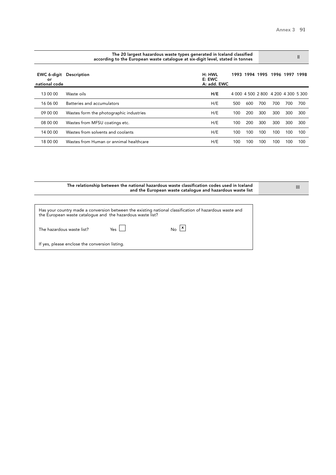| The 20 largest hazardous waste types generated in Iceland classified<br>according to the European waste cataloque at six-digit level, stated in tonnes |                                         |                                 |      |     |                                     |      |      | Ш    |
|--------------------------------------------------------------------------------------------------------------------------------------------------------|-----------------------------------------|---------------------------------|------|-----|-------------------------------------|------|------|------|
| EWC 6-digit<br>or<br>national code                                                                                                                     | <b>Description</b>                      | H: HWL<br>E: EWC<br>A: add. EWC | 1993 |     | 1994 1995                           | 1996 | 1997 | 1998 |
| 13 00 00                                                                                                                                               | Waste oils                              | H/E                             |      |     | 4 000 4 500 2 800 4 200 4 300 5 300 |      |      |      |
| 16 06 00                                                                                                                                               | Batteries and accumulators              | H/E                             | 500  | 600 | 700                                 | 700  | 700  | 700  |
| 09 00 00                                                                                                                                               | Wastes form the photographic industries | H/E                             | 100  | 200 | 300                                 | 300  | 300  | 300  |
| 08 00 00                                                                                                                                               | Wastes from MFSU coatings etc.          | H/E                             | 100  | 200 | 300                                 | 300  | 300  | 300  |
| 14 00 00                                                                                                                                               | Wastes from solvents and coolants       | H/E                             | 100  | 100 | 100                                 | 100  | 100  | 100  |
| 18 00 00                                                                                                                                               | Wastes from Human or annimal healthcare | H/E                             | 100  | 100 | 100                                 | 100  | 100  | 100  |

| The relationship between the national hazardous waste classification codes used in Iceland<br>and the European waste catalogue and hazardous waste list              | Ш |
|----------------------------------------------------------------------------------------------------------------------------------------------------------------------|---|
| Has your country made a conversion between the existing national classification of hazardous waste and<br>the European waste catalogue and the hazardous waste list? |   |
| $N_{\rm O}$ $\vert x \vert$<br>Yes  <br>The hazardous waste list?                                                                                                    |   |
| If yes, please enclose the conversion listing.                                                                                                                       |   |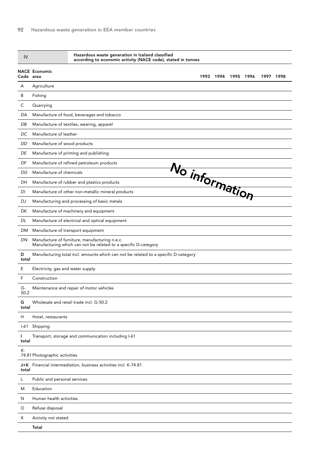| <b>NACE Economic</b><br>Code area<br>1993 1994 1995 1996<br>1997 1998<br>Agriculture<br>A<br>B<br>Fishing<br>С<br>Quarrying<br>Manufacture of food, beverages and tobacco<br>DA<br>DB<br>Manufacture of textiles, wearing, apparel<br>Manufacture of leather<br>DC<br>DD<br>Manufacture of wood products<br>Manufacture of printing and publishing<br>DE<br>DF<br>Manufacture of refined petroleum products<br>No information<br>Manufacture of chemicals<br>DG<br>Manufacture of rubber and plastics products<br>DH<br>DI<br>Manufacture of other non-metallic mineral products<br>Manufacturing and processing of basic metals<br>DJ<br>DK<br>Manufacture of machinery and equipment<br>Manufacture of electrical and optical equipment<br>DL<br>Manufacture of transport equipment<br>DM<br>Manufacture of furniture, manufacturing n.e.c.<br>DN<br>Manufacturing which can not be related to a specific D-category<br>Manufacturing total incl. amounts which can not be related to a specific D-category<br>D<br>total<br>Ε<br>Electricity, gas and water supply<br>F<br>Construction<br>G-<br>Maintenance and repair of motor vehicles<br>50.2<br>G<br>Wholesale and retail trade incl. G-50.2<br>total<br>H<br>Hotel, restaurants<br>I-61 Shipping<br>Transport, storage and communication including I-61<br>J.<br>total<br>К-<br>74.81 Photographic activities<br>J+K Financial intermediation, business activities incl. K-74.81<br>total<br>Public and personal services<br>L<br>M<br>Education<br>Human health activities<br>N<br>Refuse disposal<br>O<br>Activity not stated<br>X<br>Total | IV | Hazardous waste generation in Iceland classified<br>according to economic activity (NACE code), stated in tonnes |  |  |  |
|--------------------------------------------------------------------------------------------------------------------------------------------------------------------------------------------------------------------------------------------------------------------------------------------------------------------------------------------------------------------------------------------------------------------------------------------------------------------------------------------------------------------------------------------------------------------------------------------------------------------------------------------------------------------------------------------------------------------------------------------------------------------------------------------------------------------------------------------------------------------------------------------------------------------------------------------------------------------------------------------------------------------------------------------------------------------------------------------------------------------------------------------------------------------------------------------------------------------------------------------------------------------------------------------------------------------------------------------------------------------------------------------------------------------------------------------------------------------------------------------------------------------------------------------------------------------------------------------------------|----|------------------------------------------------------------------------------------------------------------------|--|--|--|
|                                                                                                                                                                                                                                                                                                                                                                                                                                                                                                                                                                                                                                                                                                                                                                                                                                                                                                                                                                                                                                                                                                                                                                                                                                                                                                                                                                                                                                                                                                                                                                                                        |    |                                                                                                                  |  |  |  |
|                                                                                                                                                                                                                                                                                                                                                                                                                                                                                                                                                                                                                                                                                                                                                                                                                                                                                                                                                                                                                                                                                                                                                                                                                                                                                                                                                                                                                                                                                                                                                                                                        |    |                                                                                                                  |  |  |  |
|                                                                                                                                                                                                                                                                                                                                                                                                                                                                                                                                                                                                                                                                                                                                                                                                                                                                                                                                                                                                                                                                                                                                                                                                                                                                                                                                                                                                                                                                                                                                                                                                        |    |                                                                                                                  |  |  |  |
|                                                                                                                                                                                                                                                                                                                                                                                                                                                                                                                                                                                                                                                                                                                                                                                                                                                                                                                                                                                                                                                                                                                                                                                                                                                                                                                                                                                                                                                                                                                                                                                                        |    |                                                                                                                  |  |  |  |
|                                                                                                                                                                                                                                                                                                                                                                                                                                                                                                                                                                                                                                                                                                                                                                                                                                                                                                                                                                                                                                                                                                                                                                                                                                                                                                                                                                                                                                                                                                                                                                                                        |    |                                                                                                                  |  |  |  |
|                                                                                                                                                                                                                                                                                                                                                                                                                                                                                                                                                                                                                                                                                                                                                                                                                                                                                                                                                                                                                                                                                                                                                                                                                                                                                                                                                                                                                                                                                                                                                                                                        |    |                                                                                                                  |  |  |  |
|                                                                                                                                                                                                                                                                                                                                                                                                                                                                                                                                                                                                                                                                                                                                                                                                                                                                                                                                                                                                                                                                                                                                                                                                                                                                                                                                                                                                                                                                                                                                                                                                        |    |                                                                                                                  |  |  |  |
|                                                                                                                                                                                                                                                                                                                                                                                                                                                                                                                                                                                                                                                                                                                                                                                                                                                                                                                                                                                                                                                                                                                                                                                                                                                                                                                                                                                                                                                                                                                                                                                                        |    |                                                                                                                  |  |  |  |
|                                                                                                                                                                                                                                                                                                                                                                                                                                                                                                                                                                                                                                                                                                                                                                                                                                                                                                                                                                                                                                                                                                                                                                                                                                                                                                                                                                                                                                                                                                                                                                                                        |    |                                                                                                                  |  |  |  |
|                                                                                                                                                                                                                                                                                                                                                                                                                                                                                                                                                                                                                                                                                                                                                                                                                                                                                                                                                                                                                                                                                                                                                                                                                                                                                                                                                                                                                                                                                                                                                                                                        |    |                                                                                                                  |  |  |  |
|                                                                                                                                                                                                                                                                                                                                                                                                                                                                                                                                                                                                                                                                                                                                                                                                                                                                                                                                                                                                                                                                                                                                                                                                                                                                                                                                                                                                                                                                                                                                                                                                        |    |                                                                                                                  |  |  |  |
|                                                                                                                                                                                                                                                                                                                                                                                                                                                                                                                                                                                                                                                                                                                                                                                                                                                                                                                                                                                                                                                                                                                                                                                                                                                                                                                                                                                                                                                                                                                                                                                                        |    |                                                                                                                  |  |  |  |
|                                                                                                                                                                                                                                                                                                                                                                                                                                                                                                                                                                                                                                                                                                                                                                                                                                                                                                                                                                                                                                                                                                                                                                                                                                                                                                                                                                                                                                                                                                                                                                                                        |    |                                                                                                                  |  |  |  |
|                                                                                                                                                                                                                                                                                                                                                                                                                                                                                                                                                                                                                                                                                                                                                                                                                                                                                                                                                                                                                                                                                                                                                                                                                                                                                                                                                                                                                                                                                                                                                                                                        |    |                                                                                                                  |  |  |  |
|                                                                                                                                                                                                                                                                                                                                                                                                                                                                                                                                                                                                                                                                                                                                                                                                                                                                                                                                                                                                                                                                                                                                                                                                                                                                                                                                                                                                                                                                                                                                                                                                        |    |                                                                                                                  |  |  |  |
|                                                                                                                                                                                                                                                                                                                                                                                                                                                                                                                                                                                                                                                                                                                                                                                                                                                                                                                                                                                                                                                                                                                                                                                                                                                                                                                                                                                                                                                                                                                                                                                                        |    |                                                                                                                  |  |  |  |
|                                                                                                                                                                                                                                                                                                                                                                                                                                                                                                                                                                                                                                                                                                                                                                                                                                                                                                                                                                                                                                                                                                                                                                                                                                                                                                                                                                                                                                                                                                                                                                                                        |    |                                                                                                                  |  |  |  |
|                                                                                                                                                                                                                                                                                                                                                                                                                                                                                                                                                                                                                                                                                                                                                                                                                                                                                                                                                                                                                                                                                                                                                                                                                                                                                                                                                                                                                                                                                                                                                                                                        |    |                                                                                                                  |  |  |  |
|                                                                                                                                                                                                                                                                                                                                                                                                                                                                                                                                                                                                                                                                                                                                                                                                                                                                                                                                                                                                                                                                                                                                                                                                                                                                                                                                                                                                                                                                                                                                                                                                        |    |                                                                                                                  |  |  |  |
|                                                                                                                                                                                                                                                                                                                                                                                                                                                                                                                                                                                                                                                                                                                                                                                                                                                                                                                                                                                                                                                                                                                                                                                                                                                                                                                                                                                                                                                                                                                                                                                                        |    |                                                                                                                  |  |  |  |
|                                                                                                                                                                                                                                                                                                                                                                                                                                                                                                                                                                                                                                                                                                                                                                                                                                                                                                                                                                                                                                                                                                                                                                                                                                                                                                                                                                                                                                                                                                                                                                                                        |    |                                                                                                                  |  |  |  |
|                                                                                                                                                                                                                                                                                                                                                                                                                                                                                                                                                                                                                                                                                                                                                                                                                                                                                                                                                                                                                                                                                                                                                                                                                                                                                                                                                                                                                                                                                                                                                                                                        |    |                                                                                                                  |  |  |  |
|                                                                                                                                                                                                                                                                                                                                                                                                                                                                                                                                                                                                                                                                                                                                                                                                                                                                                                                                                                                                                                                                                                                                                                                                                                                                                                                                                                                                                                                                                                                                                                                                        |    |                                                                                                                  |  |  |  |
|                                                                                                                                                                                                                                                                                                                                                                                                                                                                                                                                                                                                                                                                                                                                                                                                                                                                                                                                                                                                                                                                                                                                                                                                                                                                                                                                                                                                                                                                                                                                                                                                        |    |                                                                                                                  |  |  |  |
|                                                                                                                                                                                                                                                                                                                                                                                                                                                                                                                                                                                                                                                                                                                                                                                                                                                                                                                                                                                                                                                                                                                                                                                                                                                                                                                                                                                                                                                                                                                                                                                                        |    |                                                                                                                  |  |  |  |
|                                                                                                                                                                                                                                                                                                                                                                                                                                                                                                                                                                                                                                                                                                                                                                                                                                                                                                                                                                                                                                                                                                                                                                                                                                                                                                                                                                                                                                                                                                                                                                                                        |    |                                                                                                                  |  |  |  |
|                                                                                                                                                                                                                                                                                                                                                                                                                                                                                                                                                                                                                                                                                                                                                                                                                                                                                                                                                                                                                                                                                                                                                                                                                                                                                                                                                                                                                                                                                                                                                                                                        |    |                                                                                                                  |  |  |  |
|                                                                                                                                                                                                                                                                                                                                                                                                                                                                                                                                                                                                                                                                                                                                                                                                                                                                                                                                                                                                                                                                                                                                                                                                                                                                                                                                                                                                                                                                                                                                                                                                        |    |                                                                                                                  |  |  |  |
|                                                                                                                                                                                                                                                                                                                                                                                                                                                                                                                                                                                                                                                                                                                                                                                                                                                                                                                                                                                                                                                                                                                                                                                                                                                                                                                                                                                                                                                                                                                                                                                                        |    |                                                                                                                  |  |  |  |
|                                                                                                                                                                                                                                                                                                                                                                                                                                                                                                                                                                                                                                                                                                                                                                                                                                                                                                                                                                                                                                                                                                                                                                                                                                                                                                                                                                                                                                                                                                                                                                                                        |    |                                                                                                                  |  |  |  |
|                                                                                                                                                                                                                                                                                                                                                                                                                                                                                                                                                                                                                                                                                                                                                                                                                                                                                                                                                                                                                                                                                                                                                                                                                                                                                                                                                                                                                                                                                                                                                                                                        |    |                                                                                                                  |  |  |  |
|                                                                                                                                                                                                                                                                                                                                                                                                                                                                                                                                                                                                                                                                                                                                                                                                                                                                                                                                                                                                                                                                                                                                                                                                                                                                                                                                                                                                                                                                                                                                                                                                        |    |                                                                                                                  |  |  |  |
|                                                                                                                                                                                                                                                                                                                                                                                                                                                                                                                                                                                                                                                                                                                                                                                                                                                                                                                                                                                                                                                                                                                                                                                                                                                                                                                                                                                                                                                                                                                                                                                                        |    |                                                                                                                  |  |  |  |
|                                                                                                                                                                                                                                                                                                                                                                                                                                                                                                                                                                                                                                                                                                                                                                                                                                                                                                                                                                                                                                                                                                                                                                                                                                                                                                                                                                                                                                                                                                                                                                                                        |    |                                                                                                                  |  |  |  |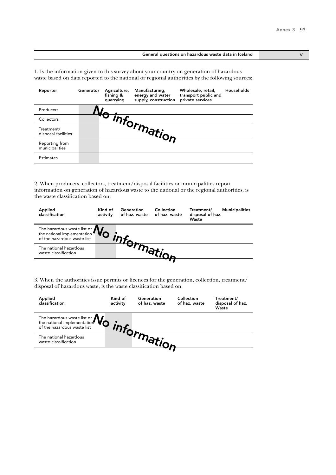#### General questions on hazardous waste data in Iceland V V

1. Is the information given to this survey about your country on generation of hazardous waste based on data reported to the national or regional authorities by the following sources:

| Reporter                          | Generator | Agriculture,<br>fishing &<br>quarrying | Manufacturing,<br>energy and water<br>supply, construction | Wholesale, retail,<br>transport public and<br>private services | Households |
|-----------------------------------|-----------|----------------------------------------|------------------------------------------------------------|----------------------------------------------------------------|------------|
| Producers                         |           |                                        |                                                            |                                                                |            |
| Collectors                        |           |                                        |                                                            |                                                                |            |
| Treatment/<br>disposal facilities |           |                                        | - <sup>Thtormation</sup>                                   |                                                                |            |
| Reporting from<br>municipalities  |           |                                        |                                                            |                                                                |            |
| <b>Estimates</b>                  |           |                                        |                                                            |                                                                |            |

2. When producers, collectors, treatment/disposal facilities or municipalities report information on generation of hazardous waste to the national or the regional authorities, is the waste classification based on:

| Applied<br>classification                                                                                    | Kind of<br>activity | Generation | Collection<br>of haz. waste of haz. waste | Treatment/<br>disposal of haz.<br>Waste | <b>Municipalities</b> |
|--------------------------------------------------------------------------------------------------------------|---------------------|------------|-------------------------------------------|-----------------------------------------|-----------------------|
| The hazardous waste list or $\mathbf{W}_{\text{of the national Implementation of the hazardous waste list}}$ |                     |            |                                           |                                         |                       |
| The national hazardous<br>waste classification                                                               |                     |            |                                           |                                         |                       |
|                                                                                                              |                     |            |                                           |                                         |                       |

| Applied<br>classification                                                                                       | Kind of<br>activity | Generation<br>of haz. waste | Collection<br>of haz. waste | Treatment/<br>disposal of haz.<br>Waste |
|-----------------------------------------------------------------------------------------------------------------|---------------------|-----------------------------|-----------------------------|-----------------------------------------|
| The hazardous waste list or $\mathbf{W}_{\text{of}}$<br>the national Implementation of the hazardous waste list |                     |                             |                             |                                         |
| The national hazardous<br>waste classification                                                                  |                     |                             |                             |                                         |
|                                                                                                                 |                     |                             |                             |                                         |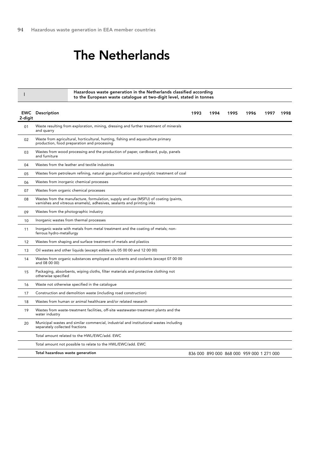## The Netherlands

Hazardous waste generation in the Netherlands classified according to the European waste catalogue at two-digit level, stated in tonnes <sup>I</sup>

| <b>EWC</b><br>2-digit | Description                                                                                                                                                   | 1993 | 1994 | 1995 | 1996                                      | 1997 | 1998 |
|-----------------------|---------------------------------------------------------------------------------------------------------------------------------------------------------------|------|------|------|-------------------------------------------|------|------|
| 01                    | Waste resulting from exploration, mining, dressing and further treatment of minerals<br>and quarry                                                            |      |      |      |                                           |      |      |
| 02                    | Waste from agricultural, horticultural, hunting, fishing and aquaculture primary<br>production, food preparation and processing                               |      |      |      |                                           |      |      |
| 03                    | Wastes from wood processing and the production of paper, cardboard, pulp, panels<br>and furniture                                                             |      |      |      |                                           |      |      |
| 04                    | Wastes from the leather and textile industries                                                                                                                |      |      |      |                                           |      |      |
| 05                    | Wastes from petroleum refining, natural gas purification and pyrolytic treatment of coal                                                                      |      |      |      |                                           |      |      |
| 06                    | Wastes from inorganic chemical processes                                                                                                                      |      |      |      |                                           |      |      |
| 07                    | Wastes from organic chemical processes                                                                                                                        |      |      |      |                                           |      |      |
| 08                    | Wastes from the manufacture, formulation, supply and use (MSFU) of coating (paints,<br>varnishes and vitreous enamels), adhesives, sealants and printing inks |      |      |      |                                           |      |      |
| 09                    | Wastes from the photographic industry                                                                                                                         |      |      |      |                                           |      |      |
| 10                    | Inorganic wastes from thermal processes                                                                                                                       |      |      |      |                                           |      |      |
| 11                    | Inorganic waste with metals from metal treatment and the coating of metals; non-<br>ferrous hydro-metallurgy                                                  |      |      |      |                                           |      |      |
| 12                    | Wastes from shaping and surface treatment of metals and plastics                                                                                              |      |      |      |                                           |      |      |
| 13                    | Oil wastes and other liquids (except edible oils 05 00 00 and 12 00 00)                                                                                       |      |      |      |                                           |      |      |
| 14                    | Wastes from organic substances employed as solvents and coolants (except 07 00 00<br>and 08 00 00)                                                            |      |      |      |                                           |      |      |
| 15                    | Packaging, absorbents, wiping cloths, filter materials and protective clothing not<br>otherwise specified                                                     |      |      |      |                                           |      |      |
| 16                    | Waste not otherwise specified in the catalogue                                                                                                                |      |      |      |                                           |      |      |
| 17                    | Construction and demolition waste (including road construction)                                                                                               |      |      |      |                                           |      |      |
| 18                    | Wastes from human or animal healthcare and/or related research                                                                                                |      |      |      |                                           |      |      |
| 19                    | Wastes from waste-treatment facilities, off-site wastewater-treatment plants and the<br>water industry                                                        |      |      |      |                                           |      |      |
| 20                    | Municipal wastes and similar commercial, industrial and institutional wastes including<br>separately collected fractions                                      |      |      |      |                                           |      |      |
|                       | Total amount related to the HWL/EWC/add. EWC                                                                                                                  |      |      |      |                                           |      |      |
|                       | Total amount not possible to relate to the HWL/EWC/add. EWC                                                                                                   |      |      |      |                                           |      |      |
|                       | Total hazardous waste generation                                                                                                                              |      |      |      | 836 000 890 000 868 000 959 000 1 271 000 |      |      |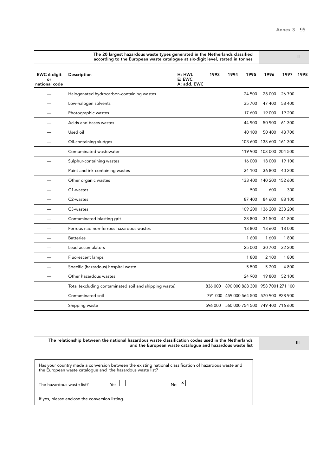II

|                                    | according to the European waste catalogue at six-digit level, stated in tonnes |                                 |         |      |        |                                         |        |      |
|------------------------------------|--------------------------------------------------------------------------------|---------------------------------|---------|------|--------|-----------------------------------------|--------|------|
| EWC 6-digit<br>o۳<br>national code | Description                                                                    | H: HWL<br>E: EWC<br>A: add. EWC | 1993    | 1994 | 1995   | 1996                                    | 1997   | 1998 |
|                                    | Halogenated hydrocarbon-containing wastes                                      |                                 |         |      | 24 500 | 28 000                                  | 26 700 |      |
|                                    | Low-halogen solvents                                                           |                                 |         |      | 35 700 | 47 400                                  | 58 400 |      |
|                                    | Photographic wastes                                                            |                                 |         |      | 17 600 | 19 000                                  | 19 200 |      |
|                                    | Acids and bases wastes                                                         |                                 |         |      | 44 900 | 50 900                                  | 61 300 |      |
|                                    | Used oil                                                                       |                                 |         |      | 40 100 | 50 400                                  | 48 700 |      |
|                                    | Oil-containing sludges                                                         |                                 |         |      |        | 103 600 138 600 161 300                 |        |      |
|                                    | Contaminated wastewater                                                        |                                 |         |      |        | 119 900 103 000 204 500                 |        |      |
|                                    | Sulphur-containing wastes                                                      |                                 |         |      | 16 000 | 18 000                                  | 19 100 |      |
|                                    | Paint and ink-containing wastes                                                |                                 |         |      | 34 100 | 36 800                                  | 40 200 |      |
|                                    | Other organic wastes                                                           |                                 |         |      |        | 133 400 140 200 152 600                 |        |      |
|                                    | C1-wastes                                                                      |                                 |         |      | 500    | 600                                     | 300    |      |
|                                    | C2-wastes                                                                      |                                 |         |      | 87 400 | 84 600                                  | 88 100 |      |
|                                    | C3-wastes                                                                      |                                 |         |      |        | 109 200 136 200 238 200                 |        |      |
|                                    | Contaminated blasting grit                                                     |                                 |         |      | 28 800 | 31 500                                  | 41 800 |      |
|                                    | Ferrous nad non-ferrous hazardous wastes                                       |                                 |         |      | 13 800 | 13 600                                  | 18 000 |      |
|                                    | <b>Batteries</b>                                                               |                                 |         |      | 1600   | 1 600                                   | 1800   |      |
|                                    | Lead accumulators                                                              |                                 |         |      | 25 000 | 30 700                                  | 32 200 |      |
|                                    | Fluorescent lamps                                                              |                                 |         |      | 1800   | 2 100                                   | 1800   |      |
|                                    | Specific (hazardous) hospital waste                                            |                                 |         |      | 5 500  | 5700                                    | 4800   |      |
|                                    | Other hazardous wastes                                                         |                                 |         |      | 24 900 | 19 800                                  | 52 100 |      |
|                                    | Total (excluding contaminated soil and shipping waste)                         |                                 | 836 000 |      |        | 890 000 868 300 958 7001 271 100        |        |      |
|                                    | Contaminated soil                                                              |                                 |         |      |        | 791 000 459 000 564 500 570 900 928 900 |        |      |
|                                    | Shipping waste                                                                 |                                 | 596 000 |      |        | 560 000 754 500 749 400 716 600         |        |      |

The 20 largest hazardous waste types generated in the Netherlands classified according to the European waste catalogue at six-digit level, stated in tonnes

 and the European waste catalogue and hazardous waste list Has your country made a conversion between the existing national classification of hazardous waste and the European waste catalogue and the hazardous waste list? The hazardous waste list?  $Y$ es  $\Box$ If yes, please enclose the conversion listing.  $N<sub>o</sub>$   $\boxed{\mathbf{x}}$ 

The relationship between the national hazardous waste classification codes used in the Netherlands

III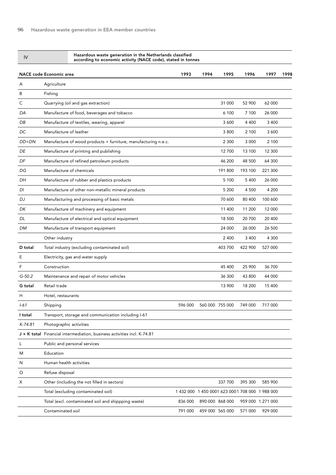| IV        | Hazardous waste generation in the Netherlands classified<br>according to economic activity (NACE code), stated in tonnes |         |                 |                 |         |                                                  |      |
|-----------|--------------------------------------------------------------------------------------------------------------------------|---------|-----------------|-----------------|---------|--------------------------------------------------|------|
|           | <b>NACE code Economic area</b>                                                                                           | 1993    | 1994            | 1995            | 1996    | 1997                                             | 1998 |
| Α         | Agriculture                                                                                                              |         |                 |                 |         |                                                  |      |
| B         | Fishing                                                                                                                  |         |                 |                 |         |                                                  |      |
| C         | Quarrying (oil and gas extraction)                                                                                       |         |                 | 31 000          | 52 900  | 62 000                                           |      |
| DA        | Manufacture of food, beverages and tobacco                                                                               |         |                 | 6 100           | 7 100   | 26 000                                           |      |
| DB        | Manufacture of textiles, wearing, apparel                                                                                |         |                 | 3 600           | 4 4 0 0 | 3 4 0 0                                          |      |
| DC        | Manufacture of leather                                                                                                   |         |                 | 3 800           | 2 100   | 3 600                                            |      |
| DD+DN     | Manufacture of wood products + furniture, manufacturing n.e.c.                                                           |         |                 | 2 3 0 0         | 3 0 0 0 | 2 100                                            |      |
| DE        | Manufacture of printing and publishing                                                                                   |         |                 | 12 700          | 13 100  | 12 300                                           |      |
| DF        | Manufacture of refined petroleum products                                                                                |         |                 | 46 200          | 48 500  | 64 300                                           |      |
| DG        | Manufacture of chemicals                                                                                                 |         |                 | 191 800         | 193 100 | 221 300                                          |      |
| DH        | Manufacture of rubber and plastics products                                                                              |         |                 | 5 100           | 5 4 0 0 | 26 000                                           |      |
| DI        | Manufacture of other non-metallic mineral products                                                                       |         |                 | 5 200           | 4 500   | 4 200                                            |      |
| DJ        | Manufacturing and processing of basic metals                                                                             |         |                 | 70 600          | 80 400  | 100 600                                          |      |
| DK        | Manufacture of machinery and equipment                                                                                   |         |                 | 11 400          | 11 200  | 12 000                                           |      |
| DL        | Manufacture of electrical and optical equipment                                                                          |         |                 | 18 500          | 20 700  | 20 400                                           |      |
| DM        | Manufacture of transport equipment                                                                                       |         |                 | 24 000          | 26 000  | 26 500                                           |      |
|           | Other industry                                                                                                           |         |                 | 2 4 0 0         | 3 4 0 0 | 4 3 0 0                                          |      |
| D total   | Total industry (excluding contaminated soil)                                                                             |         |                 | 403 700         | 422 900 | 527 000                                          |      |
| Ε         | Electricity, gas and water supply                                                                                        |         |                 |                 |         |                                                  |      |
| F         | Construction                                                                                                             |         |                 | 45 400          | 25 900  | 36 700                                           |      |
| $G-50.2$  | Maintenance and repair of motor vehicles                                                                                 |         |                 | 36 300          | 43 800  | 44 000                                           |      |
| G total   | Retail trade                                                                                                             |         |                 | 13 900          | 18 200  | 15 400                                           |      |
| Η         | Hotel, restaurants                                                                                                       |         |                 |                 |         |                                                  |      |
| $1 - 61$  | Shipping                                                                                                                 | 596 000 |                 | 560 000 755 000 | 749 000 | 717 000                                          |      |
| I total   | Transport, storage and communication including I-61                                                                      |         |                 |                 |         |                                                  |      |
| $K-74.81$ | Photographic activities                                                                                                  |         |                 |                 |         |                                                  |      |
|           | J + K total Financial intermediation, business activities incl. K-74.81                                                  |         |                 |                 |         |                                                  |      |
| L         | Public and personal services                                                                                             |         |                 |                 |         |                                                  |      |
| M         | Education                                                                                                                |         |                 |                 |         |                                                  |      |
| N         | Human health activities                                                                                                  |         |                 |                 |         |                                                  |      |
| O         | Refuse disposal                                                                                                          |         |                 |                 |         |                                                  |      |
| Х         | Other (including the not filled in sectors)                                                                              |         |                 | 337 700         | 395 300 | 585 900                                          |      |
|           | Total (excluding contaminated soil)                                                                                      |         |                 |                 |         | 1 432 000 1 450 0001 623 000 1 708 000 1 988 000 |      |
|           | Total (excl. contaminated soil and shippping waste)                                                                      | 836 000 | 890 000 868 000 |                 |         | 959 000 1 271 000                                |      |
|           | Contaminated soil                                                                                                        | 791 000 | 459 000 565 000 |                 | 571 000 | 929 000                                          |      |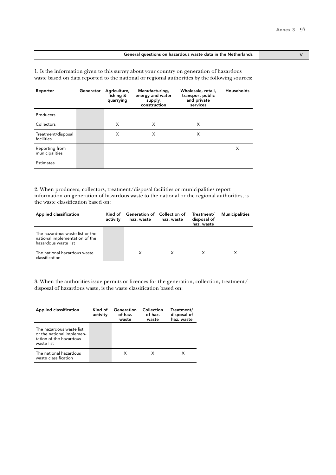### General questions on hazardous waste data in the Netherlands V

1. Is the information given to this survey about your country on generation of hazardous waste based on data reported to the national or regional authorities by the following sources:

| Reporter                         | Generator | Agriculture,<br>fishing &<br>quarrying | Manufacturing,<br>energy and water<br>supply,<br>construction | Wholesale, retail,<br>transport public<br>and private<br>services | Households |
|----------------------------------|-----------|----------------------------------------|---------------------------------------------------------------|-------------------------------------------------------------------|------------|
| Producers                        |           |                                        |                                                               |                                                                   |            |
| Collectors                       |           | X                                      | X                                                             | X                                                                 |            |
| Treatment/disposal<br>facilities |           | X                                      | X                                                             | X                                                                 |            |
| Reporting from<br>municipalities |           |                                        |                                                               |                                                                   | Х          |
| <b>Estimates</b>                 |           |                                        |                                                               |                                                                   |            |

2. When producers, collectors, treatment/disposal facilities or municipalities report information on generation of hazardous waste to the national or the regional authorities, is the waste classification based on:

| <b>Applied classification</b>                                                             | activity | Kind of Generation of Collection of<br>haz. waste | haz. waste | Treatment/<br>disposal of<br>haz. waste | <b>Municipalities</b> |
|-------------------------------------------------------------------------------------------|----------|---------------------------------------------------|------------|-----------------------------------------|-----------------------|
| The hazardous waste list or the<br>national implementation of the<br>hazardous waste list |          |                                                   |            |                                         |                       |
| The national hazardous waste<br>classification                                            |          | X                                                 |            |                                         |                       |

| Applied classification                                                                         | Kind of<br>activity | Generation<br>of haz.<br>waste | Collection<br>of haz.<br>waste | Treatment/<br>disposal of<br>haz. waste |
|------------------------------------------------------------------------------------------------|---------------------|--------------------------------|--------------------------------|-----------------------------------------|
| The hazardous waste list<br>or the national implemen-<br>tation of the hazardous<br>waste list |                     |                                |                                |                                         |
| The national hazardous<br>waste classification                                                 |                     | x                              | x                              |                                         |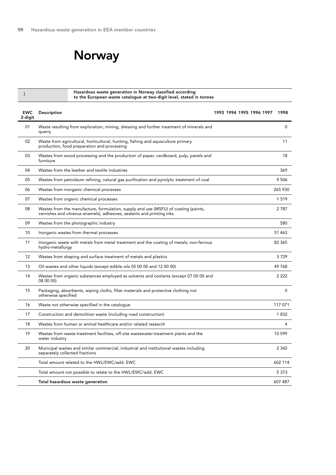# Norway

|                       | Hazardous waste generation in Norway classified according<br>to the European waste catalogue at two-digit level, stated in tonnes                             |                          |             |
|-----------------------|---------------------------------------------------------------------------------------------------------------------------------------------------------------|--------------------------|-------------|
| <b>EWC</b><br>2-digit | Description                                                                                                                                                   | 1993 1994 1995 1996 1997 | 1998        |
| 01                    | Waste resulting from exploration, mining, dressing and further treatment of minerals and<br>quarry                                                            |                          | 0           |
| 02                    | Waste from agricultural, horticultural, hunting, fishing and aquaculture primary<br>production, food preparation and processing                               |                          | 11          |
| 03                    | Wastes from wood processing and the production of paper, cardboard, pulp, panels and<br>furniture                                                             |                          | 18          |
| 04                    | Wastes from the leather and textile industries                                                                                                                |                          | 369         |
| 05                    | Wastes from petroleum refining, natural gas purification and pyrolytic treatment of coal                                                                      |                          | 9 5 0 6     |
| 06                    | Wastes from inorganic chemical processes                                                                                                                      |                          | 265 930     |
| 07                    | Wastes from organic chemical processes                                                                                                                        |                          | 1519        |
| 08                    | Wastes from the manufacture, formulation, supply and use (MSFU) of coating (paints,<br>varnishes and vitreous enamels), adhesives, sealants and printing inks |                          | 2787        |
| 09                    | Wastes from the photographic industry                                                                                                                         |                          | 580         |
| 10                    | Inorganic wastes from thermal processes                                                                                                                       |                          | 51 463      |
| 11                    | Inorganic waste with metals from metal treatment and the coating of metals; non-ferrous<br>hydro-metallurgy                                                   |                          | 82 365      |
| 12                    | Wastes from shaping and surface treatment of metals and plastics                                                                                              |                          | 3729        |
| 13                    | Oil wastes and other liquids (except edible oils 05 00 00 and 12 00 00)                                                                                       |                          | 49768       |
| 14                    | Wastes from organic substances employed as solvents and coolants (except 07 00 00 and<br>08 00 00)                                                            |                          | 2 2 2 2     |
| 15                    | Packaging, absorbents, wiping cloths, filter materials and protective clothing not<br>otherwise specified                                                     |                          | $\mathbf 0$ |
| 16                    | Waste not otherwise specified in the catalogue                                                                                                                |                          | 117 071     |
| 17                    | Construction and demolition waste (including road construction)                                                                                               |                          | 1832        |
| 18                    | Wastes from human or animal healthcare and/or related research                                                                                                |                          | 4           |
| 19                    | Wastes from waste-treatment facilities, off-site wastewater-treatment plants and the<br>water industry                                                        |                          | 10 599      |
| 20                    | Municipal wastes and similar commercial, industrial and institutional wastes including<br>separately collected fractions                                      |                          | 2 3 4 2     |
|                       | Total amount related to the HWL/EWC/add. EWC                                                                                                                  |                          | 602 114     |
|                       | Total amount not possible to relate to the HWL/EWC/add. EWC                                                                                                   |                          | 5 3 7 3     |
|                       | Total hazardous waste generation                                                                                                                              |                          | 607 487     |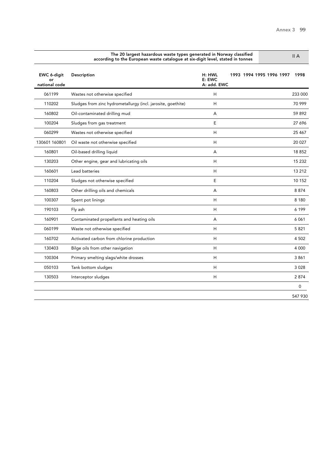|                              | The 20 largest hazardous waste types generated in Norway classified<br>II A<br>according to the European waste catalogue at six-digit level, stated in tonnes |                                 |                          |         |  |  |  |
|------------------------------|---------------------------------------------------------------------------------------------------------------------------------------------------------------|---------------------------------|--------------------------|---------|--|--|--|
| EWC 6-digit<br>national code | Description                                                                                                                                                   | H: HWL<br>E: EWC<br>A: add. EWC | 1993 1994 1995 1996 1997 | 1998    |  |  |  |
| 061199                       | Wastes not otherwise specified                                                                                                                                | H                               |                          | 233 000 |  |  |  |
| 110202                       | Sludges from zinc hydrometallurgy (incl. jarosite, goethite)                                                                                                  | H                               |                          | 70 999  |  |  |  |
| 160802                       | Oil-contaminated drilling mud                                                                                                                                 | A                               |                          | 59892   |  |  |  |
| 100204                       | Sludges from gas treatment                                                                                                                                    | E                               |                          | 27 696  |  |  |  |
| 060299                       | Wastes not otherwise specified                                                                                                                                | Н                               |                          | 25 4 67 |  |  |  |
| 130601 160801                | Oil waste not otherwise specified                                                                                                                             | Н                               |                          | 20 0 27 |  |  |  |
| 160801                       | Oil-based drilling liquid                                                                                                                                     | А                               |                          | 18852   |  |  |  |
| 130203                       | Other engine, gear and lubricating oils                                                                                                                       | H                               |                          | 15 2 32 |  |  |  |
| 160601                       | Lead batteries                                                                                                                                                | H                               |                          | 13 212  |  |  |  |
| 110204                       | Sludges not otherwise specified                                                                                                                               | E                               |                          | 10 152  |  |  |  |
| 160803                       | Other drilling oils and chemicals                                                                                                                             | A                               |                          | 8874    |  |  |  |
| 100307                       | Spent pot linings                                                                                                                                             | H                               |                          | 8 1 8 0 |  |  |  |
| 190103                       | Fly ash                                                                                                                                                       | H                               |                          | 6 199   |  |  |  |
| 160901                       | Contaminated propellants and heating oils                                                                                                                     | A                               |                          | 6061    |  |  |  |
| 060199                       | Waste not otherwise specified                                                                                                                                 | H                               |                          | 5821    |  |  |  |
| 160702                       | Activated carbon from chlorine production                                                                                                                     | H                               |                          | 4 5 0 2 |  |  |  |
| 130403                       | Bilge oils from other navigation                                                                                                                              | H                               |                          | 4 0 0 0 |  |  |  |
| 100304                       | Primary smelting slags/white drosses                                                                                                                          | H                               |                          | 3861    |  |  |  |
| 050103                       | Tank bottom sludges                                                                                                                                           | H                               |                          | 3 0 28  |  |  |  |
| 130503                       | Interceptor sludges                                                                                                                                           | H                               |                          | 2874    |  |  |  |
|                              |                                                                                                                                                               |                                 |                          | 0       |  |  |  |
|                              |                                                                                                                                                               |                                 |                          | 547 930 |  |  |  |

The 20 largest hazardous waste types generated in Norway classified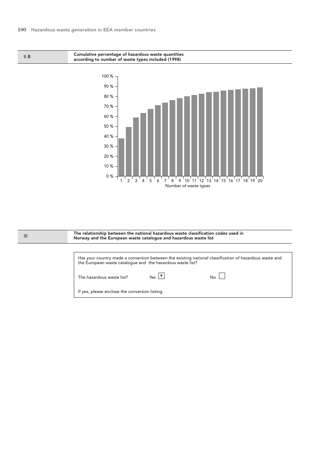II B

Cumulative percentage of hazardous waste quantities according to number of waste types included (1998)



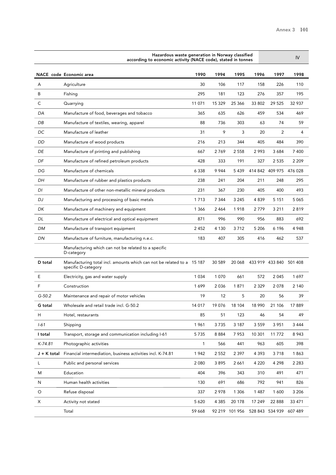|          | Hazardous waste generation in Norway classified<br>according to economic activity (NACE code), stated in tonnes |         |         |                |         |                         |         |
|----------|-----------------------------------------------------------------------------------------------------------------|---------|---------|----------------|---------|-------------------------|---------|
|          | NACE code Economic area                                                                                         | 1990    | 1994    | 1995           | 1996    | 1997                    | 1998    |
| Α        | Agriculture                                                                                                     | 30      | 106     | 117            | 158     | 226                     | 110     |
| B        | Fishing                                                                                                         | 295     | 181     | 123            | 276     | 357                     | 195     |
| C        | Quarrying                                                                                                       | 11 071  | 15 3 29 | 25 366         | 33 802  | 29 5 25                 | 32 937  |
| DA       | Manufacture of food, beverages and tobacco                                                                      | 365     | 635     | 626            | 459     | 534                     | 469     |
| DB       | Manufacture of textiles, wearing, apparel                                                                       | 88      | 736     | 303            | 63      | 74                      | 59      |
| DC       | Manufacture of leather                                                                                          | 31      | 9       | 3              | 20      | 2                       | 4       |
| DD       | Manufacture of wood products                                                                                    | 216     | 213     | 344            | 405     | 484                     | 390     |
| DE       | Manufacture of printing and publishing                                                                          | 667     | 2769    | 2 5 5 8        | 2993    | 3 684                   | 7 400   |
| DF       | Manufacture of refined petroleum products                                                                       | 428     | 333     | 191            | 327     | 2 5 3 5                 | 2 2 0 9 |
| DG       | Manufacture of chemicals                                                                                        | 6 3 3 8 | 9944    | 5439           |         | 414 842 409 975 476 028 |         |
| DH       | Manufacture of rubber and plastics products                                                                     | 238     | 241     | 204            | 211     | 248                     | 295     |
| DI       | Manufacture of other non-metallic mineral products                                                              | 231     | 367     | 230            | 405     | 400                     | 493     |
| DJ       | Manufacturing and processing of basic metals                                                                    | 1 7 1 3 | 7 3 4 4 | 3 2 4 5        | 4839    | 5 1 5 1                 | 5 0 6 5 |
| DK       | Manufacture of machinery and equipment                                                                          | 1 3 6 6 | 2464    | 1918           | 2779    | 3 2 1 1                 | 2819    |
| DL       | Manufacture of electrical and optical equipment                                                                 | 871     | 996     | 990            | 956     | 883                     | 692     |
| DM       | Manufacture of transport equipment                                                                              | 2452    | 4 1 3 0 | 3712           | 5 2 0 6 | 6 1 9 6                 | 4948    |
| DN       | Manufacture of furniture, manufacturing n.e.c.                                                                  | 183     | 407     | 305            | 416     | 462                     | 537     |
|          | Manufacturing which can not be related to a specific<br>D-category                                              |         |         |                |         |                         |         |
| D total  | Manufacturing total incl. amounts which can not be related to a 15 187<br>specific D-category                   |         | 30 589  | 20 068         |         | 433 919 433 840 501 408 |         |
| E        | Electricity, gas and water supply                                                                               | 1 0 3 4 | 1070    | 661            | 572     | 2045                    | 1697    |
| F        | Construction                                                                                                    | 1699    | 2036    | 1871           | 2 3 2 9 | 2078                    | 2 140   |
| $G-50.2$ | Maintenance and repair of motor vehicles                                                                        | 19      | 12      | 5              | 20      | 56                      | 39      |
| G total  | Wholesale and retail trade incl. G-50.2                                                                         | 14 017  | 19076   | 18 104         | 18 990  | 21 106                  | 17889   |
| н        | Hotel, restaurants                                                                                              | 85      | 51      | 123            | 46      | 54                      | 49      |
| $1 - 61$ | Shipping                                                                                                        | 1961    | 3735    | 3 187          | 3 5 5 9 | 3 9 5 1                 | 3 4 4 4 |
| I total  | Transport, storage and communication including I-61                                                             | 5735    | 8884    | 7953           | 10 301  | 11 772                  | 8943    |
| K-74.81  | Photographic activities                                                                                         | 1       | 566     | 441            | 963     | 605                     | 398     |
|          | J + K total Financial intermediation, business activities incl. K-74.81                                         | 1942    | 2 5 5 2 | 2 3 9 7        | 4 3 9 3 | 3718                    | 1863    |
| L        | Public and personal services                                                                                    | 2 0 8 0 | 3895    | 2661           | 4 2 2 0 | 4 2 9 8                 | 2 2 8 3 |
| M        | Education                                                                                                       | 404     | 396     | 343            | 310     | 491                     | 471     |
| N        | Human health activities                                                                                         | 130     | 691     | 686            | 792     | 941                     | 826     |
| $\circ$  | Refuse disposal                                                                                                 | 337     | 2978    | 1 3 0 6        | 1487    | 1600                    | 3 2 0 6 |
| X        | Activity not stated                                                                                             | 5 6 20  | 4 3 8 5 | 20 178         | 17 249  | 22 888                  | 33 471  |
|          | Total                                                                                                           | 59 668  |         | 92 219 101 956 |         | 528 843 534 939         | 607 489 |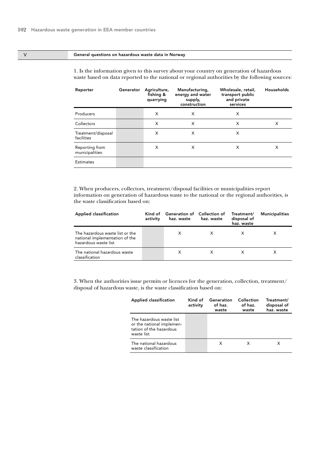#### V General questions on hazardous waste data in Norway

| Reporter                         | Generator | Agriculture,<br>fishing &<br>quarrying | Manufacturing,<br>energy and water<br>supply,<br>construction | Wholesale, retail,<br>transport public<br>and private<br>services | Households |
|----------------------------------|-----------|----------------------------------------|---------------------------------------------------------------|-------------------------------------------------------------------|------------|
| Producers                        |           | X                                      | X                                                             | X                                                                 |            |
| Collectors                       |           | X                                      | X                                                             | X                                                                 | X          |
| Treatment/disposal<br>facilities |           | X                                      | X                                                             | X                                                                 |            |
| Reporting from<br>municipalities |           | X                                      | X                                                             | X                                                                 | X          |
| <b>Estimates</b>                 |           |                                        |                                                               |                                                                   |            |

1. Is the information given to this survey about your country on generation of hazardous waste based on data reported to the national or regional authorities by the following sources:

2. When producers, collectors, treatment/disposal facilities or municipalities report information on generation of hazardous waste to the national or the regional authorities, is the waste classification based on:

| <b>Applied classification</b>                                                             | activity | Kind of Generation of Collection of<br>haz. waste | haz. waste | Treatment/<br>disposal of<br>haz. waste | <b>Municipalities</b> |
|-------------------------------------------------------------------------------------------|----------|---------------------------------------------------|------------|-----------------------------------------|-----------------------|
| The hazardous waste list or the<br>national implementation of the<br>hazardous waste list |          | X                                                 |            |                                         |                       |
| The national hazardous waste<br>classification                                            |          | х                                                 |            | х                                       |                       |

| Applied classification                                                                         | Kind of<br>activity | Generation<br>of haz.<br>waste | Collection<br>of haz.<br>waste | Treatment/<br>disposal of<br>haz. waste |
|------------------------------------------------------------------------------------------------|---------------------|--------------------------------|--------------------------------|-----------------------------------------|
| The hazardous waste list<br>or the national implemen-<br>tation of the hazardous<br>waste list |                     |                                |                                |                                         |
| The national hazardous<br>waste classification                                                 |                     | х                              | x                              |                                         |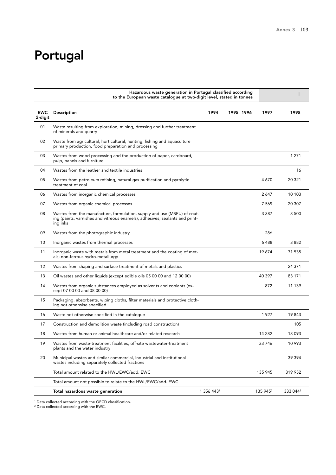# Portugal

|                       | Hazardous waste generation in Portugal classified according<br>to the European waste catalogue at two-digit level, stated in tonnes                                  |            |           |  |                      |                      |
|-----------------------|----------------------------------------------------------------------------------------------------------------------------------------------------------------------|------------|-----------|--|----------------------|----------------------|
| <b>EWC</b><br>2-digit | Description                                                                                                                                                          | 1994       | 1995 1996 |  | 1997                 | 1998                 |
| 01                    | Waste resulting from exploration, mining, dressing and further treatment<br>of minerals and quarry                                                                   |            |           |  |                      |                      |
| 02                    | Waste from agricultural, horticultural, hunting, fishing and aquaculture<br>primary production, food preparation and processing                                      |            |           |  |                      |                      |
| 03                    | Wastes from wood processing and the production of paper, cardboard,<br>pulp, panels and furniture                                                                    |            |           |  |                      | 1 2 7 1              |
| 04                    | Wastes from the leather and textile industries                                                                                                                       |            |           |  |                      | 16                   |
| 05                    | Wastes from petroleum refining, natural gas purification and pyrolytic<br>treatment of coal                                                                          |            |           |  | 4670                 | 20 321               |
| 06                    | Wastes from inorganic chemical processes                                                                                                                             |            |           |  | 2647                 | 10 103               |
| 07                    | Wastes from organic chemical processes                                                                                                                               |            |           |  | 7 5 6 9              | 20 307               |
| 08                    | Wastes from the manufacture, formulation, supply and use (MSFU) of coat-<br>ing (paints, varnishes and vitreous enamels), adhesives, sealants and print-<br>ing inks |            |           |  | 3 3 8 7              | 3 500                |
| 09                    | Wastes from the photographic industry                                                                                                                                |            |           |  | 286                  |                      |
| 10                    | Inorganic wastes from thermal processes                                                                                                                              |            |           |  | 6488                 | 3882                 |
| 11                    | Inorganic waste with metals from metal treatment and the coating of met-<br>als; non-ferrous hydro-metallurgy                                                        |            |           |  | 19 674               | 71 535               |
| 12                    | Wastes from shaping and surface treatment of metals and plastics                                                                                                     |            |           |  |                      | 24 371               |
| 13                    | Oil wastes and other liquids (except edible oils 05 00 00 and 12 00 00)                                                                                              |            |           |  | 40 397               | 83 171               |
| 14                    | Wastes from organic substances employed as solvents and coolants (ex-<br>cept 07 00 00 and 08 00 00)                                                                 |            |           |  | 872                  | 11 139               |
| 15                    | Packaging, absorbents, wiping cloths, filter materials and protective cloth-<br>ing not otherwise specified                                                          |            |           |  |                      |                      |
| 16                    | Waste not otherwise specified in the catalogue                                                                                                                       |            |           |  | 1927                 | 19843                |
| 17                    | Construction and demolition waste (including road construction)                                                                                                      |            |           |  |                      | 105                  |
| 18                    | Wastes from human or animal healthcare and/or related research                                                                                                       |            |           |  | 14 282               | 13093                |
| 19                    | Wastes from waste-treatment facilities, off-site wastewater-treatment<br>plants and the water industry                                                               |            |           |  | 33 746               | 10 993               |
| 20                    | Municipal wastes and similar commercial, industrial and institutional<br>wastes including separately collected fractions                                             |            |           |  |                      | 39394                |
|                       | Total amount related to the HWL/EWC/add, EWC                                                                                                                         |            |           |  | 135 945              | 319 952              |
|                       | Total amount not possible to relate to the HWL/EWC/add. EWC                                                                                                          |            |           |  |                      |                      |
|                       | Total hazardous waste generation                                                                                                                                     | 1 356 4431 |           |  | 135 945 <sup>2</sup> | 333 044 <sup>2</sup> |

<sup>1</sup> Data collected according with the OECD classification.

2 Data collected according with the EWC.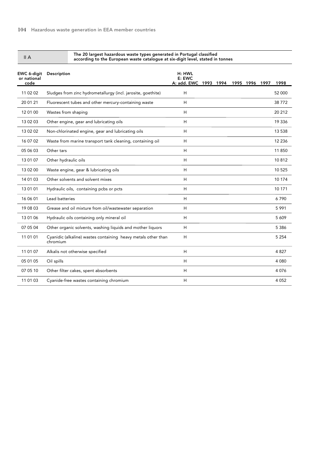|  | II A |
|--|------|
|  |      |

#### The 20 largest hazardous waste types generated in Portugal classified according to the European waste catalogue at six-digit level, stated in tonnes

| EWC 6-digit<br>or national<br>code | Description                                                               | H: HWL<br>E: EWC<br>A: add. EWC 1993 1994 |  | 1995 1996 1997 | 1998     |
|------------------------------------|---------------------------------------------------------------------------|-------------------------------------------|--|----------------|----------|
| 11 02 02                           | Sludges from zinc hydrometallurgy (incl. jarosite, goethite)              | H                                         |  |                | 52 000   |
| 20 01 21                           | Fluorescent tubes and other mercury-containing waste                      | H                                         |  |                | 38772    |
| 12 01 00                           | Wastes from shaping                                                       | H                                         |  |                | 20 212   |
| 13 02 03                           | Other engine, gear and lubricating oils                                   | H                                         |  |                | 19 3 36  |
| 13 02 02                           | Non-chlorinated engine, gear and lubricating oils                         | H                                         |  |                | 13 5 38  |
| 16 07 02                           | Waste from marine transport tank cleaning, containing oil                 | H                                         |  |                | 12 2 3 6 |
| 05 06 03                           | Other tars                                                                | H                                         |  |                | 11 850   |
| 13 01 07                           | Other hydraulic oils                                                      | H                                         |  |                | 10812    |
| 13 02 00                           | Waste engine, gear & lubricating oils                                     | H                                         |  |                | 10 5 25  |
| 14 01 03                           | Other solvents and solvent mixes                                          | H                                         |  |                | 10 174   |
| 13 01 01                           | Hydraulic oils, containing pcbs or pcts                                   | H                                         |  |                | 10 171   |
| 16 06 01                           | Lead batteries                                                            | H                                         |  |                | 6790     |
| 19 08 03                           | Grease and oil mixture from oil/wastewater separation                     | H                                         |  |                | 5 9 9 1  |
| 13 01 06                           | Hydraulic oils containing only mineral oil                                | H                                         |  |                | 5 609    |
| 07 05 04                           | Other organic solvents, washing liquids and mother liquors                | H                                         |  |                | 5 3 8 6  |
| 11 01 01                           | Cyanidic (alkaline) wastes containing heavy metals other than<br>chromium | H                                         |  |                | 5 2 5 4  |
| 11 01 07                           | Alkalis not otherwise specified                                           | H                                         |  |                | 4827     |
| 05 01 05                           | Oil spills                                                                | H                                         |  |                | 4 0 8 0  |
| 07 05 10                           | Other filter cakes, spent absorbents                                      | H                                         |  |                | 4076     |
| 11 01 03                           | Cyanide-free wastes containing chromium                                   | H                                         |  |                | 4 0 5 2  |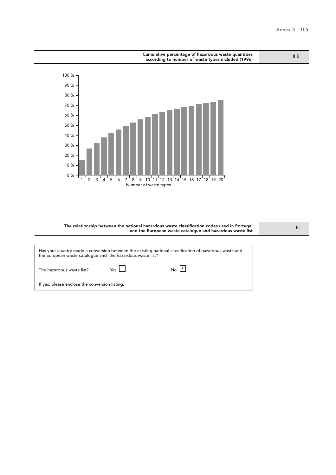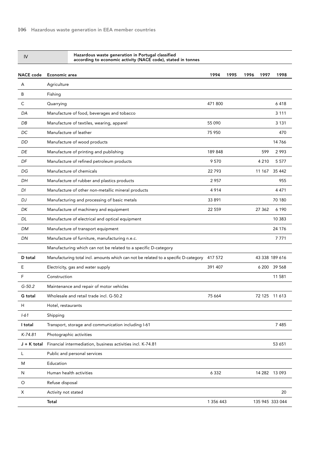Hazardous waste generation in Portugal classified

according to economic activity (NACE code), stated in tonnes

| <b>NACE</b> code | Economic area                                                                       | 1994      | 1995 | 1996 | 1997    | 1998            |  |
|------------------|-------------------------------------------------------------------------------------|-----------|------|------|---------|-----------------|--|
| A                | Agriculture                                                                         |           |      |      |         |                 |  |
| B                | Fishing                                                                             |           |      |      |         |                 |  |
| С                | Quarrying                                                                           | 471800    |      |      |         | 6418            |  |
| DA               | Manufacture of food, beverages and tobacco                                          |           |      |      |         | 3 1 1 1         |  |
| DB               | Manufacture of textiles, wearing, apparel                                           | 55 090    |      |      |         | 3 1 3 1         |  |
| DC               | Manufacture of leather                                                              | 75 950    |      |      |         | 470             |  |
| DD               | Manufacture of wood products                                                        |           |      |      |         | 14766           |  |
| DE               | Manufacture of printing and publishing                                              | 189 848   |      |      | 599     | 2993            |  |
| DF               | Manufacture of refined petroleum products                                           | 9570      |      |      | 4 2 1 0 | 5 5 7 7         |  |
| DG               | Manufacture of chemicals                                                            | 22793     |      |      | 11 167  | 35 4 42         |  |
| DН               | Manufacture of rubber and plastics products                                         | 2957      |      |      |         | 955             |  |
| DI               | Manufacture of other non-metallic mineral products                                  | 4914      |      |      |         | 4 4 7 1         |  |
| DJ               | Manufacturing and processing of basic metals                                        | 33 891    |      |      |         | 70 180          |  |
| DK               | Manufacture of machinery and equipment                                              | 22 5 5 9  |      |      | 27 362  | 6 1 9 0         |  |
| DL               | Manufacture of electrical and optical equipment                                     |           |      |      |         | 10 383          |  |
| DM               | Manufacture of transport equipment                                                  |           |      |      |         | 24 17 6         |  |
| DN               | Manufacture of furniture, manufacturing n.e.c.                                      |           |      |      |         | 7 7 7 1         |  |
|                  | Manufacturing which can not be related to a specific D-category                     |           |      |      |         |                 |  |
| D total          | Manufacturing total incl. amounts which can not be related to a specific D-category | 417 572   |      |      |         | 43 338 189 616  |  |
| Ε                | Electricity, gas and water supply                                                   | 391 407   |      |      |         | 6 200 39 568    |  |
| F                | Construction                                                                        |           |      |      |         | 11 581          |  |
| $G-50.2$         | Maintenance and repair of motor vehicles                                            |           |      |      |         |                 |  |
| G total          | Wholesale and retail trade incl. G-50.2                                             | 75 664    |      |      |         | 72 125 11 613   |  |
| Η                | Hotel, restaurants                                                                  |           |      |      |         |                 |  |
| $1 - 61$         | Shipping                                                                            |           |      |      |         |                 |  |
| I total          | Transport, storage and communication including I-61                                 |           |      |      |         | 7 4 8 5         |  |
| $K-74.81$        | Photographic activities                                                             |           |      |      |         |                 |  |
| J + K total      | Financial intermediation, business activities incl. K-74.81                         |           |      |      |         | 53 651          |  |
| L                | Public and personal services                                                        |           |      |      |         |                 |  |
| M                | Education                                                                           |           |      |      |         |                 |  |
| N                | Human health activities                                                             | 6 3 3 2   |      |      |         | 14 282 13 093   |  |
| O                | Refuse disposal                                                                     |           |      |      |         |                 |  |
| X                | Activity not stated                                                                 |           |      |      |         | 20              |  |
|                  | Total                                                                               | 1 356 443 |      |      |         | 135 945 333 044 |  |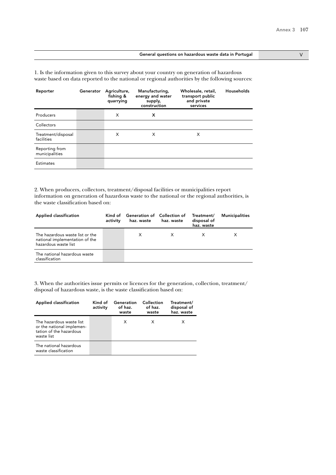#### General questions on hazardous waste data in Portugal V

1. Is the information given to this survey about your country on generation of hazardous waste based on data reported to the national or regional authorities by the following sources:

| Reporter                         | Generator | Agriculture,<br>fishing &<br>quarrying | Manufacturing,<br>energy and water<br>supply,<br>construction | Wholesale, retail,<br>transport public<br>and private<br>services | Households |
|----------------------------------|-----------|----------------------------------------|---------------------------------------------------------------|-------------------------------------------------------------------|------------|
| Producers                        |           | X                                      | x                                                             |                                                                   |            |
| Collectors                       |           |                                        |                                                               |                                                                   |            |
| Treatment/disposal<br>facilities |           | X                                      | X                                                             | X                                                                 |            |
| Reporting from<br>municipalities |           |                                        |                                                               |                                                                   |            |
| <b>Estimates</b>                 |           |                                        |                                                               |                                                                   |            |

2. When producers, collectors, treatment/disposal facilities or municipalities report information on generation of hazardous waste to the national or the regional authorities, is the waste classification based on:

| Applied classification                                                                    | activity | Kind of Generation of Collection of<br>haz. waste | haz. waste | Treatment/<br>disposal of<br>haz. waste | <b>Municipalities</b> |
|-------------------------------------------------------------------------------------------|----------|---------------------------------------------------|------------|-----------------------------------------|-----------------------|
| The hazardous waste list or the<br>national implementation of the<br>hazardous waste list |          | x                                                 |            |                                         |                       |
| The national hazardous waste<br>classification                                            |          |                                                   |            |                                         |                       |

| Applied classification                                                                         | Kind of<br>activity | Generation<br>of haz.<br>waste | Collection<br>of haz.<br>waste | Treatment/<br>disposal of<br>haz. waste |
|------------------------------------------------------------------------------------------------|---------------------|--------------------------------|--------------------------------|-----------------------------------------|
| The hazardous waste list<br>or the national implemen-<br>tation of the hazardous<br>waste list |                     | X                              | X                              |                                         |
| The national hazardous<br>waste classification                                                 |                     |                                |                                |                                         |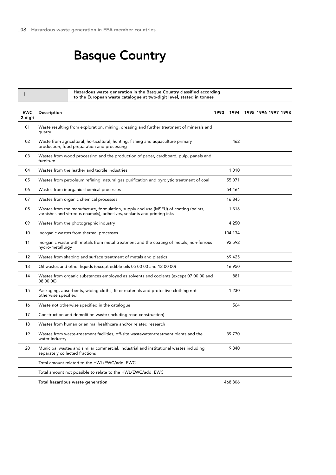## Basque Country

Hazardous waste generation in the Basque Country classified according to the European waste catalogue at two-digit level, stated in tonnes

| <b>EWC</b><br>2-digit | Description                                                                                                                                                   | 1993 |         | 1994 1995 1996 1997 1998 |  |
|-----------------------|---------------------------------------------------------------------------------------------------------------------------------------------------------------|------|---------|--------------------------|--|
| 01                    | Waste resulting from exploration, mining, dressing and further treatment of minerals and<br>quarry                                                            |      |         |                          |  |
| 02                    | Waste from agricultural, horticultural, hunting, fishing and aquaculture primary<br>production, food preparation and processing                               |      | 462     |                          |  |
| 03                    | Wastes from wood processing and the production of paper, cardboard, pulp, panels and<br>furniture                                                             |      |         |                          |  |
| 04                    | Wastes from the leather and textile industries                                                                                                                |      | 1010    |                          |  |
| 05                    | Wastes from petroleum refining, natural gas purification and pyrolytic treatment of coal                                                                      |      | 55 071  |                          |  |
| 06                    | Wastes from inorganic chemical processes                                                                                                                      |      | 54 464  |                          |  |
| 07                    | Wastes from organic chemical processes                                                                                                                        |      | 16 845  |                          |  |
| 08                    | Wastes from the manufacture, formulation, supply and use (MSFU) of coating (paints,<br>varnishes and vitreous enamels), adhesives, sealants and printing inks |      | 1 3 1 8 |                          |  |
| 09                    | Wastes from the photographic industry                                                                                                                         |      | 4 2 5 0 |                          |  |
| 10                    | Inorganic wastes from thermal processes                                                                                                                       |      | 104 134 |                          |  |
| 11                    | Inorganic waste with metals from metal treatment and the coating of metals; non-ferrous<br>hydro-metallurgy                                                   |      | 92 592  |                          |  |
| 12                    | Wastes from shaping and surface treatment of metals and plastics                                                                                              |      | 69 425  |                          |  |
| 13                    | Oil wastes and other liquids (except edible oils 05 00 00 and 12 00 00)                                                                                       |      | 16 950  |                          |  |
| 14                    | Wastes from organic substances employed as solvents and coolants (except 07 00 00 and<br>08 00 00)                                                            |      | 881     |                          |  |
| 15                    | Packaging, absorbents, wiping cloths, filter materials and protective clothing not<br>otherwise specified                                                     |      | 1 2 3 0 |                          |  |
| 16                    | Waste not otherwise specified in the catalogue                                                                                                                |      | 564     |                          |  |
| 17                    | Construction and demolition waste (including road construction)                                                                                               |      |         |                          |  |
| 18                    | Wastes from human or animal healthcare and/or related research                                                                                                |      |         |                          |  |
| 19                    | Wastes from waste-treatment facilities, off-site wastewater-treatment plants and the<br>water industry                                                        |      | 39 770  |                          |  |
| 20                    | Municipal wastes and similar commercial, industrial and institutional wastes including<br>separately collected fractions                                      |      | 9840    |                          |  |
|                       | Total amount related to the HWL/EWC/add. EWC                                                                                                                  |      |         |                          |  |
|                       | Total amount not possible to relate to the HWL/EWC/add. EWC                                                                                                   |      |         |                          |  |
|                       | Total hazardous waste generation                                                                                                                              |      | 468 806 |                          |  |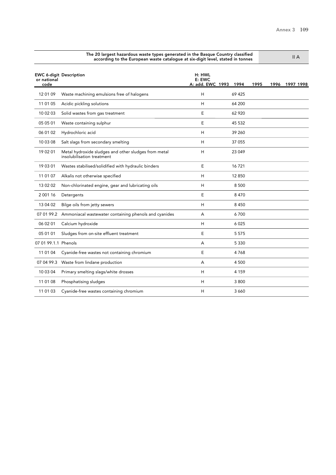|                      | according to the European waste catalogue at six-digit level, stated in tonnes     | $H$ $A$                                |         |      |                |
|----------------------|------------------------------------------------------------------------------------|----------------------------------------|---------|------|----------------|
| or national<br>code  | <b>EWC 6-digit Description</b>                                                     | H: HWL<br>$E:$ EWC<br>A: add. EWC 1993 | 1994    | 1995 | 1996 1997 1998 |
| 12 01 09             | Waste machining emulsions free of halogens                                         | H                                      | 69 425  |      |                |
| 11 01 05             | Acidic pickling solutions                                                          | Н                                      | 64 200  |      |                |
| 10 02 03             | Solid wastes from gas treatment                                                    | E                                      | 62 9 20 |      |                |
| 05 05 01             | Waste containing sulphur                                                           | E                                      | 45 532  |      |                |
| 06 01 02             | Hydrochloric acid                                                                  | H                                      | 39 260  |      |                |
| 10 03 08             | Salt slags from secondary smelting                                                 | H                                      | 37 055  |      |                |
| 19 02 01             | Metal hydroxide sludges and other sludges from metal<br>insolubilisation treatment | H                                      | 23 049  |      |                |
| 19 03 01             | Wastes stabilised/solidified with hydraulic binders                                | E                                      | 16721   |      |                |
| 11 01 07             | Alkalis not otherwise specified                                                    | H                                      | 12 850  |      |                |
| 13 02 02             | Non-chlorinated engine, gear and lubricating oils                                  | Н                                      | 8 500   |      |                |
| 2 001 16             | Detergents                                                                         | E                                      | 8470    |      |                |
| 13 04 02             | Bilge oils from jetty sewers                                                       | H                                      | 8 4 5 0 |      |                |
|                      | 07 01 99.2 Ammoniacal wastewater containing phenols and cyanides                   | A                                      | 6700    |      |                |
| 06 02 01             | Calcium hydroxide                                                                  | H                                      | 6 0 2 5 |      |                |
| 05 01 01             | Sludges from on-site effluent treatment                                            | E                                      | 5 5 7 5 |      |                |
| 07 01 99.1.1 Phenols |                                                                                    | A                                      | 5 3 3 0 |      |                |
| 11 01 04             | Cyanide-free wastes not containing chromium                                        | E                                      | 4768    |      |                |
|                      | 07 04 99.3 Waste from lindane production                                           | A                                      | 4 500   |      |                |
| 10 03 04             | Primary smelting slags/white drosses                                               | H                                      | 4 1 5 9 |      |                |
| 11 01 08             | Phosphatising sludges                                                              | H                                      | 3800    |      |                |
| 11 01 03             | Cyanide-free wastes containing chromium                                            | Н                                      | 3 6 6 0 |      |                |

The 20 largest hazardous waste types generated in the Basque Country classified

II A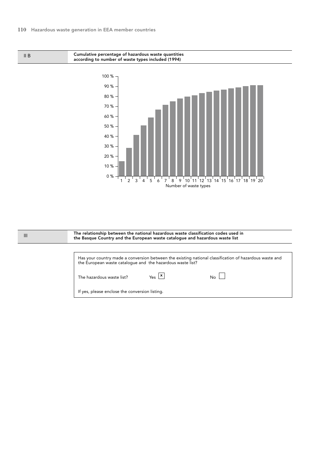II B

Cumulative percentage of hazardous waste quantities according to number of waste types included (1994)



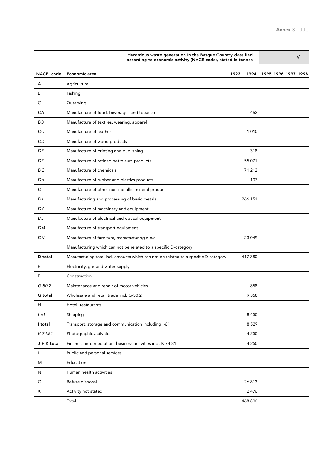| Hazardous waste generation in the Basque Country classified<br>according to economic activity (NACE code), stated in tonnes |                                                                                     |      |         | IV                  |  |  |  |
|-----------------------------------------------------------------------------------------------------------------------------|-------------------------------------------------------------------------------------|------|---------|---------------------|--|--|--|
| NACE code                                                                                                                   | Economic area                                                                       | 1993 | 1994    | 1995 1996 1997 1998 |  |  |  |
| A                                                                                                                           | Agriculture                                                                         |      |         |                     |  |  |  |
| В                                                                                                                           | Fishing                                                                             |      |         |                     |  |  |  |
| С                                                                                                                           | Quarrying                                                                           |      |         |                     |  |  |  |
| DA                                                                                                                          | Manufacture of food, beverages and tobacco                                          |      | 462     |                     |  |  |  |
| DB                                                                                                                          | Manufacture of textiles, wearing, apparel                                           |      |         |                     |  |  |  |
| DC                                                                                                                          | Manufacture of leather                                                              |      | 1010    |                     |  |  |  |
| DD                                                                                                                          | Manufacture of wood products                                                        |      |         |                     |  |  |  |
| DE                                                                                                                          | Manufacture of printing and publishing                                              |      | 318     |                     |  |  |  |
| DF                                                                                                                          | Manufacture of refined petroleum products                                           |      | 55 071  |                     |  |  |  |
| DG                                                                                                                          | Manufacture of chemicals                                                            |      | 71 212  |                     |  |  |  |
| DН                                                                                                                          | Manufacture of rubber and plastics products                                         |      | 107     |                     |  |  |  |
| DI                                                                                                                          | Manufacture of other non-metallic mineral products                                  |      |         |                     |  |  |  |
| DJ                                                                                                                          | Manufacturing and processing of basic metals                                        |      | 266 151 |                     |  |  |  |
| DK                                                                                                                          | Manufacture of machinery and equipment                                              |      |         |                     |  |  |  |
| DL                                                                                                                          | Manufacture of electrical and optical equipment                                     |      |         |                     |  |  |  |
| DM                                                                                                                          | Manufacture of transport equipment                                                  |      |         |                     |  |  |  |
| DN                                                                                                                          | Manufacture of furniture, manufacturing n.e.c.                                      |      | 23 049  |                     |  |  |  |
|                                                                                                                             | Manufacturing which can not be related to a specific D-category                     |      |         |                     |  |  |  |
| D total                                                                                                                     | Manufacturing total incl. amounts which can not be related to a specific D-category |      | 417 380 |                     |  |  |  |
| Ε                                                                                                                           | Electricity, gas and water supply                                                   |      |         |                     |  |  |  |
| F                                                                                                                           | Construction                                                                        |      |         |                     |  |  |  |
| $G-50.2$                                                                                                                    | Maintenance and repair of motor vehicles                                            |      | 858     |                     |  |  |  |
| G total                                                                                                                     | Wholesale and retail trade incl. G-50.2                                             |      | 9 3 5 8 |                     |  |  |  |
| Н                                                                                                                           | Hotel, restaurants                                                                  |      |         |                     |  |  |  |
| $1 - 61$                                                                                                                    | Shipping                                                                            |      | 8 4 5 0 |                     |  |  |  |
| I total                                                                                                                     | Transport, storage and communication including I-61                                 |      | 8 5 2 9 |                     |  |  |  |
| $K-74.81$                                                                                                                   | Photographic activities                                                             |      | 4 2 5 0 |                     |  |  |  |
| $J + K$ total                                                                                                               | Financial intermediation, business activities incl. K-74.81                         |      | 4 2 5 0 |                     |  |  |  |
| L                                                                                                                           | Public and personal services                                                        |      |         |                     |  |  |  |
| M                                                                                                                           | Education                                                                           |      |         |                     |  |  |  |
| ${\sf N}$                                                                                                                   | Human health activities                                                             |      |         |                     |  |  |  |
| $\circ$                                                                                                                     | Refuse disposal                                                                     |      | 26 813  |                     |  |  |  |
| X                                                                                                                           | Activity not stated                                                                 |      | 2 4 7 6 |                     |  |  |  |
|                                                                                                                             | Total                                                                               |      | 468 806 |                     |  |  |  |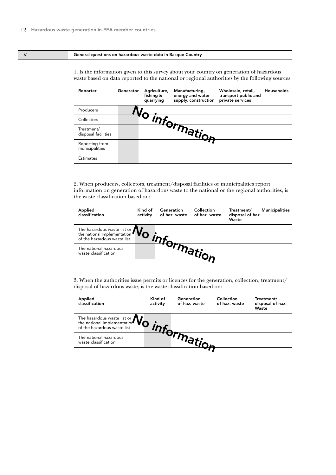### V General questions on hazardous waste data in Basque Country

1. Is the information given to this survey about your country on generation of hazardous waste based on data reported to the national or regional authorities by the following sources:

| Reporter                          | Generator | Agriculture,<br>fishing &<br>quarrying | Manufacturing,<br>energy and water<br>supply, construction | Wholesale, retail,<br>transport public and<br>private services | Households |
|-----------------------------------|-----------|----------------------------------------|------------------------------------------------------------|----------------------------------------------------------------|------------|
| Producers                         |           |                                        |                                                            |                                                                |            |
| Collectors                        |           |                                        |                                                            |                                                                |            |
| Treatment/<br>disposal facilities |           |                                        | Jinformation                                               |                                                                |            |
| Reporting from<br>municipalities  |           |                                        |                                                            |                                                                |            |
| <b>Estimates</b>                  |           |                                        |                                                            |                                                                |            |

2. When producers, collectors, treatment/disposal facilities or municipalities report information on generation of hazardous waste to the national or the regional authorities, is the waste classification based on:

| Applied<br>classification                                              | Kind of<br>activity | Generation<br>of haz. waste | Collection<br>of haz. waste | Treatment/<br>disposal of haz.<br>Waste | <b>Municipalities</b> |
|------------------------------------------------------------------------|---------------------|-----------------------------|-----------------------------|-----------------------------------------|-----------------------|
| The hazardous waste list or $N_{\odot}$<br>of the hazardous waste list |                     |                             |                             |                                         |                       |
| The national hazardous<br>waste classification                         |                     |                             |                             |                                         |                       |

3. When the authorities issue permits or licences for the generation, collection, treatment/ disposal of hazardous waste, is the waste classification based on:

| Applied<br>classification                                                            | Kind of<br>activity | Generation<br>of haz. waste | Collection<br>of haz. waste | Treatment/<br>disposal of haz.<br>Waste |
|--------------------------------------------------------------------------------------|---------------------|-----------------------------|-----------------------------|-----------------------------------------|
| The hazardous waste list or $\mathbf{N}_{\mathbf{O}}$<br>of the hazardous waste list |                     |                             |                             |                                         |
| The national hazardous<br>waste classification                                       |                     |                             |                             |                                         |
|                                                                                      |                     |                             |                             |                                         |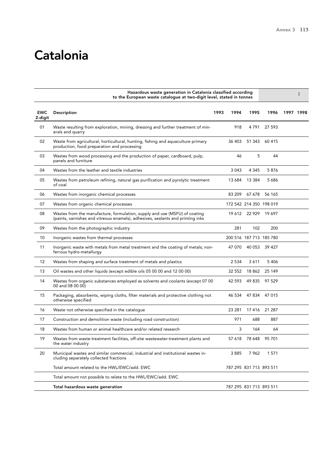# Catalonia

|                       | Hazardous waste generation in Catalonia classified according<br>to the European waste catalogue at two-digit level, stated in tonnes                          |      |         |                         |                         |           |  |
|-----------------------|---------------------------------------------------------------------------------------------------------------------------------------------------------------|------|---------|-------------------------|-------------------------|-----------|--|
| <b>EWC</b><br>2-digit | Description                                                                                                                                                   | 1993 | 1994    | 1995                    | 1996                    | 1997 1998 |  |
| 01                    | Waste resulting from exploration, mining, dressing and further treatment of min-<br>erals and quarry                                                          |      | 918     | 4791                    | 27 593                  |           |  |
| 02                    | Waste from agricultural, horticultural, hunting, fishing and aquaculture primary<br>production, food preparation and processing                               |      | 36 403  | 51 343                  | 60 415                  |           |  |
| 03                    | Wastes from wood processing and the production of paper, cardboard, pulp,<br>panels and furniture                                                             |      | 46      | 5                       | 44                      |           |  |
| 04                    | Wastes from the leather and textile industries                                                                                                                |      | 3 0 4 3 | 4 3 4 5                 | 5876                    |           |  |
| 05                    | Wastes from petroleum refining, natural gas purification and pyrolytic treatment<br>of coal                                                                   |      | 13 684  | 13 3 8 4                | 5 6 8 6                 |           |  |
| 06                    | Wastes from inorganic chemical processes                                                                                                                      |      | 83 209  | 67 678                  | 56 165                  |           |  |
| 07                    | Wastes from organic chemical processes                                                                                                                        |      |         |                         | 172 542 214 350 198 019 |           |  |
| 08                    | Wastes from the manufacture, formulation, supply and use (MSFU) of coating<br>(paints, varnishes and vitreous enamels), adhesives, sealants and printing inks |      |         | 19 612 22 929           | 19 697                  |           |  |
| 09                    | Wastes from the photographic industry                                                                                                                         |      | 281     | 102                     | 200                     |           |  |
| 10                    | Inorganic wastes from thermal processes                                                                                                                       |      |         |                         | 200 516 187 713 185 780 |           |  |
| 11                    | Inorganic waste with metals from metal treatment and the coating of metals; non-<br>ferrous hydro-metallurgy                                                  |      | 47 070  | 40 053                  | 39 427                  |           |  |
| 12                    | Wastes from shaping and surface treatment of metals and plastics                                                                                              |      | 2 5 3 4 | 3611                    | 5 4 0 6                 |           |  |
| 13                    | Oil wastes and other liquids (except edible oils 05 00 00 and 12 00 00)                                                                                       |      | 32 552  | 18 862                  | 25 149                  |           |  |
| 14                    | Wastes from organic substances employed as solvents and coolants (except 07 00<br>00 and 08 00 00)                                                            |      | 42 593  | 49 835                  | 97 529                  |           |  |
| 15                    | Packaging, absorbents, wiping cloths, filter materials and protective clothing not<br>otherwise specified                                                     |      | 46 534  | 47 834                  | 47 015                  |           |  |
| 16                    | Waste not otherwise specified in the catalogue                                                                                                                |      | 23 281  |                         | 17 416 21 287           |           |  |
| 17                    | Construction and demolition waste (including road construction)                                                                                               |      | 971     | 688                     | 887                     |           |  |
| 18                    | Wastes from human or animal healthcare and/or related research                                                                                                |      | 3       | 164                     | 64                      |           |  |
| 19                    | Wastes from waste-treatment facilities, off-site wastewater-treatment plants and<br>the water industry                                                        |      |         | 57 618 78 648           | 95 701                  |           |  |
| 20                    | Municipal wastes and similar commercial, industrial and institutional wastes in-<br>cluding separately collected fractions                                    |      | 3885    | 7962                    | 1 571                   |           |  |
|                       | Total amount related to the HWL/EWC/add. EWC                                                                                                                  |      |         | 787 295 831 713 893 511 |                         |           |  |
|                       | Total amount not possible to relate to the HWL/EWC/add. EWC                                                                                                   |      |         |                         |                         |           |  |
|                       | Total hazardous waste generation                                                                                                                              |      |         | 787 295 831 713 893 511 |                         |           |  |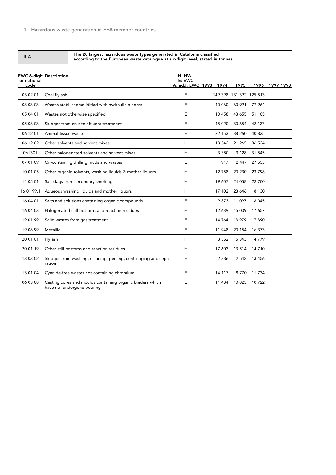II A

The 20 largest hazardous waste types generated in Catalonia classified according to the European waste catalogue at six-digit level, stated in tonnes

| or national<br>code | <b>EWC 6-digit Description</b>                                                          | H: HWL<br>E: EWC<br>A: add. EWC 1993 | 1994    | 1995                    |          | 1996 1997 1998 |
|---------------------|-----------------------------------------------------------------------------------------|--------------------------------------|---------|-------------------------|----------|----------------|
| 03 02 01            | Coal fly ash                                                                            | E                                    |         | 149 398 131 392 125 513 |          |                |
| 03 03 03            | Wastes stabilised/solidified with hydraulic binders                                     | E                                    | 40 060  | 60 991                  | 77 964   |                |
| 05 04 01            | Wastes not otherwise specified                                                          | E                                    | 10 458  | 43 655                  | 51 105   |                |
| 05 08 03            | Sludges from on-site effluent treatment                                                 | E                                    | 45 0 20 | 30 654                  | 42 137   |                |
| 06 12 01            | Animal tissue waste                                                                     | E                                    | 22 153  | 38 260                  | 40 835   |                |
| 06 12 02            | Other solvents and solvent mixes                                                        | H                                    | 13 542  | 21 265                  | 36 524   |                |
| 061301              | Other halogenated solvents and solvent mixes                                            | H                                    | 3 3 5 0 | 3 1 2 8                 | 31 545   |                |
| 07 01 09            | Oil-containing drilling muds and wastes                                                 | E                                    | 917     | 2 4 4 7                 | 27 553   |                |
| 10 01 05            | Other organic solvents, washing liquids & mother liquors                                | H                                    | 12758   | 20 230                  | 23 798   |                |
| 14 05 01            | Salt slags from secondary smelting                                                      | H                                    | 19 607  | 24 058                  | 22 700   |                |
| 16 01 99.1          | Aqueous washing liquids and mother liquors                                              | H                                    | 17 102  | 23 646                  | 18 130   |                |
| 16 04 01            | Salts and solutions containing organic compounds                                        | E                                    | 9873    | 11 0 97                 | 18 045   |                |
| 16 04 03            | Halogenated still bottoms and reaction residues                                         | H                                    | 12 639  | 15 009                  | 17 657   |                |
| 190199              | Solid wastes from gas treatment                                                         | E                                    | 14 764  | 13 979                  | 17 390   |                |
| 19 08 99            | Metallic                                                                                | E                                    | 11 948  | 20 154                  | 16 373   |                |
| 20 01 01            | Fly ash                                                                                 | H                                    | 8 3 5 2 | 15 3 43                 | 14 779   |                |
| 20 01 19            | Other still bottoms and reaction residues                                               | H                                    | 17 603  | 13 5 14                 | 14 710   |                |
| 13 03 02            | Sludges from washing, cleaning, peeling, centrifuging and sepa-<br>ration               | E                                    | 2 3 3 6 | 2 5 4 2                 | 13 4 5 6 |                |
| 13 01 04            | Cyanide-free wastes not containing chromium                                             | E                                    | 14 117  | 8770                    | 11 7 34  |                |
| 06 03 08            | Casting cores and moulds containing organic binders which<br>have not undergone pouring | E                                    | 11 484  | 10825                   | 10722    |                |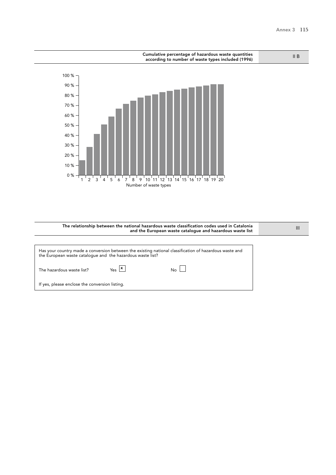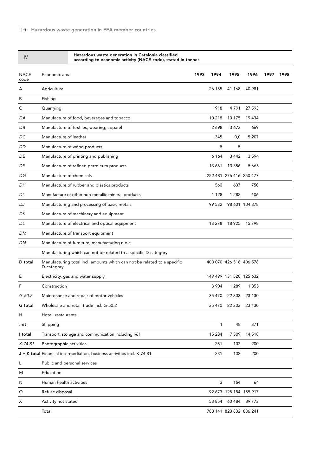| IV                  | Hazardous waste generation in Catalonia classified<br>according to economic activity (NACE code), stated in tonnes |              |                         |                |      |      |
|---------------------|--------------------------------------------------------------------------------------------------------------------|--------------|-------------------------|----------------|------|------|
| <b>NACE</b><br>code | Economic area                                                                                                      | 1993<br>1994 | 1995                    | 1996           | 1997 | 1998 |
| A                   | Agriculture                                                                                                        | 26 185       | 41 168                  | 40 981         |      |      |
| В                   | Fishing                                                                                                            |              |                         |                |      |      |
| С                   | Quarrying                                                                                                          | 918          | 4791                    | 27 593         |      |      |
| DA                  | Manufacture of food, beverages and tobacco                                                                         | 10 218       | 10 175                  | 19 434         |      |      |
| DB                  | Manufacture of textiles, wearing, apparel                                                                          | 2698         | 3673                    | 669            |      |      |
| DC                  | Manufacture of leather                                                                                             | 345          | 0,0                     | 5 207          |      |      |
| DD                  | Manufacture of wood products                                                                                       | 5            | 5                       |                |      |      |
| DE                  | Manufacture of printing and publishing                                                                             | 6 1 6 4      | 3 4 4 2                 | 3 5 9 4        |      |      |
| DF                  | Manufacture of refined petroleum products                                                                          | 13 661       | 13 3 5 6                | 5 6 6 5        |      |      |
| DG                  | Manufacture of chemicals                                                                                           |              | 252 481 276 416 250 477 |                |      |      |
| DH                  | Manufacture of rubber and plastics products                                                                        | 560          | 637                     | 750            |      |      |
| DI                  | Manufacture of other non-metallic mineral products                                                                 | 1 1 2 8      | 1 2 8 8                 | 106            |      |      |
| DJ                  | Manufacturing and processing of basic metals                                                                       | 99 532       |                         | 98 601 104 878 |      |      |
| DK                  | Manufacture of machinery and equipment                                                                             |              |                         |                |      |      |
| DL                  | Manufacture of electrical and optical equipment                                                                    | 13 278       | 18 925                  | 15798          |      |      |
| DM                  | Manufacture of transport equipment                                                                                 |              |                         |                |      |      |
| DN                  | Manufacture of furniture, manufacturing n.e.c.                                                                     |              |                         |                |      |      |
|                     | Manufacturing which can not be related to a specific D-category                                                    |              |                         |                |      |      |
| D total             | Manufacturing total incl. amounts which can not be related to a specific<br>D-category                             |              | 400 070 426 518 406 578 |                |      |      |
| Е                   | Electricity, gas and water supply                                                                                  |              | 149 499 131 520 125 632 |                |      |      |
| F                   | Construction                                                                                                       | 3 9 0 4      | 1 2 8 9                 | 1855           |      |      |
| $G-50.2$            | Maintenance and repair of motor vehicles                                                                           | 35 470       | 22 303                  | 23 130         |      |      |
| G total             | Wholesale and retail trade incl. G-50.2                                                                            | 35 470       |                         | 22 303 23 130  |      |      |
| н                   | Hotel, restaurants                                                                                                 |              |                         |                |      |      |
| $1 - 61$            | Shipping                                                                                                           | 1            | 48                      | 371            |      |      |
| I total             | Transport, storage and communication including I-61                                                                | 15 284       | 7 3 0 9                 | 14 5 18        |      |      |
| $K-74.81$           | Photographic activities                                                                                            | 281          | 102                     | 200            |      |      |
|                     | J + K total Financial intermediation, business activities incl. K-74.81                                            | 281          | 102                     | 200            |      |      |
| L                   | Public and personal services                                                                                       |              |                         |                |      |      |
| M                   | Education                                                                                                          |              |                         |                |      |      |
| N                   | Human health activities                                                                                            | 3            | 164                     | 64             |      |      |
| O                   | Refuse disposal                                                                                                    |              | 92 673 128 184 155 917  |                |      |      |
| Х                   | Activity not stated                                                                                                | 58 854       | 60 484                  | 89 773         |      |      |
|                     | Total                                                                                                              |              | 783 141 823 832 886 241 |                |      |      |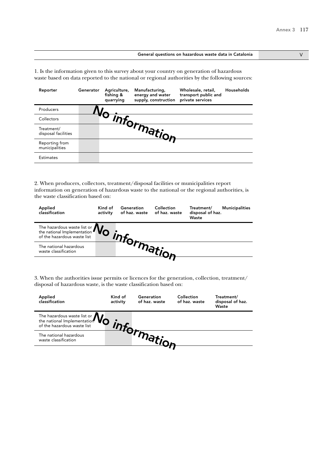### General questions on hazardous waste data in Catalonia V

1. Is the information given to this survey about your country on generation of hazardous waste based on data reported to the national or regional authorities by the following sources:

| Reporter                          | Generator | Agriculture,<br>fishing &<br>quarrying | Manufacturing,<br>energy and water<br>supply, construction | Wholesale, retail,<br>transport public and<br>private services | Households |
|-----------------------------------|-----------|----------------------------------------|------------------------------------------------------------|----------------------------------------------------------------|------------|
| Producers                         |           |                                        |                                                            |                                                                |            |
| Collectors                        |           |                                        |                                                            |                                                                |            |
| Treatment/<br>disposal facilities |           |                                        | - <sup>Thtormation</sup>                                   |                                                                |            |
| Reporting from<br>municipalities  |           |                                        |                                                            |                                                                |            |
| <b>Estimates</b>                  |           |                                        |                                                            |                                                                |            |

2. When producers, collectors, treatment/disposal facilities or municipalities report information on generation of hazardous waste to the national or the regional authorities, is the waste classification based on:

| Applied<br>classification                                                                                       | Kind of<br>activity | Generation<br>of haz. waste | Collection<br>of haz. waste | Treatment/<br>disposal of haz.<br>Waste | <b>Municipalities</b> |
|-----------------------------------------------------------------------------------------------------------------|---------------------|-----------------------------|-----------------------------|-----------------------------------------|-----------------------|
| The hazardous waste list or $\mathbf{W}_{\text{of}}$<br>the national Implementation of the hazardous waste list |                     |                             |                             |                                         |                       |
| The national hazardous<br>waste classification                                                                  |                     |                             |                             |                                         |                       |
|                                                                                                                 |                     |                             |                             |                                         |                       |

3. When the authorities issue permits or licences for the generation, collection, treatment/ disposal of hazardous waste, is the waste classification based on:

| Applied<br>classification                                                            | Kind of<br>activity | Generation<br>of haz. waste | Collection<br>of haz. waste | Treatment/<br>disposal of haz.<br>Waste |
|--------------------------------------------------------------------------------------|---------------------|-----------------------------|-----------------------------|-----------------------------------------|
| The hazardous waste list or $\mathbf{N}_{\mathbf{C}}$<br>of the hazardous waste list |                     |                             |                             |                                         |
| The national hazardous<br>waste classification                                       |                     |                             |                             |                                         |
|                                                                                      |                     |                             |                             |                                         |